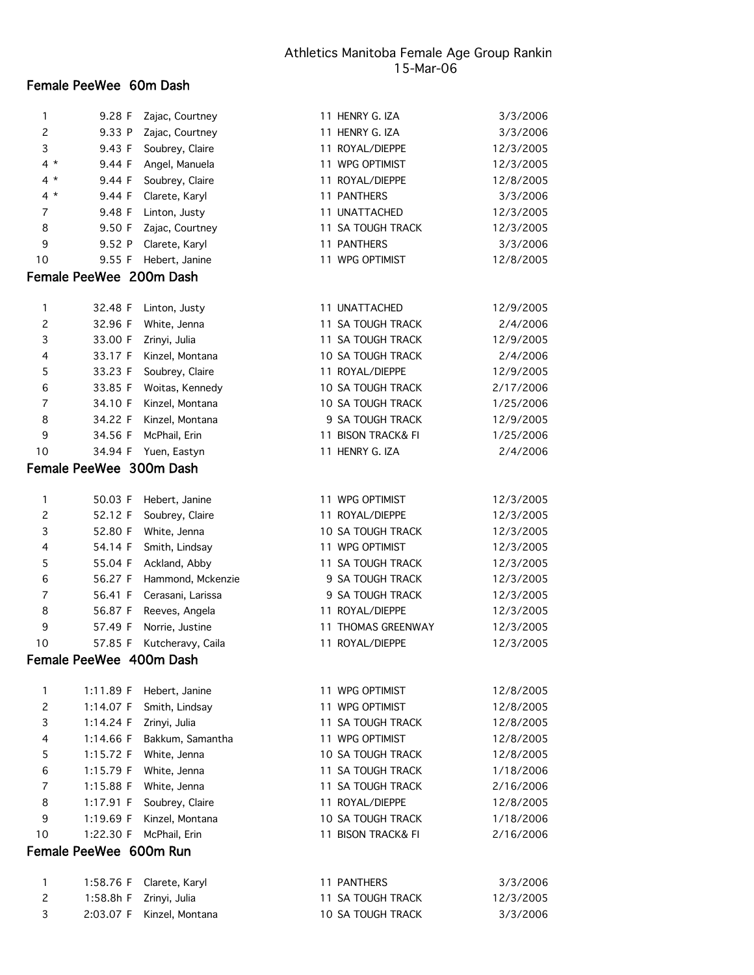# Female PeeWee 60m Dash

| 1              | 9.28 F                  | Zajac, Courtney               | 11 HENRY G. IZA                                      | 3/3/2006               |
|----------------|-------------------------|-------------------------------|------------------------------------------------------|------------------------|
| $\overline{c}$ | 9.33 P                  | Zajac, Courtney               | 11 HENRY G. IZA                                      | 3/3/2006               |
| 3              | 9.43 F                  | Soubrey, Claire               | 11 ROYAL/DIEPPE                                      | 12/3/2005              |
| $4 *$          | 9.44 F                  | Angel, Manuela                | 11 WPG OPTIMIST                                      | 12/3/2005              |
| 4 *            | 9.44 F                  | Soubrey, Claire               | 11 ROYAL/DIEPPE                                      | 12/8/2005              |
| $4 *$          | 9.44 F                  | Clarete, Karyl                | 11 PANTHERS                                          | 3/3/2006               |
| 7              | 9.48 F                  | Linton, Justy                 | 11 UNATTACHED                                        | 12/3/2005              |
| 8              | 9.50 F                  | Zajac, Courtney               | 11 SA TOUGH TRACK                                    | 12/3/2005              |
| 9              | 9.52 P                  | Clarete, Karyl                | 11 PANTHERS                                          | 3/3/2006               |
| 10             | 9.55 F                  | Hebert, Janine                | 11 WPG OPTIMIST                                      | 12/8/2005              |
|                | Female PeeWee 200m Dash |                               |                                                      |                        |
|                |                         |                               |                                                      |                        |
| 1              | 32.48 F                 | Linton, Justy                 | 11 UNATTACHED                                        | 12/9/2005              |
| $\overline{c}$ | 32.96 F                 | White, Jenna                  | 11 SA TOUGH TRACK                                    | 2/4/2006               |
| 3              | 33.00 F<br>33.17 F      | Zrinyi, Julia                 | 11 SA TOUGH TRACK                                    | 12/9/2005              |
| 4              | 33.23 F                 | Kinzel, Montana               | <b>10 SA TOUGH TRACK</b><br>11 ROYAL/DIEPPE          | 2/4/2006<br>12/9/2005  |
| 5              | 33.85 F                 | Soubrey, Claire               |                                                      |                        |
| 6              |                         | Woitas, Kennedy               | <b>10 SA TOUGH TRACK</b><br><b>10 SA TOUGH TRACK</b> | 2/17/2006              |
| 7<br>8         | 34.10 F<br>34.22 F      | Kinzel, Montana               | 9 SA TOUGH TRACK                                     | 1/25/2006              |
| 9              | 34.56 F                 | Kinzel, Montana               | 11 BISON TRACK& FI                                   | 12/9/2005<br>1/25/2006 |
| 10             | 34.94 F                 | McPhail, Erin<br>Yuen, Eastyn | 11 HENRY G. IZA                                      | 2/4/2006               |
|                | Female PeeWee 300m Dash |                               |                                                      |                        |
|                |                         |                               |                                                      |                        |
| 1              | 50.03 F                 | Hebert, Janine                | 11 WPG OPTIMIST                                      | 12/3/2005              |
| $\overline{c}$ | 52.12 F                 | Soubrey, Claire               | 11 ROYAL/DIEPPE                                      | 12/3/2005              |
| 3              | 52.80 F                 | White, Jenna                  | <b>10 SA TOUGH TRACK</b>                             | 12/3/2005              |
| 4              | 54.14 F                 | Smith, Lindsay                | 11 WPG OPTIMIST                                      | 12/3/2005              |
| 5              | 55.04 F                 | Ackland, Abby                 | 11 SA TOUGH TRACK                                    | 12/3/2005              |
| 6              | 56.27 F                 | Hammond, Mckenzie             | 9 SA TOUGH TRACK                                     | 12/3/2005              |
| 7              | 56.41 F                 | Cerasani, Larissa             | 9 SA TOUGH TRACK                                     | 12/3/2005              |
| 8              | 56.87 F                 | Reeves, Angela                | 11 ROYAL/DIEPPE                                      | 12/3/2005              |
| 9              | 57.49 F                 | Norrie, Justine               | 11 THOMAS GREENWAY                                   | 12/3/2005              |
| 10             | 57.85 F                 | Kutcheravy, Caila             | 11 ROYAL/DIEPPE                                      | 12/3/2005              |
|                | Female PeeWee 400m Dash |                               |                                                      |                        |
| 1              | 1:11.89 F               | Hebert, Janine                | 11 WPG OPTIMIST                                      | 12/8/2005              |
| $\overline{c}$ | 1:14.07 F               | Smith, Lindsay                | 11 WPG OPTIMIST                                      | 12/8/2005              |
| 3              | 1:14.24 F               | Zrinyi, Julia                 | 11 SA TOUGH TRACK                                    | 12/8/2005              |
| 4              | 1:14.66 F               | Bakkum, Samantha              | 11 WPG OPTIMIST                                      | 12/8/2005              |
| 5              | 1:15.72 F               | White, Jenna                  | <b>10 SA TOUGH TRACK</b>                             | 12/8/2005              |
| 6              | 1:15.79 F               | White, Jenna                  | 11 SA TOUGH TRACK                                    | 1/18/2006              |
| 7              | 1:15.88 F               | White, Jenna                  | 11 SA TOUGH TRACK                                    | 2/16/2006              |
| 8              | 1:17.91 F               | Soubrey, Claire               | 11 ROYAL/DIEPPE                                      | 12/8/2005              |
| 9              | 1:19.69 F               | Kinzel, Montana               | <b>10 SA TOUGH TRACK</b>                             | 1/18/2006              |
| 10             | 1:22.30 F               | McPhail, Erin                 | 11 BISON TRACK& FI                                   | 2/16/2006              |
|                | Female PeeWee 600m Run  |                               |                                                      |                        |
|                |                         |                               |                                                      |                        |
| 1              | 1:58.76 F               | Clarete, Karyl                | 11 PANTHERS                                          | 3/3/2006               |
| $\overline{c}$ | 1:58.8h F               | Zrinyi, Julia                 | 11 SA TOUGH TRACK                                    | 12/3/2005              |

3 2:03.07 F Kinzel, Montana 10 SA TOUGH TRACK 3/3/2006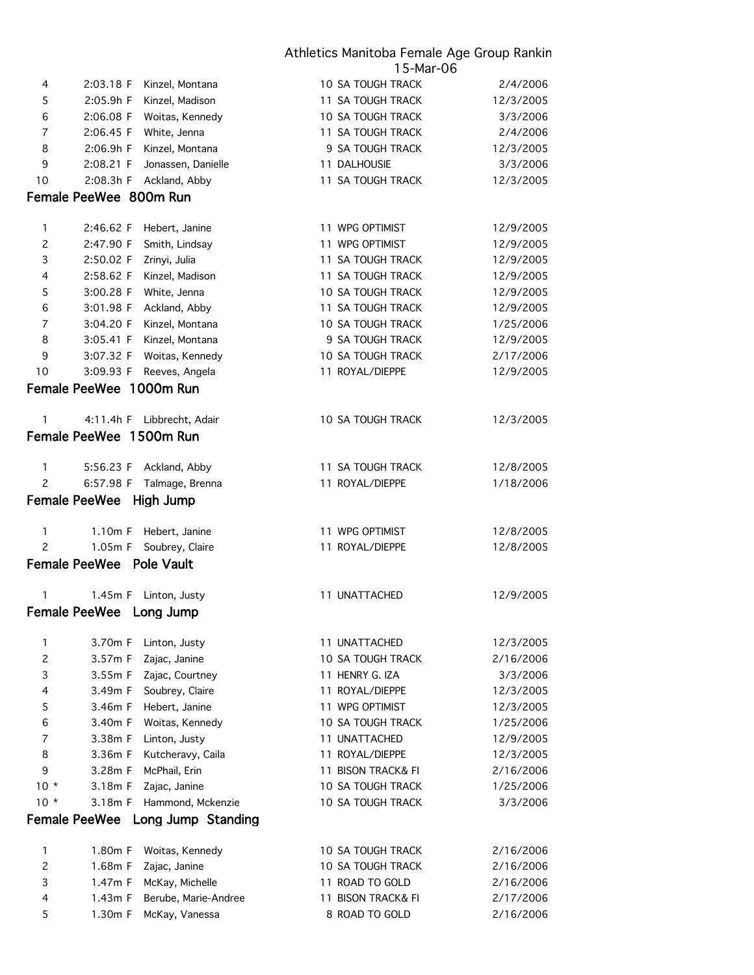|                |                         |                                        | 15-Mar-06                            |                        |
|----------------|-------------------------|----------------------------------------|--------------------------------------|------------------------|
| 4              | 2:03.18 F               | Kinzel, Montana                        | <b>10 SA TOUGH TRACK</b>             | 2/4/2006               |
| 5              | 2:05.9h F               | Kinzel, Madison                        | 11 SA TOUGH TRACK                    | 12/3/2005              |
| 6              | 2:06.08 F               | Woitas, Kennedy                        | 10 SA TOUGH TRACK                    | 3/3/2006               |
| 7              | 2:06.45 F               | White, Jenna                           | 11 SA TOUGH TRACK                    | 2/4/2006               |
| 8              | 2:06.9h F               | Kinzel, Montana                        | 9 SA TOUGH TRACK                     | 12/3/2005              |
| 9              | 2:08.21 F               | Jonassen, Danielle                     | 11 DALHOUSIE                         | 3/3/2006               |
| 10             | 2:08.3h F               | Ackland, Abby                          | 11 SA TOUGH TRACK                    | 12/3/2005              |
|                | Female PeeWee 800m Run  |                                        |                                      |                        |
| 1              | 2:46.62 F               |                                        | 11 WPG OPTIMIST                      |                        |
|                |                         | Hebert, Janine                         |                                      | 12/9/2005              |
| $\overline{c}$ | 2:47.90 F               | Smith, Lindsay                         | 11 WPG OPTIMIST                      | 12/9/2005              |
| 3              | 2:50.02 F               | Zrinyi, Julia                          | 11 SA TOUGH TRACK                    | 12/9/2005              |
| 4              | 2:58.62 F               | Kinzel, Madison                        | 11 SA TOUGH TRACK                    | 12/9/2005              |
| 5              | 3:00.28 F               | White, Jenna                           | 10 SA TOUGH TRACK                    | 12/9/2005              |
| 6              | 3:01.98 F               | Ackland, Abby                          | 11 SA TOUGH TRACK                    | 12/9/2005              |
| 7              | 3:04.20 F               | Kinzel, Montana                        | 10 SA TOUGH TRACK                    | 1/25/2006              |
| 8              | 3:05.41 F               | Kinzel, Montana                        | 9 SA TOUGH TRACK                     | 12/9/2005              |
| 9              | 3:07.32 F               | Woitas, Kennedy                        | 10 SA TOUGH TRACK                    | 2/17/2006              |
| 10             | 3:09.93 F               | Reeves, Angela                         | 11 ROYAL/DIEPPE                      | 12/9/2005              |
|                | Female PeeWee 1000m Run |                                        |                                      |                        |
| 1              |                         | 4:11.4h F Libbrecht, Adair             | <b>10 SA TOUGH TRACK</b>             | 12/3/2005              |
|                | Female PeeWee 1500m Run |                                        |                                      |                        |
|                |                         |                                        |                                      |                        |
| 1              | 5:56.23 F               | Ackland, Abby                          | 11 SA TOUGH TRACK                    | 12/8/2005              |
| $\overline{c}$ | 6:57.98 F               | Talmage, Brenna                        | 11 ROYAL/DIEPPE                      | 1/18/2006              |
|                | <b>Female PeeWee</b>    | High Jump                              |                                      |                        |
| 1              | $1.10m$ F               | Hebert, Janine                         | 11 WPG OPTIMIST                      | 12/8/2005              |
| $\overline{c}$ | 1.05m F                 | Soubrey, Claire                        | 11 ROYAL/DIEPPE                      | 12/8/2005              |
|                | Female PeeWee           | <b>Pole Vault</b>                      |                                      |                        |
|                |                         |                                        |                                      |                        |
| 1              | 1.45m F                 | Linton, Justy                          | 11 UNATTACHED                        | 12/9/2005              |
|                | <b>Female PeeWee</b>    | Long Jump                              |                                      |                        |
| 1              | 3.70m F                 | Linton, Justy                          | 11 UNATTACHED                        | 12/3/2005              |
| $\overline{c}$ | 3.57m F                 | Zajac, Janine                          | 10 SA TOUGH TRACK                    | 2/16/2006              |
| 3              | 3.55m F                 | Zajac, Courtney                        | 11 HENRY G. IZA                      | 3/3/2006               |
| 4              | 3.49m F                 | Soubrey, Claire                        | 11 ROYAL/DIEPPE                      | 12/3/2005              |
| 5              | 3.46m F                 | Hebert, Janine                         | 11 WPG OPTIMIST                      | 12/3/2005              |
| 6              | 3.40m F                 | Woitas, Kennedy                        | <b>10 SA TOUGH TRACK</b>             | 1/25/2006              |
| 7              | 3.38m F                 | Linton, Justy                          | 11 UNATTACHED                        | 12/9/2005              |
| 8              | 3.36m F                 | Kutcheravy, Caila                      | 11 ROYAL/DIEPPE                      | 12/3/2005              |
| 9              | 3.28m F                 | McPhail, Erin                          | 11 BISON TRACK& FI                   | 2/16/2006              |
| $10 *$         | 3.18m F                 | Zajac, Janine                          | <b>10 SA TOUGH TRACK</b>             | 1/25/2006              |
| $10 *$         | 3.18m F                 | Hammond, Mckenzie                      | <b>10 SA TOUGH TRACK</b>             | 3/3/2006               |
|                | <b>Female PeeWee</b>    | Long Jump Standing                     |                                      |                        |
|                |                         |                                        |                                      |                        |
|                |                         | Woitas, Kennedy                        | <b>10 SA TOUGH TRACK</b>             | 2/16/2006              |
| 1              | 1.80m F                 |                                        |                                      |                        |
| 2              | 1.68m F                 | Zajac, Janine                          | 10 SA TOUGH TRACK                    | 2/16/2006              |
| 3              | 1.47m F                 | McKay, Michelle                        | 11 ROAD TO GOLD                      | 2/16/2006              |
| 4<br>5         | 1.43m F<br>1.30m F      | Berube, Marie-Andree<br>McKay, Vanessa | 11 BISON TRACK& FI<br>8 ROAD TO GOLD | 2/17/2006<br>2/16/2006 |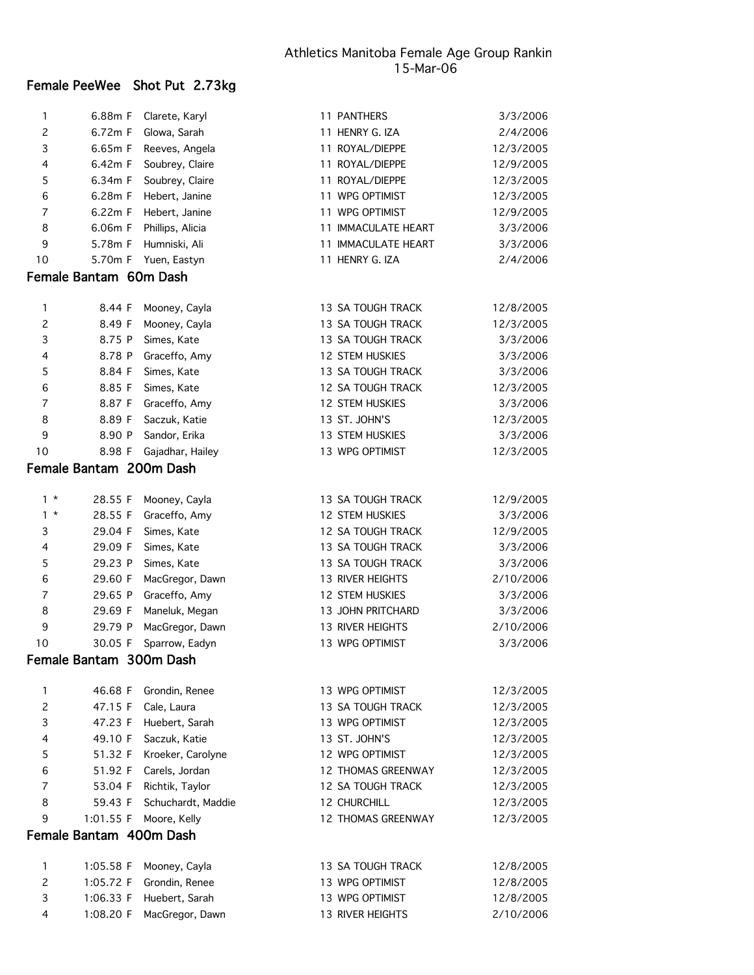# Female PeeWee Shot Put 2.73kg

| 1                   | 6.88m F                 | Clarete, Karyl             | 11 PANTHERS                            | 3/3/2006               |
|---------------------|-------------------------|----------------------------|----------------------------------------|------------------------|
| $\overline{c}$      | 6.72m F                 | Glowa, Sarah               | 11 HENRY G. IZA                        | 2/4/2006               |
| 3                   | 6.65m F                 | Reeves, Angela             | 11 ROYAL/DIEPPE                        | 12/3/2005              |
| 4                   | 6.42m F                 | Soubrey, Claire            | 11 ROYAL/DIEPPE                        | 12/9/2005              |
| 5                   | 6.34m F                 | Soubrey, Claire            | 11 ROYAL/DIEPPE                        | 12/3/2005              |
| 6                   | 6.28m F                 | Hebert, Janine             | 11 WPG OPTIMIST                        | 12/3/2005              |
| 7                   | 6.22m F                 | Hebert, Janine             | 11 WPG OPTIMIST                        | 12/9/2005              |
| 8                   | 6.06m F                 | Phillips, Alicia           | 11 IMMACULATE HEART                    | 3/3/2006               |
| 9                   | 5.78m F                 | Humniski, Ali              | 11 IMMACULATE HEART                    | 3/3/2006               |
| 10                  | 5.70m F                 | Yuen, Eastyn               | 11 HENRY G. IZA                        | 2/4/2006               |
|                     | Female Bantam 60m Dash  |                            |                                        |                        |
|                     |                         |                            |                                        |                        |
| 1                   | 8.44 F                  | Mooney, Cayla              | 13 SA TOUGH TRACK                      | 12/8/2005              |
| $\overline{c}$      | 8.49 F                  | Mooney, Cayla              | 13 SA TOUGH TRACK                      | 12/3/2005              |
| 3                   | 8.75 P                  | Simes, Kate                | 13 SA TOUGH TRACK                      | 3/3/2006               |
| 4                   | 8.78 P                  | Graceffo, Amy              | <b>12 STEM HUSKIES</b>                 | 3/3/2006               |
| 5                   | 8.84 F                  | Simes, Kate                | 13 SA TOUGH TRACK                      | 3/3/2006               |
| 6                   | 8.85 F                  | Simes, Kate                | 12 SA TOUGH TRACK                      | 12/3/2005              |
| 7                   | 8.87 F                  | Graceffo, Amy              | <b>12 STEM HUSKIES</b>                 | 3/3/2006               |
| 8                   | 8.89 F                  | Saczuk, Katie              | 13 ST. JOHN'S                          | 12/3/2005              |
| 9                   | 8.90 P                  | Sandor, Erika              | <b>13 STEM HUSKIES</b>                 | 3/3/2006               |
| 10                  | 8.98 F                  | Gajadhar, Hailey           | 13 WPG OPTIMIST                        | 12/3/2005              |
|                     | Female Bantam 200m Dash |                            |                                        |                        |
|                     |                         |                            |                                        |                        |
| $1 *$<br>$1 *$      | 28.55 F                 | Mooney, Cayla              | 13 SA TOUGH TRACK                      | 12/9/2005              |
|                     | 28.55 F                 | Graceffo, Amy              | <b>12 STEM HUSKIES</b>                 | 3/3/2006               |
| 3                   | 29.04 F                 | Simes, Kate                | 12 SA TOUGH TRACK                      | 12/9/2005              |
| 4<br>5              | 29.09 F<br>29.23 P      | Simes, Kate<br>Simes, Kate | 13 SA TOUGH TRACK<br>13 SA TOUGH TRACK | 3/3/2006<br>3/3/2006   |
| 6                   |                         |                            | <b>13 RIVER HEIGHTS</b>                | 2/10/2006              |
| 7                   | 29.60 F                 | MacGregor, Dawn            | 12 STEM HUSKIES                        | 3/3/2006               |
|                     | 29.65 P<br>29.69 F      | Graceffo, Amy              | 13 JOHN PRITCHARD                      | 3/3/2006               |
| 8<br>9              | 29.79 P                 | Maneluk, Megan             | <b>13 RIVER HEIGHTS</b>                | 2/10/2006              |
| 10                  | 30.05 F                 | MacGregor, Dawn            | 13 WPG OPTIMIST                        | 3/3/2006               |
|                     | Female Bantam 300m Dash | Sparrow, Eadyn             |                                        |                        |
|                     |                         |                            |                                        |                        |
| 1                   | 46.68 F                 | Grondin, Renee             | 13 WPG OPTIMIST                        | 12/3/2005              |
| 2                   | 47.15 F                 | Cale, Laura                | 13 SA TOUGH TRACK                      | 12/3/2005              |
| 3                   | 47.23 F                 | Huebert, Sarah             | 13 WPG OPTIMIST                        | 12/3/2005              |
| 4                   | 49.10 F                 | Saczuk, Katie              | 13 ST. JOHN'S                          | 12/3/2005              |
| 5                   | 51.32 F                 | Kroeker, Carolyne          | 12 WPG OPTIMIST                        | 12/3/2005              |
| 6                   | 51.92 F                 | Carels, Jordan             | <b>12 THOMAS GREENWAY</b>              | 12/3/2005              |
| 7                   | 53.04 F                 | Richtik, Taylor            | 12 SA TOUGH TRACK                      | 12/3/2005              |
| 8                   | 59.43 F                 | Schuchardt, Maddie         | <b>12 CHURCHILL</b>                    | 12/3/2005              |
| 9                   | 1:01.55 F               | Moore, Kelly               | <b>12 THOMAS GREENWAY</b>              | 12/3/2005              |
|                     | Female Bantam 400m Dash |                            |                                        |                        |
|                     |                         |                            |                                        |                        |
| 1<br>$\overline{c}$ | 1:05.58 F               | Mooney, Cayla              | 13 SA TOUGH TRACK<br>13 WPG OPTIMIST   | 12/8/2005              |
|                     | 1:05.72 F               | Grondin, Renee             |                                        | 12/8/2005              |
| 3<br>4              | 1:06.33 F               | Huebert, Sarah             | 13 WPG OPTIMIST<br>13 RIVER HEIGHTS    | 12/8/2005<br>2/10/2006 |
|                     | 1:08.20 F               | MacGregor, Dawn            |                                        |                        |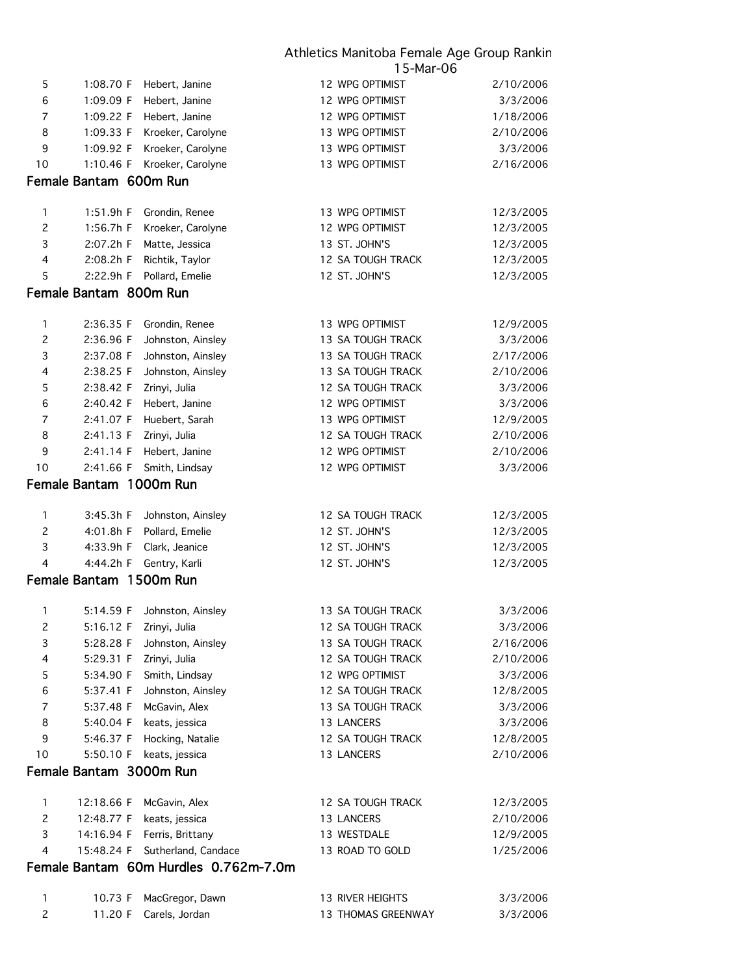|                           |                        |                                       | 15-Mar-06                |           |
|---------------------------|------------------------|---------------------------------------|--------------------------|-----------|
| 5                         | 1:08.70 F              | Hebert, Janine                        | 12 WPG OPTIMIST          | 2/10/2006 |
| 6                         | 1:09.09 F              | Hebert, Janine                        | 12 WPG OPTIMIST          | 3/3/2006  |
| $\overline{7}$            | 1:09.22 F              | Hebert, Janine                        | 12 WPG OPTIMIST          | 1/18/2006 |
| 8                         | 1:09.33 F              | Kroeker, Carolyne                     | 13 WPG OPTIMIST          | 2/10/2006 |
| 9                         | 1:09.92 F              | Kroeker, Carolyne                     | 13 WPG OPTIMIST          | 3/3/2006  |
| 10                        | 1:10.46 F              | Kroeker, Carolyne                     | 13 WPG OPTIMIST          | 2/16/2006 |
|                           | Female Bantam 600m Run |                                       |                          |           |
|                           |                        |                                       |                          |           |
| 1                         | 1:51.9h F              | Grondin, Renee                        | 13 WPG OPTIMIST          | 12/3/2005 |
| $\mathbf{2}$              | 1:56.7h F              | Kroeker, Carolyne                     | 12 WPG OPTIMIST          | 12/3/2005 |
| $\ensuremath{\mathsf{3}}$ | 2:07.2h F              | Matte, Jessica                        | 13 ST. JOHN'S            | 12/3/2005 |
| 4                         | 2:08.2h F              | Richtik, Taylor                       | 12 SA TOUGH TRACK        | 12/3/2005 |
| 5                         | 2:22.9h F              | Pollard, Emelie                       | 12 ST. JOHN'S            | 12/3/2005 |
|                           | Female Bantam 800m Run |                                       |                          |           |
| $\mathbf{1}$              | 2:36.35 F              | Grondin, Renee                        | 13 WPG OPTIMIST          | 12/9/2005 |
| $\overline{c}$            | 2:36.96 F              | Johnston, Ainsley                     | 13 SA TOUGH TRACK        | 3/3/2006  |
| 3                         | 2:37.08 F              | Johnston, Ainsley                     | 13 SA TOUGH TRACK        | 2/17/2006 |
| 4                         | 2:38.25 F              | Johnston, Ainsley                     | 13 SA TOUGH TRACK        | 2/10/2006 |
| 5                         | 2:38.42 F              | Zrinyi, Julia                         | 12 SA TOUGH TRACK        | 3/3/2006  |
| 6                         | 2:40.42 F              | Hebert, Janine                        | 12 WPG OPTIMIST          | 3/3/2006  |
| $\overline{7}$            | 2:41.07 F              | Huebert, Sarah                        | 13 WPG OPTIMIST          | 12/9/2005 |
| 8                         | 2:41.13 F              | Zrinyi, Julia                         | 12 SA TOUGH TRACK        | 2/10/2006 |
| 9                         | 2:41.14 F              | Hebert, Janine                        | 12 WPG OPTIMIST          | 2/10/2006 |
| 10                        | 2:41.66 F              | Smith, Lindsay                        | 12 WPG OPTIMIST          | 3/3/2006  |
|                           |                        | Female Bantam 1000m Run               |                          |           |
|                           |                        |                                       |                          |           |
| $\mathbf{1}$              | 3:45.3h F              | Johnston, Ainsley                     | 12 SA TOUGH TRACK        | 12/3/2005 |
| $\overline{c}$            | 4:01.8h F              | Pollard, Emelie                       | 12 ST. JOHN'S            | 12/3/2005 |
| 3                         | 4:33.9h F              | Clark, Jeanice                        | 12 ST. JOHN'S            | 12/3/2005 |
| 4                         | 4:44.2h F              | Gentry, Karli                         | 12 ST. JOHN'S            | 12/3/2005 |
|                           |                        | Female Bantam 1500m Run               |                          |           |
| 1                         | 5:14.59 F              | Johnston, Ainsley                     | 13 SA TOUGH TRACK        | 3/3/2006  |
| $\mathbf{2}$              | 5:16.12 F              | Zrinyi, Julia                         | 12 SA TOUGH TRACK        | 3/3/2006  |
| 3                         | 5:28.28 F              | Johnston, Ainsley                     | 13 SA TOUGH TRACK        | 2/16/2006 |
| 4                         | 5:29.31 F              | Zrinyi, Julia                         | <b>12 SA TOUGH TRACK</b> | 2/10/2006 |
| 5                         | 5:34.90 F              | Smith, Lindsay                        | 12 WPG OPTIMIST          | 3/3/2006  |
| 6                         | 5:37.41 F              | Johnston, Ainsley                     | <b>12 SA TOUGH TRACK</b> | 12/8/2005 |
| $\overline{7}$            | 5:37.48 F              | McGavin, Alex                         | 13 SA TOUGH TRACK        | 3/3/2006  |
| 8                         | 5:40.04 F              | keats, jessica                        | 13 LANCERS               | 3/3/2006  |
| 9                         | 5:46.37 F              | Hocking, Natalie                      | 12 SA TOUGH TRACK        | 12/8/2005 |
| 10                        | 5:50.10 F              | keats, jessica                        | 13 LANCERS               | 2/10/2006 |
|                           |                        | Female Bantam 3000m Run               |                          |           |
|                           |                        |                                       |                          |           |
| $\mathbf{1}$              | 12:18.66 F             | McGavin, Alex                         | 12 SA TOUGH TRACK        | 12/3/2005 |
| $\overline{c}$            | 12:48.77 F             | keats, jessica                        | 13 LANCERS               | 2/10/2006 |
| 3                         | 14:16.94 F             | Ferris, Brittany                      | 13 WESTDALE              | 12/9/2005 |
| 4                         | 15:48.24 F             | Sutherland, Candace                   | 13 ROAD TO GOLD          | 1/25/2006 |
|                           |                        | Female Bantam 60m Hurdles 0.762m-7.0m |                          |           |
|                           |                        |                                       |                          |           |

|  | 10.73 F MacGregor, Dawn | 13 RIVER HEIGHTS          | 3/3/2006 |
|--|-------------------------|---------------------------|----------|
|  | 11.20 F Carels, Jordan  | <b>13 THOMAS GREENWAY</b> | 3/3/2006 |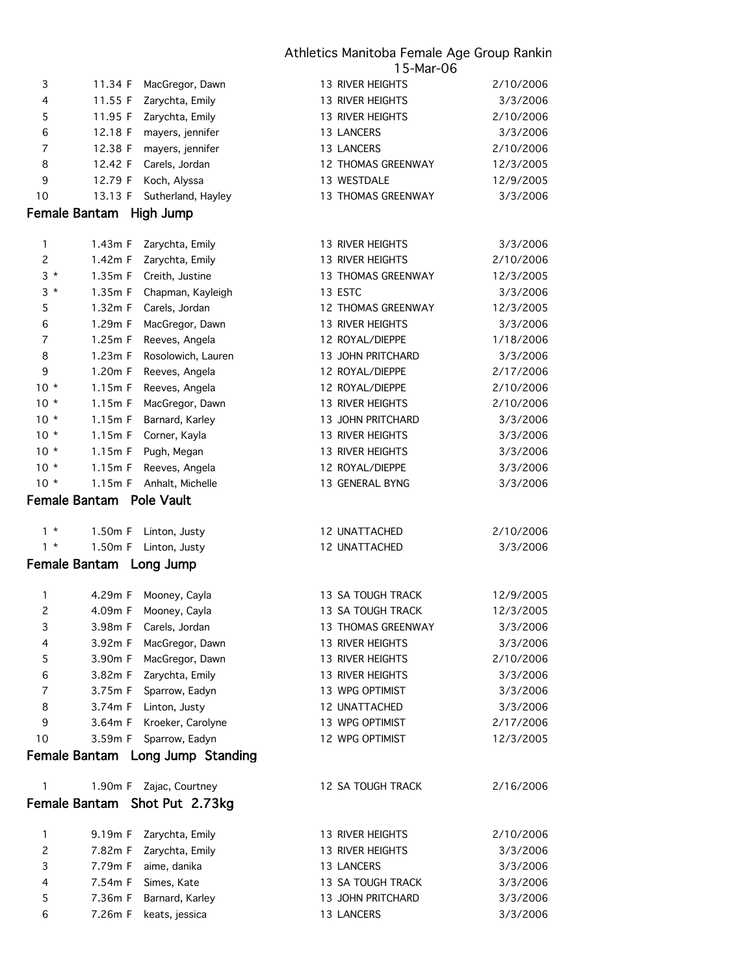| 3                        | 11.34 F                  | MacGregor, Dawn                  | 13 RIVER HEIGHTS        | 2/10/2006 |
|--------------------------|--------------------------|----------------------------------|-------------------------|-----------|
| $\overline{\mathcal{L}}$ | 11.55 F                  | Zarychta, Emily                  | <b>13 RIVER HEIGHTS</b> | 3/3/2006  |
| 5                        | 11.95 F                  | Zarychta, Emily                  | <b>13 RIVER HEIGHTS</b> | 2/10/2006 |
| 6                        | 12.18 F                  | mayers, jennifer                 | 13 LANCERS              | 3/3/2006  |
| 7                        | 12.38 F                  | mayers, jennifer                 | 13 LANCERS              | 2/10/2006 |
| 8                        | 12.42 F                  | Carels, Jordan                   | 12 THOMAS GREENWAY      | 12/3/2005 |
| 9                        | 12.79 F                  | Koch, Alyssa                     | 13 WESTDALE             | 12/9/2005 |
| 10                       | 13.13 F                  | Sutherland, Hayley               | 13 THOMAS GREENWAY      | 3/3/2006  |
|                          | Female Bantam High Jump  |                                  |                         |           |
|                          |                          |                                  |                         |           |
| $\mathbf{1}$             | 1.43m F                  | Zarychta, Emily                  | <b>13 RIVER HEIGHTS</b> | 3/3/2006  |
| $\overline{c}$           | 1.42m F                  | Zarychta, Emily                  | 13 RIVER HEIGHTS        | 2/10/2006 |
| $3 *$                    | 1.35m F                  | Creith, Justine                  | 13 THOMAS GREENWAY      | 12/3/2005 |
| $3 *$                    | 1.35m F                  | Chapman, Kayleigh                | 13 ESTC                 | 3/3/2006  |
| 5                        | 1.32m F                  | Carels, Jordan                   | 12 THOMAS GREENWAY      | 12/3/2005 |
| 6                        | 1.29m F                  | MacGregor, Dawn                  | 13 RIVER HEIGHTS        | 3/3/2006  |
| 7                        | 1.25m F                  | Reeves, Angela                   | 12 ROYAL/DIEPPE         | 1/18/2006 |
| 8                        | 1.23m F                  | Rosolowich, Lauren               | 13 JOHN PRITCHARD       | 3/3/2006  |
| 9                        | 1.20m F                  | Reeves, Angela                   | 12 ROYAL/DIEPPE         | 2/17/2006 |
| $10 *$                   | 1.15m F                  | Reeves, Angela                   | 12 ROYAL/DIEPPE         | 2/10/2006 |
| $10 *$                   | 1.15m F                  | MacGregor, Dawn                  | 13 RIVER HEIGHTS        | 2/10/2006 |
| $10 *$                   | 1.15m F                  | Barnard, Karley                  | 13 JOHN PRITCHARD       | 3/3/2006  |
| $10 *$                   | 1.15m F                  | Corner, Kayla                    | 13 RIVER HEIGHTS        | 3/3/2006  |
| $10 *$                   | 1.15m F                  | Pugh, Megan                      | 13 RIVER HEIGHTS        | 3/3/2006  |
| $10 *$                   | 1.15m F                  | Reeves, Angela                   | 12 ROYAL/DIEPPE         | 3/3/2006  |
| $10 *$                   | 1.15m F                  | Anhalt, Michelle                 | 13 GENERAL BYNG         | 3/3/2006  |
|                          | Female Bantam Pole Vault |                                  |                         |           |
|                          |                          |                                  |                         |           |
| $1 *$                    | 1.50m F                  | Linton, Justy                    | 12 UNATTACHED           | 2/10/2006 |
| $1 *$                    | 1.50m F                  | Linton, Justy                    | 12 UNATTACHED           | 3/3/2006  |
|                          | Female Bantam Long Jump  |                                  |                         |           |
| $\mathbf{1}$             | 4.29m F                  | Mooney, Cayla                    | 13 SA TOUGH TRACK       | 12/9/2005 |
| $\overline{c}$           | 4.09m F                  | Mooney, Cayla                    | 13 SA TOUGH TRACK       | 12/3/2005 |
| 3                        | 3.98m F                  | Carels, Jordan                   | 13 THOMAS GREENWAY      | 3/3/2006  |
| 4                        | 3.92m F                  | MacGregor, Dawn                  | 13 RIVER HEIGHTS        | 3/3/2006  |
| 5                        | 3.90m F                  | MacGregor, Dawn                  | 13 RIVER HEIGHTS        | 2/10/2006 |
| 6                        | 3.82m F                  | Zarychta, Emily                  | 13 RIVER HEIGHTS        | 3/3/2006  |
| 7                        | 3.75m F                  | Sparrow, Eadyn                   | 13 WPG OPTIMIST         | 3/3/2006  |
| 8                        | 3.74m F                  | Linton, Justy                    | 12 UNATTACHED           | 3/3/2006  |
| 9                        | 3.64m F                  | Kroeker, Carolyne                | 13 WPG OPTIMIST         | 2/17/2006 |
| 10                       | 3.59m F                  | Sparrow, Eadyn                   | 12 WPG OPTIMIST         | 12/3/2005 |
|                          |                          | Female Bantam Long Jump Standing |                         |           |
|                          |                          |                                  |                         |           |
| 1                        | 1.90m F                  | Zajac, Courtney                  | 12 SA TOUGH TRACK       | 2/16/2006 |
|                          |                          | Female Bantam Shot Put 2.73kg    |                         |           |
|                          |                          |                                  |                         |           |
| 1                        | 9.19m F                  | Zarychta, Emily                  | <b>13 RIVER HEIGHTS</b> | 2/10/2006 |
| 2                        | 7.82m F                  | Zarychta, Emily                  | <b>13 RIVER HEIGHTS</b> | 3/3/2006  |
| 3                        | 7.79m F                  | aime, danika                     | 13 LANCERS              | 3/3/2006  |
| 4                        | 7.54m F                  | Simes, Kate                      | 13 SA TOUGH TRACK       | 3/3/2006  |
| 5                        | 7.36m F                  | Barnard, Karley                  | 13 JOHN PRITCHARD       | 3/3/2006  |
| 6                        | 7.26m F                  | keats, jessica                   | 13 LANCERS              | 3/3/2006  |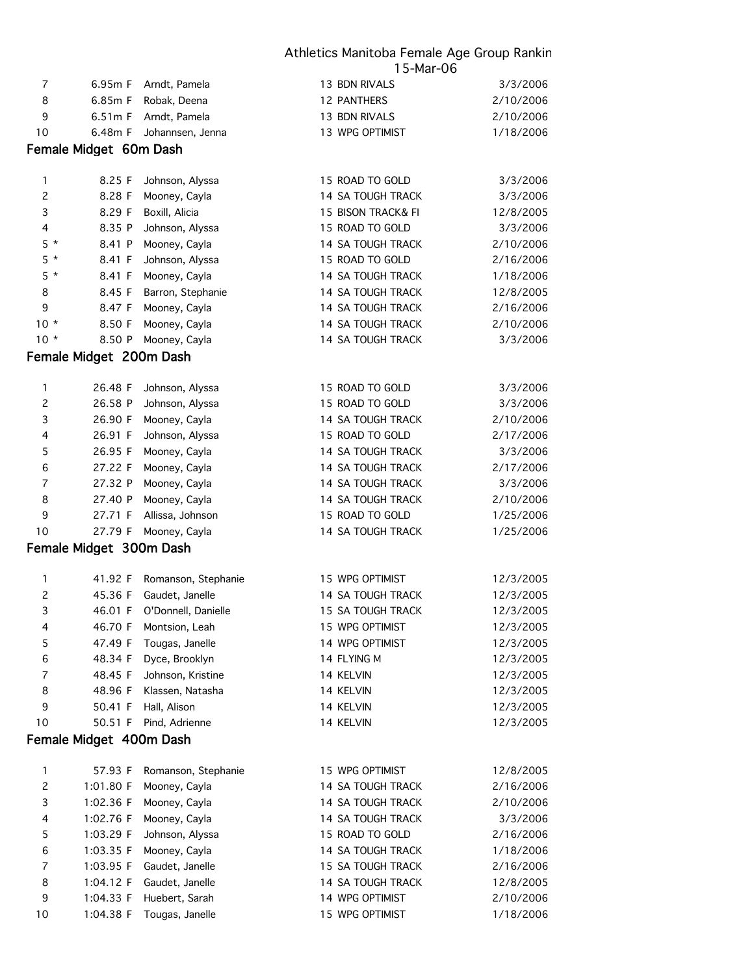| $\overline{7}$ | 6.95m F                 | Arndt, Pamela          | 13 BDN RIVALS      | 3/3/2006  |
|----------------|-------------------------|------------------------|--------------------|-----------|
| 8              | 6.85m F                 | Robak, Deena           | <b>12 PANTHERS</b> | 2/10/2006 |
| 9              | 6.51m F                 | Arndt, Pamela          | 13 BDN RIVALS      | 2/10/2006 |
| 10             | 6.48m F                 | Johannsen, Jenna       | 13 WPG OPTIMIST    | 1/18/2006 |
|                |                         |                        |                    |           |
|                | Female Midget 60m Dash  |                        |                    |           |
| 1              | 8.25 F                  | Johnson, Alyssa        | 15 ROAD TO GOLD    | 3/3/2006  |
| $\overline{c}$ | 8.28 F                  | Mooney, Cayla          | 14 SA TOUGH TRACK  | 3/3/2006  |
| 3              | 8.29 F                  | Boxill, Alicia         | 15 BISON TRACK& FI | 12/8/2005 |
| 4              |                         |                        | 15 ROAD TO GOLD    | 3/3/2006  |
| $5 *$          | 8.35 P                  | Johnson, Alyssa        |                    |           |
|                | 8.41 P                  | Mooney, Cayla          | 14 SA TOUGH TRACK  | 2/10/2006 |
| $5*$           | 8.41 F                  | Johnson, Alyssa        | 15 ROAD TO GOLD    | 2/16/2006 |
| $5*$           | 8.41 F                  | Mooney, Cayla          | 14 SA TOUGH TRACK  | 1/18/2006 |
| 8              | 8.45 F                  | Barron, Stephanie      | 14 SA TOUGH TRACK  | 12/8/2005 |
| 9              | 8.47 F                  | Mooney, Cayla          | 14 SA TOUGH TRACK  | 2/16/2006 |
| $10 *$         | 8.50 F                  | Mooney, Cayla          | 14 SA TOUGH TRACK  | 2/10/2006 |
| $10 *$         | 8.50 P                  | Mooney, Cayla          | 14 SA TOUGH TRACK  | 3/3/2006  |
|                | Female Midget 200m Dash |                        |                    |           |
|                |                         |                        |                    |           |
| 1              | 26.48 F                 | Johnson, Alyssa        | 15 ROAD TO GOLD    | 3/3/2006  |
| $\overline{c}$ | 26.58 P                 | Johnson, Alyssa        | 15 ROAD TO GOLD    | 3/3/2006  |
| 3              | 26.90 F                 | Mooney, Cayla          | 14 SA TOUGH TRACK  | 2/10/2006 |
| 4              | 26.91 F                 | Johnson, Alyssa        | 15 ROAD TO GOLD    | 2/17/2006 |
| 5              | 26.95 F                 | Mooney, Cayla          | 14 SA TOUGH TRACK  | 3/3/2006  |
| 6              | 27.22 F                 | Mooney, Cayla          | 14 SA TOUGH TRACK  | 2/17/2006 |
| $\overline{7}$ | 27.32 P                 | Mooney, Cayla          | 14 SA TOUGH TRACK  | 3/3/2006  |
| 8              | 27.40 P                 | Mooney, Cayla          | 14 SA TOUGH TRACK  | 2/10/2006 |
| 9              | 27.71 F                 | Allissa, Johnson       | 15 ROAD TO GOLD    | 1/25/2006 |
| 10             | 27.79 F                 | Mooney, Cayla          | 14 SA TOUGH TRACK  | 1/25/2006 |
|                | Female Midget 300m Dash |                        |                    |           |
|                |                         |                        |                    |           |
| 1              | 41.92 F                 | Romanson, Stephanie    | 15 WPG OPTIMIST    | 12/3/2005 |
| $\overline{c}$ | 45.36 F                 | Gaudet, Janelle        | 14 SA TOUGH TRACK  | 12/3/2005 |
| 3              | 46.01 F                 | O'Donnell, Danielle    | 15 SA TOUGH TRACK  | 12/3/2005 |
| 4              |                         | 46.70 F Montsion, Leah | 15 WPG OPTIMIST    | 12/3/2005 |
| 5              | 47.49 F                 | Tougas, Janelle        | 14 WPG OPTIMIST    | 12/3/2005 |
| 6              | 48.34 F                 | Dyce, Brooklyn         | 14 FLYING M        | 12/3/2005 |
| 7              | 48.45 F                 | Johnson, Kristine      | 14 KELVIN          | 12/3/2005 |
| 8              | 48.96 F                 | Klassen, Natasha       | 14 KELVIN          | 12/3/2005 |
| 9              | 50.41 F                 | Hall, Alison           | 14 KELVIN          | 12/3/2005 |
| 10             | 50.51 F                 | Pind, Adrienne         | 14 KELVIN          | 12/3/2005 |
|                | Female Midget 400m Dash |                        |                    |           |
|                |                         |                        |                    |           |
| 1              | 57.93 F                 | Romanson, Stephanie    | 15 WPG OPTIMIST    | 12/8/2005 |
| 2              | 1:01.80 F               | Mooney, Cayla          | 14 SA TOUGH TRACK  | 2/16/2006 |
| 3              | 1:02.36 F               | Mooney, Cayla          | 14 SA TOUGH TRACK  | 2/10/2006 |
| 4              | 1:02.76 F               | Mooney, Cayla          | 14 SA TOUGH TRACK  | 3/3/2006  |
| 5              | 1:03.29 F               | Johnson, Alyssa        | 15 ROAD TO GOLD    | 2/16/2006 |
| 6              | 1:03.35 F               | Mooney, Cayla          | 14 SA TOUGH TRACK  | 1/18/2006 |
| $\overline{7}$ | 1:03.95 F               | Gaudet, Janelle        | 15 SA TOUGH TRACK  | 2/16/2006 |
| 8              | 1:04.12 F               | Gaudet, Janelle        | 14 SA TOUGH TRACK  | 12/8/2005 |
| 9              | 1:04.33 F               | Huebert, Sarah         | 14 WPG OPTIMIST    | 2/10/2006 |
| 10             | 1:04.38 F               | Tougas, Janelle        | 15 WPG OPTIMIST    | 1/18/2006 |
|                |                         |                        |                    |           |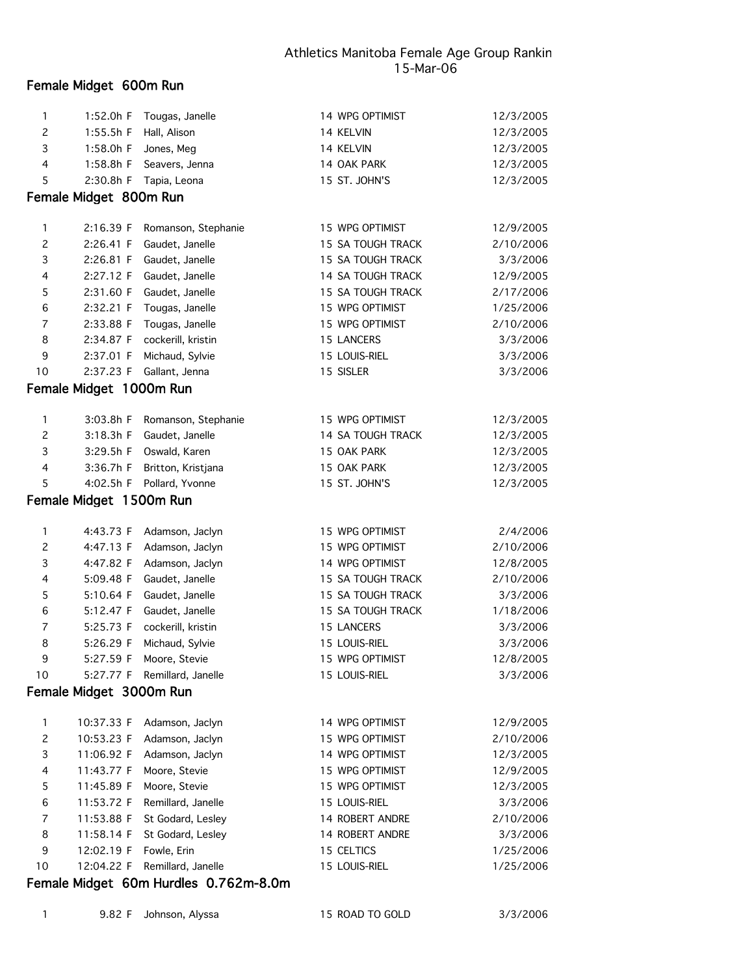| 1              | 1:52.0h F               | Tougas, Janelle     | 14 WPG OPTIMIST   | 12/3/2005 |
|----------------|-------------------------|---------------------|-------------------|-----------|
| 2              | 1:55.5h F               | Hall, Alison        | 14 KELVIN         | 12/3/2005 |
| 3              | 1:58.0h F               | Jones, Meg          | 14 KELVIN         | 12/3/2005 |
| 4              | 1:58.8h F               | Seavers, Jenna      | 14 OAK PARK       | 12/3/2005 |
| 5              | 2:30.8h F               | Tapia, Leona        | 15 ST. JOHN'S     | 12/3/2005 |
|                | Female Midget 800m Run  |                     |                   |           |
| 1              | 2:16.39 F               | Romanson, Stephanie | 15 WPG OPTIMIST   | 12/9/2005 |
| $\overline{c}$ | 2:26.41 F               | Gaudet, Janelle     | 15 SA TOUGH TRACK | 2/10/2006 |
| 3              | 2:26.81 F               | Gaudet, Janelle     | 15 SA TOUGH TRACK | 3/3/2006  |
| 4              | 2:27.12 F               | Gaudet, Janelle     | 14 SA TOUGH TRACK | 12/9/2005 |
| 5              | 2:31.60 F               | Gaudet, Janelle     | 15 SA TOUGH TRACK | 2/17/2006 |
| 6              | 2:32.21 F               | Tougas, Janelle     | 15 WPG OPTIMIST   | 1/25/2006 |
| 7              | 2:33.88 F               | Tougas, Janelle     | 15 WPG OPTIMIST   | 2/10/2006 |
| 8              | 2:34.87 F               | cockerill, kristin  | 15 LANCERS        | 3/3/2006  |
| 9              | 2:37.01 F               | Michaud, Sylvie     | 15 LOUIS-RIEL     | 3/3/2006  |
| 10             | 2:37.23 F               | Gallant, Jenna      | 15 SISLER         | 3/3/2006  |
|                | Female Midget 1000m Run |                     |                   |           |
| $\mathbf{1}$   | 3:03.8h F               | Romanson, Stephanie | 15 WPG OPTIMIST   | 12/3/2005 |
| $\overline{c}$ | 3:18.3h F               | Gaudet, Janelle     | 14 SA TOUGH TRACK | 12/3/2005 |
| 3              | 3:29.5h F               | Oswald, Karen       | 15 OAK PARK       | 12/3/2005 |
| 4              | 3:36.7h F               | Britton, Kristjana  | 15 OAK PARK       | 12/3/2005 |
| 5              | 4:02.5h F               | Pollard, Yvonne     | 15 ST. JOHN'S     | 12/3/2005 |
|                | Female Midget 1500m Run |                     |                   |           |
| $\mathbf{1}$   | 4:43.73 F               | Adamson, Jaclyn     | 15 WPG OPTIMIST   | 2/4/2006  |
| $\overline{c}$ | 4:47.13 F               | Adamson, Jaclyn     | 15 WPG OPTIMIST   | 2/10/2006 |
| 3              | 4:47.82 F               | Adamson, Jaclyn     | 14 WPG OPTIMIST   | 12/8/2005 |
| 4              | 5:09.48 F               | Gaudet, Janelle     | 15 SA TOUGH TRACK | 2/10/2006 |
| 5              | 5:10.64 F               | Gaudet, Janelle     | 15 SA TOUGH TRACK | 3/3/2006  |
| 6              | 5:12.47 F               | Gaudet, Janelle     | 15 SA TOUGH TRACK | 1/18/2006 |
| 7              | 5:25.73 F               | cockerill, kristin  | 15 LANCERS        | 3/3/2006  |
| 8              | 5:26.29 F               | Michaud, Sylvie     | 15 LOUIS-RIEL     | 3/3/2006  |
| 9              | 5:27.59 F               | Moore, Stevie       | 15 WPG OPTIMIST   | 12/8/2005 |
| 10             | 5:27.77 F               | Remillard, Janelle  | 15 LOUIS-RIEL     | 3/3/2006  |
|                | Female Midget 3000m Run |                     |                   |           |
| 1              | 10:37.33 F              | Adamson, Jaclyn     | 14 WPG OPTIMIST   | 12/9/2005 |
| $\overline{c}$ | 10:53.23 F              | Adamson, Jaclyn     | 15 WPG OPTIMIST   | 2/10/2006 |
| 3              | 11:06.92 F              | Adamson, Jaclyn     | 14 WPG OPTIMIST   | 12/3/2005 |
| 4              | 11:43.77 F              | Moore, Stevie       | 15 WPG OPTIMIST   | 12/9/2005 |
| 5              | 11:45.89 F              | Moore, Stevie       | 15 WPG OPTIMIST   | 12/3/2005 |
| 6              | 11:53.72 F              | Remillard, Janelle  | 15 LOUIS-RIEL     | 3/3/2006  |
| 7              | 11:53.88 F              | St Godard, Lesley   | 14 ROBERT ANDRE   | 2/10/2006 |
| 8              | 11:58.14 F              | St Godard, Lesley   | 14 ROBERT ANDRE   | 3/3/2006  |
| 9              | 12:02.19 F              | Fowle, Erin         | 15 CELTICS        | 1/25/2006 |
| 10             | 12:04.22 F              | Remillard, Janelle  | 15 LOUIS-RIEL     | 1/25/2006 |
|                |                         |                     |                   |           |

# Female Midget 60m Hurdles 0.762m-8.0m

1 9.82 F Johnson, Alyssa 15 ROAD TO GOLD 3/3/2006

Female Midget 600m Run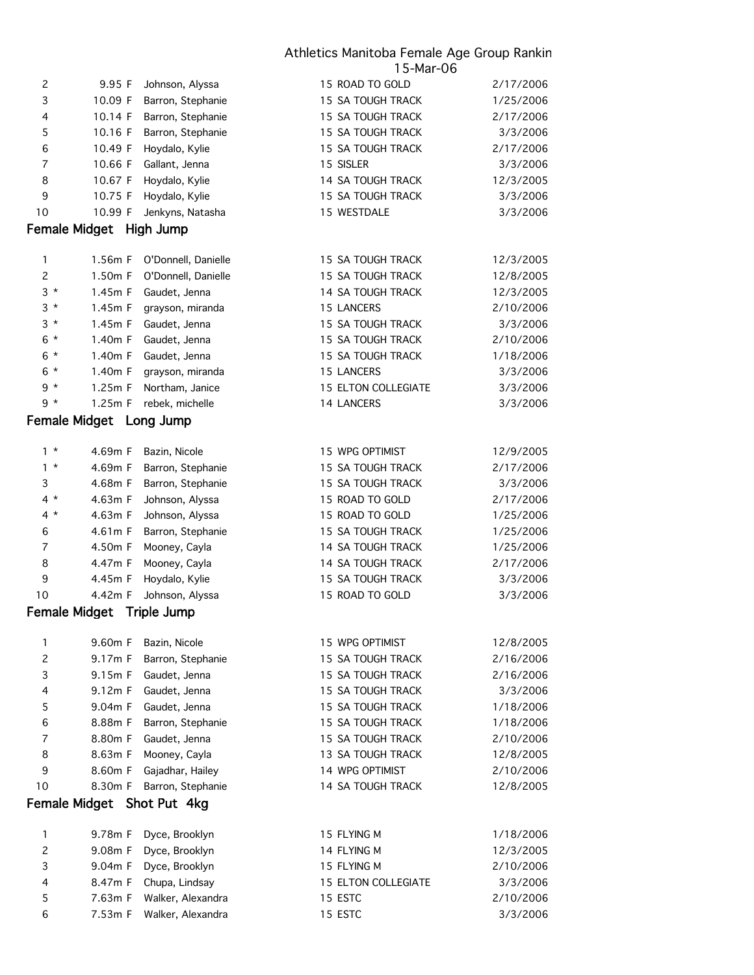| 6              | 10.49 F                 | Hoydalo, Kylie             | 15 SA TOUGH TRACK        | 2/17/2006 |
|----------------|-------------------------|----------------------------|--------------------------|-----------|
| 7              | 10.66 F                 | Gallant, Jenna             | 15 SISLER                | 3/3/2006  |
| 8              | 10.67 F                 | Hoydalo, Kylie             | <b>14 SA TOUGH TRACK</b> | 12/3/2005 |
| 9              | 10.75 F                 | Hoydalo, Kylie             | 15 SA TOUGH TRACK        | 3/3/2006  |
| 10             | 10.99 F                 | Jenkyns, Natasha           | 15 WESTDALE              | 3/3/2006  |
|                | Female Midget High Jump |                            |                          |           |
| 1              | 1.56m F                 | O'Donnell, Danielle        | 15 SA TOUGH TRACK        | 12/3/2005 |
| $\overline{c}$ | 1.50m F                 | O'Donnell, Danielle        | <b>15 SA TOUGH TRACK</b> | 12/8/2005 |
| $3*$           | 1.45m F                 | Gaudet, Jenna              | 14 SA TOUGH TRACK        | 12/3/2005 |
| $3*$           | 1.45m F                 | grayson, miranda           | <b>15 LANCERS</b>        | 2/10/2006 |
| $3 *$          | 1.45m F                 | Gaudet, Jenna              | 15 SA TOUGH TRACK        | 3/3/2006  |
| $6*$           | 1.40m F                 | Gaudet, Jenna              | 15 SA TOUGH TRACK        | 2/10/2006 |
| 6 *            | 1.40m F                 | Gaudet, Jenna              | 15 SA TOUGH TRACK        | 1/18/2006 |
| $6*$           | 1.40m F                 | grayson, miranda           | 15 LANCERS               | 3/3/2006  |
| $9 *$          | 1.25m F                 | Northam, Janice            | 15 ELTON COLLEGIATE      | 3/3/2006  |
| $9 *$          | 1.25m F                 | rebek, michelle            | 14 LANCERS               | 3/3/2006  |
|                | Female Midget Long Jump |                            |                          |           |
| $1 *$          | 4.69m F                 | Bazin, Nicole              | 15 WPG OPTIMIST          | 12/9/2005 |
| $1 *$          | 4.69m F                 | Barron, Stephanie          | 15 SA TOUGH TRACK        | 2/17/2006 |
| 3              | 4.68m F                 | Barron, Stephanie          | 15 SA TOUGH TRACK        | 3/3/2006  |
| $4 *$          | 4.63m F                 | Johnson, Alyssa            | 15 ROAD TO GOLD          | 2/17/2006 |
| $4 *$          | 4.63m F                 | Johnson, Alyssa            | 15 ROAD TO GOLD          | 1/25/2006 |
| 6              | 4.61m F                 | Barron, Stephanie          | 15 SA TOUGH TRACK        | 1/25/2006 |
| $\overline{7}$ | 4.50m F                 | Mooney, Cayla              | 14 SA TOUGH TRACK        | 1/25/2006 |
| 8              | 4.47m F                 | Mooney, Cayla              | 14 SA TOUGH TRACK        | 2/17/2006 |
| 9              | 4.45m F                 | Hoydalo, Kylie             | 15 SA TOUGH TRACK        | 3/3/2006  |
| 10             | 4.42m F                 | Johnson, Alyssa            | 15 ROAD TO GOLD          | 3/3/2006  |
| Female Midget  |                         | Triple Jump                |                          |           |
| 1              | 9.60m F                 | Bazin, Nicole              | 15 WPG OPTIMIST          | 12/8/2005 |
| 2              | 9.17m F                 | Barron, Stephanie          | 15 SA TOUGH TRACK        | 2/16/2006 |
| 3              | 9.15m F                 | Gaudet, Jenna              | 15 SA TOUGH TRACK        | 2/16/2006 |
| 4              | 9.12m F                 | Gaudet, Jenna              | 15 SA TOUGH TRACK        | 3/3/2006  |
| 5              | 9.04m F                 | Gaudet, Jenna              | 15 SA TOUGH TRACK        | 1/18/2006 |
| 6              | 8.88m F                 | Barron, Stephanie          | 15 SA TOUGH TRACK        | 1/18/2006 |
| 7              | 8.80m F                 | Gaudet, Jenna              | 15 SA TOUGH TRACK        | 2/10/2006 |
| 8              | 8.63m F                 | Mooney, Cayla              | 13 SA TOUGH TRACK        | 12/8/2005 |
| 9              | 8.60m F                 | Gajadhar, Hailey           | 14 WPG OPTIMIST          | 2/10/2006 |
| 10             | 8.30m F                 | Barron, Stephanie          | 14 SA TOUGH TRACK        | 12/8/2005 |
|                |                         | Female Midget Shot Put 4kg |                          |           |
| 1              | 9.78m F                 | Dyce, Brooklyn             | 15 FLYING M              | 1/18/2006 |
| $\overline{c}$ | 9.08m F                 | Dyce, Brooklyn             | 14 FLYING M              | 12/3/2005 |
| 3              | 9.04m F                 | Dyce, Brooklyn             | 15 FLYING M              | 2/10/2006 |
| 4              | 8.47m F                 | Chupa, Lindsay             | 15 ELTON COLLEGIATE      | 3/3/2006  |
| 5              | 7.63m F                 | Walker, Alexandra          | 15 ESTC                  | 2/10/2006 |
| 6              | 7.53m F                 | Walker, Alexandra          | 15 ESTC                  | 3/3/2006  |
|                |                         |                            |                          |           |

2 9.95 F Johnson, Alyssa 15 ROAD TO GOLD 2/17/2006 3 10.09 F Barron, Stephanie 15 SA TOUGH TRACK 1/25/2006 4 10.14 F Barron, Stephanie 15 SA TOUGH TRACK 2/17/2006 5 10.16 F Barron, Stephanie 15 SA TOUGH TRACK 3/3/2006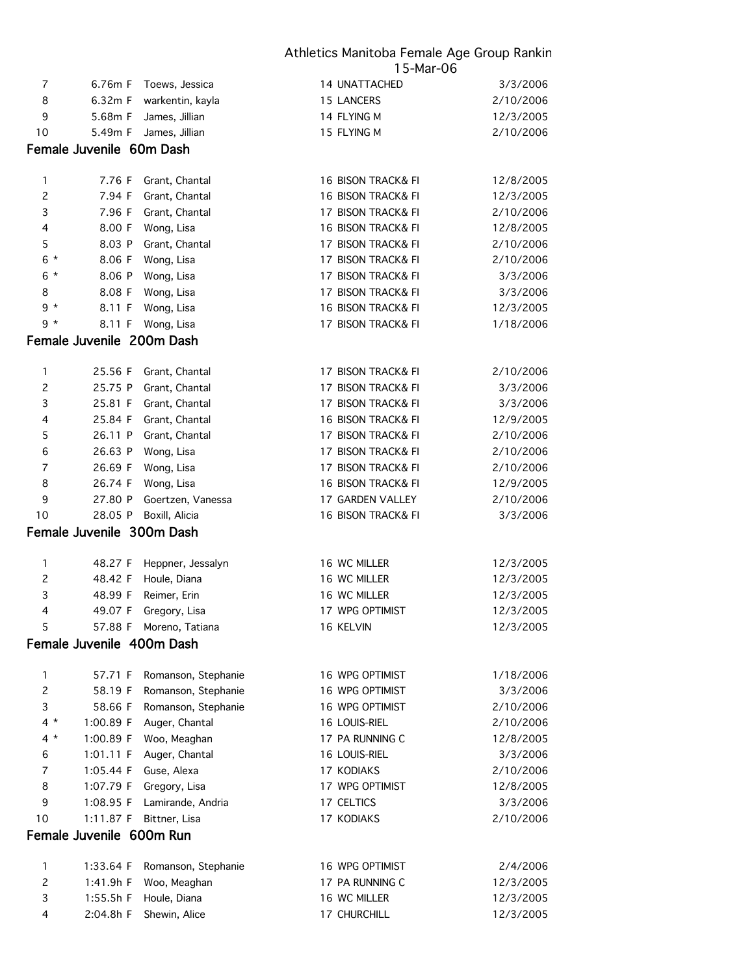|                   |                           |                                            | ou-indi-cu                                          |                       |
|-------------------|---------------------------|--------------------------------------------|-----------------------------------------------------|-----------------------|
| 7                 | 6.76m F                   | Toews, Jessica                             | 14 UNATTACHED                                       | 3/3/2006              |
| 8                 | 6.32m F                   | warkentin, kayla                           | 15 LANCERS                                          | 2/10/2006             |
| 9                 | 5.68m F                   | James, Jillian                             | 14 FLYING M                                         | 12/3/2005             |
| 10                | 5.49m F                   | James, Jillian                             | 15 FLYING M                                         | 2/10/2006             |
|                   | Female Juvenile 60m Dash  |                                            |                                                     |                       |
|                   |                           |                                            |                                                     |                       |
| 1                 | 7.76 F                    | Grant, Chantal                             | 16 BISON TRACK& FI                                  | 12/8/2005             |
| $\overline{c}$    | 7.94 F                    | Grant, Chantal                             | 16 BISON TRACK& FI                                  | 12/3/2005             |
| 3                 | 7.96 F<br>8.00 F          | Grant, Chantal                             | 17 BISON TRACK& FI<br><b>16 BISON TRACK&amp; FI</b> | 2/10/2006             |
| 4                 |                           | Wong, Lisa                                 | 17 BISON TRACK& FI                                  | 12/8/2005             |
| 5                 | 8.03 P                    | Grant, Chantal                             |                                                     | 2/10/2006             |
| $6*$<br>$6*$      | 8.06 F                    | Wong, Lisa                                 | 17 BISON TRACK& FI<br>17 BISON TRACK& FI            | 2/10/2006<br>3/3/2006 |
| 8                 | 8.06 P<br>8.08 F          | Wong, Lisa                                 | 17 BISON TRACK& FI                                  | 3/3/2006              |
| $9 *$             | 8.11 F                    | Wong, Lisa<br>Wong, Lisa                   | 16 BISON TRACK& FI                                  | 12/3/2005             |
| 9 *               | 8.11 F                    | Wong, Lisa                                 | 17 BISON TRACK& FI                                  | 1/18/2006             |
|                   |                           |                                            |                                                     |                       |
|                   | Female Juvenile 200m Dash |                                            |                                                     |                       |
| 1                 | 25.56 F                   | Grant, Chantal                             | 17 BISON TRACK& FI                                  | 2/10/2006             |
| $\overline{c}$    | 25.75 P                   | Grant, Chantal                             | 17 BISON TRACK& FI                                  | 3/3/2006              |
| 3                 | 25.81 F                   | Grant, Chantal                             | 17 BISON TRACK& FI                                  | 3/3/2006              |
| 4                 | 25.84 F                   | Grant, Chantal                             | 16 BISON TRACK& FI                                  | 12/9/2005             |
| 5                 | 26.11 P                   | Grant, Chantal                             | 17 BISON TRACK& FI                                  | 2/10/2006             |
| 6                 | 26.63 P                   | Wong, Lisa                                 | 17 BISON TRACK& FI                                  | 2/10/2006             |
| 7                 | 26.69 F                   | Wong, Lisa                                 | 17 BISON TRACK& FI                                  | 2/10/2006             |
| 8                 | 26.74 F                   | Wong, Lisa                                 | 16 BISON TRACK& FI                                  | 12/9/2005             |
| 9                 | 27.80 P                   | Goertzen, Vanessa                          | 17 GARDEN VALLEY                                    | 2/10/2006             |
| 10                | 28.05 P                   | Boxill, Alicia                             | 16 BISON TRACK& FI                                  | 3/3/2006              |
|                   | Female Juvenile 300m Dash |                                            |                                                     |                       |
| 1                 | 48.27 F                   | Heppner, Jessalyn                          | 16 WC MILLER                                        | 12/3/2005             |
| 2                 | 48.42 F                   | Houle, Diana                               | 16 WC MILLER                                        | 12/3/2005             |
| 3                 | 48.99 F                   | Reimer, Erin                               | 16 WC MILLER                                        | 12/3/2005             |
| 4                 | 49.07 F                   | Gregory, Lisa                              | 17 WPG OPTIMIST                                     | 12/3/2005             |
| 5                 | 57.88 F                   | Moreno, Tatiana                            | 16 KELVIN                                           | 12/3/2005             |
|                   | Female Juvenile 400m Dash |                                            |                                                     |                       |
|                   |                           |                                            |                                                     |                       |
| 1<br>$\mathbf{2}$ | 57.71 F                   | Romanson, Stephanie<br>Romanson, Stephanie | 16 WPG OPTIMIST<br>16 WPG OPTIMIST                  | 1/18/2006<br>3/3/2006 |
| 3                 | 58.19 F<br>58.66 F        | Romanson, Stephanie                        | 16 WPG OPTIMIST                                     | 2/10/2006             |
| $4 *$             | 1:00.89 F                 | Auger, Chantal                             | 16 LOUIS-RIEL                                       | 2/10/2006             |
| $4 *$             | 1:00.89 F                 | Woo, Meaghan                               | 17 PA RUNNING C                                     | 12/8/2005             |
| 6                 | 1:01.11 F                 | Auger, Chantal                             | 16 LOUIS-RIEL                                       | 3/3/2006              |
| $\overline{7}$    | 1:05.44 F                 | Guse, Alexa                                | 17 KODIAKS                                          | 2/10/2006             |
| 8                 | 1:07.79 F                 | Gregory, Lisa                              | 17 WPG OPTIMIST                                     | 12/8/2005             |
| 9                 | 1:08.95 F                 | Lamirande, Andria                          | 17 CELTICS                                          | 3/3/2006              |
| 10                | 1:11.87 F                 | Bittner, Lisa                              | 17 KODIAKS                                          | 2/10/2006             |
|                   | Female Juvenile 600m Run  |                                            |                                                     |                       |
|                   |                           |                                            |                                                     |                       |
| 1                 | 1:33.64 F                 | Romanson, Stephanie                        | 16 WPG OPTIMIST                                     | 2/4/2006              |
| $\overline{c}$    | 1:41.9h F                 | Woo, Meaghan                               | 17 PA RUNNING C                                     | 12/3/2005             |
| 3                 | 1:55.5h F                 | Houle, Diana                               | 16 WC MILLER                                        | 12/3/2005             |
| 4                 | 2:04.8h F                 | Shewin, Alice                              | 17 CHURCHILL                                        | 12/3/2005             |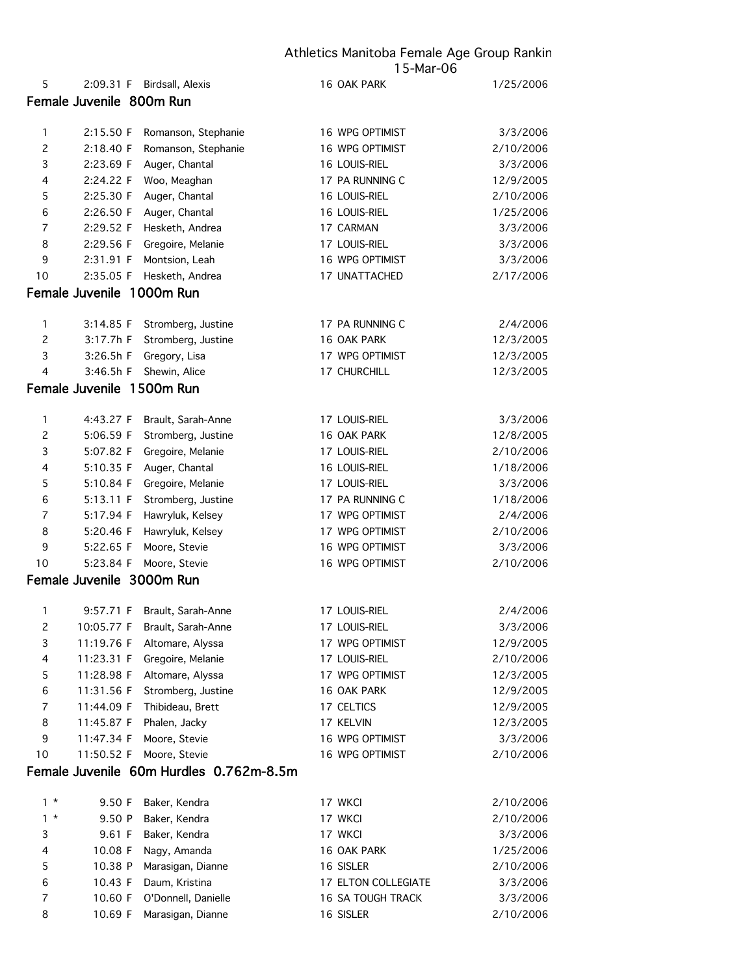| 3              | 2:23.69 F                 | Auger, Chantal                          | 16 LOUIS-RIEL       | 3/3/2006  |
|----------------|---------------------------|-----------------------------------------|---------------------|-----------|
| 4              | 2:24.22 F                 | Woo, Meaghan                            | 17 PA RUNNING C     | 12/9/2005 |
| 5              | 2:25.30 F                 | Auger, Chantal                          | 16 LOUIS-RIEL       | 2/10/2006 |
| 6              | 2:26.50 F                 | Auger, Chantal                          | 16 LOUIS-RIEL       | 1/25/2006 |
| $\overline{7}$ | 2:29.52 F                 | Hesketh, Andrea                         | 17 CARMAN           | 3/3/2006  |
| 8              | 2:29.56 F                 | Gregoire, Melanie                       | 17 LOUIS-RIEL       | 3/3/2006  |
| 9              | 2:31.91 F                 | Montsion, Leah                          | 16 WPG OPTIMIST     | 3/3/2006  |
| 10             | 2:35.05 F                 | Hesketh, Andrea                         | 17 UNATTACHED       | 2/17/2006 |
|                | Female Juvenile 1000m Run |                                         |                     |           |
| 1              | 3:14.85 F                 | Stromberg, Justine                      | 17 PA RUNNING C     | 2/4/2006  |
| $\overline{c}$ | 3:17.7h F                 | Stromberg, Justine                      | 16 OAK PARK         | 12/3/2005 |
| 3              | 3:26.5h F                 | Gregory, Lisa                           | 17 WPG OPTIMIST     | 12/3/2005 |
| 4              | 3:46.5h F                 | Shewin, Alice                           | 17 CHURCHILL        | 12/3/2005 |
|                | Female Juvenile 1500m Run |                                         |                     |           |
| $\mathbf{1}$   | 4:43.27 F                 | Brault, Sarah-Anne                      | 17 LOUIS-RIEL       | 3/3/2006  |
| $\mathsf{S}$   | 5:06.59 F                 | Stromberg, Justine                      | 16 OAK PARK         | 12/8/2005 |
| 3              | 5:07.82 F                 | Gregoire, Melanie                       | 17 LOUIS-RIEL       | 2/10/2006 |
| 4              | 5:10.35 F                 | Auger, Chantal                          | 16 LOUIS-RIEL       | 1/18/2006 |
| 5              | 5:10.84 F                 | Gregoire, Melanie                       | 17 LOUIS-RIEL       | 3/3/2006  |
| 6              | 5:13.11 F                 | Stromberg, Justine                      | 17 PA RUNNING C     | 1/18/2006 |
| $\overline{7}$ | 5:17.94 F                 | Hawryluk, Kelsey                        | 17 WPG OPTIMIST     | 2/4/2006  |
| 8              | 5:20.46 F                 | Hawryluk, Kelsey                        | 17 WPG OPTIMIST     | 2/10/2006 |
| 9              | 5:22.65 F                 | Moore, Stevie                           | 16 WPG OPTIMIST     | 3/3/2006  |
| 10             | 5:23.84 F                 | Moore, Stevie                           | 16 WPG OPTIMIST     | 2/10/2006 |
|                | Female Juvenile 3000m Run |                                         |                     |           |
| 1              | 9:57.71 F                 | Brault, Sarah-Anne                      | 17 LOUIS-RIEL       | 2/4/2006  |
| $\mathsf{S}$   | 10:05.77 F                | Brault, Sarah-Anne                      | 17 LOUIS-RIEL       | 3/3/2006  |
| 3              | 11:19.76 F                | Altomare, Alyssa                        | 17 WPG OPTIMIST     | 12/9/2005 |
| 4              | 11:23.31 F                | Gregoire, Melanie                       | 17 LOUIS-RIEL       | 2/10/2006 |
| 5              | 11:28.98 F                | Altomare, Alyssa                        | 17 WPG OPTIMIST     | 12/3/2005 |
| 6              | 11:31.56 F                | Stromberg, Justine                      | 16 OAK PARK         | 12/9/2005 |
| $\overline{7}$ | 11:44.09 F                | Thibideau, Brett                        | 17 CELTICS          | 12/9/2005 |
| 8              | 11:45.87 F                | Phalen, Jacky                           | 17 KELVIN           | 12/3/2005 |
| 9              | 11:47.34 F                | Moore, Stevie                           | 16 WPG OPTIMIST     | 3/3/2006  |
| 10             | 11:50.52 F                | Moore, Stevie                           | 16 WPG OPTIMIST     | 2/10/2006 |
|                |                           | Female Juvenile 60m Hurdles 0.762m-8.5m |                     |           |
| $1 *$          | 9.50 F                    | Baker, Kendra                           | 17 WKCI             | 2/10/2006 |
| $1 *$          | 9.50 P                    | Baker, Kendra                           | 17 WKCI             | 2/10/2006 |
| 3              | 9.61 F                    | Baker, Kendra                           | 17 WKCI             | 3/3/2006  |
| 4              | 10.08 F                   | Nagy, Amanda                            | 16 OAK PARK         | 1/25/2006 |
| 5              | 10.38 P                   | Marasigan, Dianne                       | 16 SISLER           | 2/10/2006 |
| 6              | 10.43 F                   | Daum, Kristina                          | 17 ELTON COLLEGIATE | 3/3/2006  |
| 7              | 10.60 F                   | O'Donnell, Danielle                     | 16 SA TOUGH TRACK   | 3/3/2006  |
| 8              | 10.69 F                   | Marasigan, Dianne                       | 16 SISLER           | 2/10/2006 |
|                |                           |                                         |                     |           |

5 2:09.31 F Birdsall, Alexis 16 OAK PARK 1/25/2006

1 2:15.50 F Romanson, Stephanie 16 WPG OPTIMIST 3/3/2006 2 2:18.40 F Romanson, Stephanie 16 WPG OPTIMIST 2/10/2006

Female Juvenile 800m Run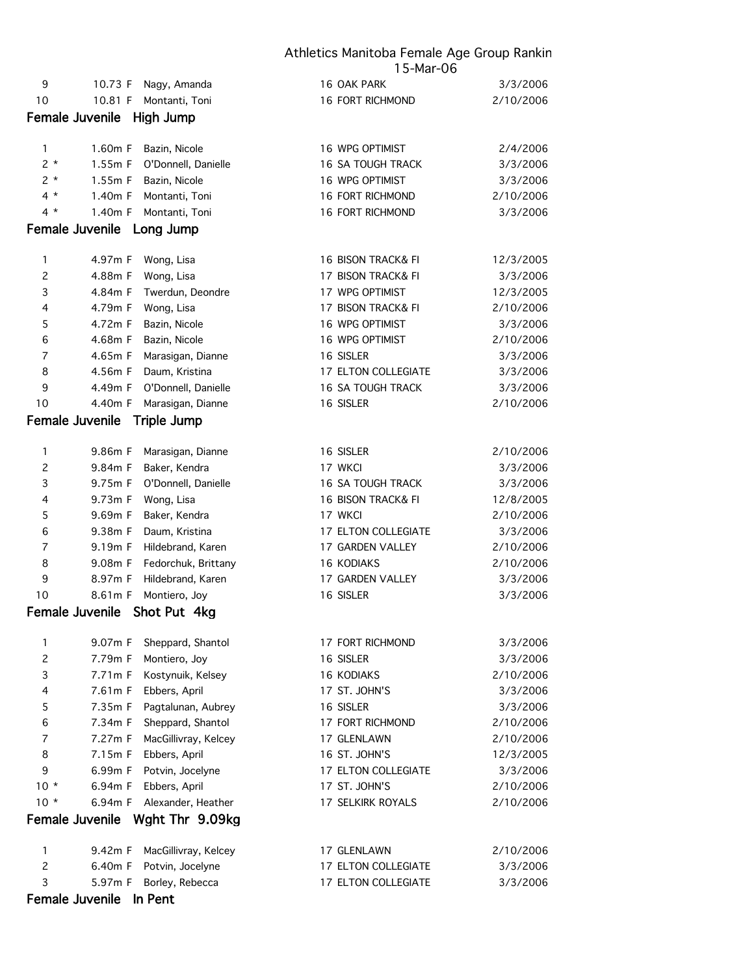| 9                         | 10.73 F                | Nagy, Amanda                 | 16 OAK PARK              | 3/3/2006  |
|---------------------------|------------------------|------------------------------|--------------------------|-----------|
| 10                        | 10.81 F                | Montanti, Toni               | <b>16 FORT RICHMOND</b>  | 2/10/2006 |
|                           | Female Juvenile        | High Jump                    |                          |           |
| 1                         | 1.60m F                | Bazin, Nicole                | 16 WPG OPTIMIST          | 2/4/2006  |
| $2 *$                     | 1.55m F                | O'Donnell, Danielle          | 16 SA TOUGH TRACK        | 3/3/2006  |
| $2 *$                     | 1.55m F                | Bazin, Nicole                | 16 WPG OPTIMIST          | 3/3/2006  |
| $4 *$                     | 1.40m F                | Montanti, Toni               | 16 FORT RICHMOND         | 2/10/2006 |
| $4 *$                     | 1.40m F                | Montanti, Toni               | 16 FORT RICHMOND         | 3/3/2006  |
|                           |                        | Female Juvenile Long Jump    |                          |           |
| 1                         | 4.97m F                | Wong, Lisa                   | 16 BISON TRACK& FI       | 12/3/2005 |
| $\overline{c}$            | 4.88m F                | Wong, Lisa                   | 17 BISON TRACK& FI       | 3/3/2006  |
| $\ensuremath{\mathsf{3}}$ | 4.84m F                | Twerdun, Deondre             | 17 WPG OPTIMIST          | 12/3/2005 |
| 4                         | 4.79m F                | Wong, Lisa                   | 17 BISON TRACK& FI       | 2/10/2006 |
| 5                         | 4.72m F                | Bazin, Nicole                | 16 WPG OPTIMIST          | 3/3/2006  |
| 6                         | 4.68m F                | Bazin, Nicole                | 16 WPG OPTIMIST          | 2/10/2006 |
| $\boldsymbol{7}$          | 4.65m F                | Marasigan, Dianne            | 16 SISLER                | 3/3/2006  |
| 8                         | 4.56m F                | Daum, Kristina               | 17 ELTON COLLEGIATE      | 3/3/2006  |
| 9                         | 4.49m F                | O'Donnell, Danielle          | 16 SA TOUGH TRACK        | 3/3/2006  |
| 10                        | 4.40m F                | Marasigan, Dianne            | 16 SISLER                | 2/10/2006 |
|                           | Female Juvenile        | Triple Jump                  |                          |           |
| $\mathbf{1}$              | 9.86m F                | Marasigan, Dianne            | 16 SISLER                | 2/10/2006 |
| $\overline{c}$            | 9.84m F                | Baker, Kendra                | 17 WKCI                  | 3/3/2006  |
| $\ensuremath{\mathsf{3}}$ | 9.75m F                | O'Donnell, Danielle          | <b>16 SA TOUGH TRACK</b> | 3/3/2006  |
| 4                         | 9.73m F                | Wong, Lisa                   | 16 BISON TRACK& FI       | 12/8/2005 |
| 5                         | 9.69m F                | Baker, Kendra                | 17 WKCI                  | 2/10/2006 |
| 6                         | 9.38m F                | Daum, Kristina               | 17 ELTON COLLEGIATE      | 3/3/2006  |
| $\boldsymbol{7}$          | 9.19m F                | Hildebrand, Karen            | 17 GARDEN VALLEY         | 2/10/2006 |
| 8                         | 9.08m F                | Fedorchuk, Brittany          | 16 KODIAKS               | 2/10/2006 |
| 9                         | 8.97m F                | Hildebrand, Karen            | 17 GARDEN VALLEY         | 3/3/2006  |
| 10                        | 8.61m F                | Montiero, Joy                | 16 SISLER                | 3/3/2006  |
|                           |                        | Female Juvenile Shot Put 4kg |                          |           |
| 1                         | 9.07m F                | Sheppard, Shantol            | 17 FORT RICHMOND         | 3/3/2006  |
| $\overline{c}$            | 7.79m F                | Montiero, Joy                | 16 SISLER                | 3/3/2006  |
| 3                         | 7.71m F                | Kostynuik, Kelsey            | 16 KODIAKS               | 2/10/2006 |
| 4                         | 7.61m F                | Ebbers, April                | 17 ST. JOHN'S            | 3/3/2006  |
| $\mathsf S$               | 7.35m F                | Pagtalunan, Aubrey           | 16 SISLER                | 3/3/2006  |
| $\,6$                     | 7.34m F                | Sheppard, Shantol            | 17 FORT RICHMOND         | 2/10/2006 |
| 7                         | 7.27m F                | MacGillivray, Kelcey         | 17 GLENLAWN              | 2/10/2006 |
| 8                         | 7.15m F                | Ebbers, April                | 16 ST. JOHN'S            | 12/3/2005 |
| 9                         | 6.99m F                | Potvin, Jocelyne             | 17 ELTON COLLEGIATE      | 3/3/2006  |
| $10 *$                    | 6.94m F                | Ebbers, April                | 17 ST. JOHN'S            | 2/10/2006 |
| $10 *$                    | 6.94m F                | Alexander, Heather           | 17 SELKIRK ROYALS        | 2/10/2006 |
|                           | Female Juvenile        | Wght Thr 9.09kg              |                          |           |
| 1                         | 9.42m F                | MacGillivray, Kelcey         | 17 GLENLAWN              | 2/10/2006 |
| $\overline{c}$            | 6.40m F                | Potvin, Jocelyne             | 17 ELTON COLLEGIATE      | 3/3/2006  |
| 3                         | 5.97m F                | Borley, Rebecca              | 17 ELTON COLLEGIATE      | 3/3/2006  |
|                           | <b>Female Juvenile</b> | In Pent                      |                          |           |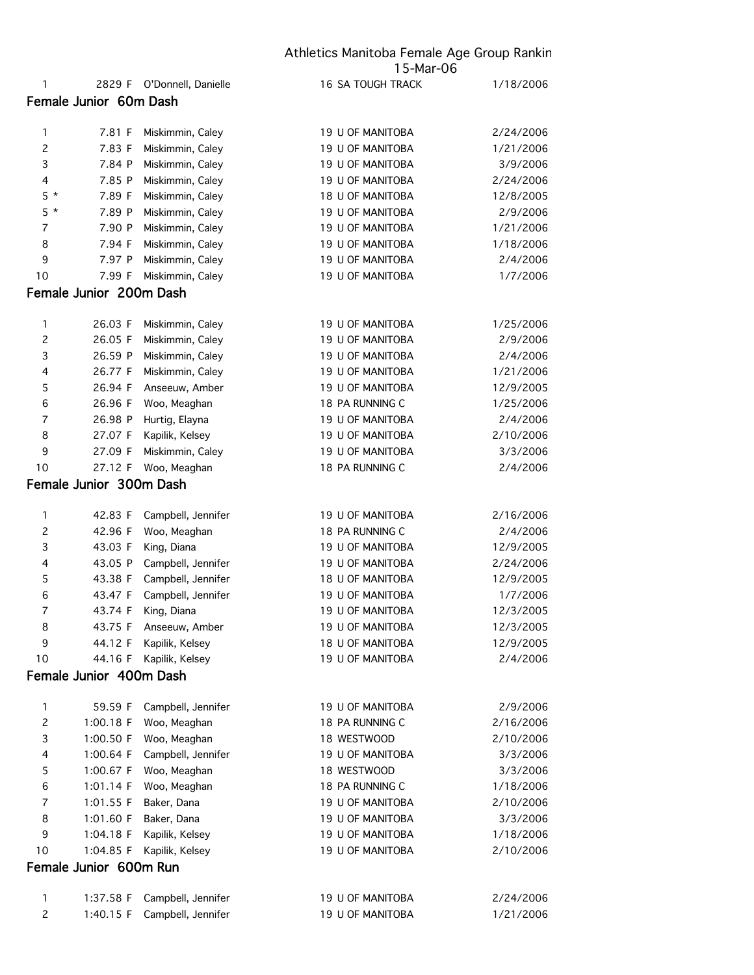|                |                                    |                                    | Athletics Manitoba Female Age Group Rankin |           |  |
|----------------|------------------------------------|------------------------------------|--------------------------------------------|-----------|--|
| 1              |                                    | 2829 F O'Donnell, Danielle         | 15-Mar-06<br><b>16 SA TOUGH TRACK</b>      | 1/18/2006 |  |
|                | Female Junior 60m Dash             |                                    |                                            |           |  |
|                |                                    |                                    |                                            |           |  |
| 1              | 7.81 F                             | Miskimmin, Caley                   | 19 U OF MANITOBA                           | 2/24/2006 |  |
| $\overline{c}$ | 7.83 F                             | Miskimmin, Caley                   | 19 U OF MANITOBA                           | 1/21/2006 |  |
| 3              | 7.84 P                             | Miskimmin, Caley                   | 19 U OF MANITOBA                           | 3/9/2006  |  |
| 4              | 7.85 P                             | Miskimmin, Caley                   | 19 U OF MANITOBA                           | 2/24/2006 |  |
| $5 *$          | 7.89 F                             | Miskimmin, Caley                   | 18 U OF MANITOBA                           | 12/8/2005 |  |
| $5 *$          | 7.89 P                             | Miskimmin, Caley                   | 19 U OF MANITOBA                           | 2/9/2006  |  |
| 7              | 7.90 P                             | Miskimmin, Caley                   | 19 U OF MANITOBA                           | 1/21/2006 |  |
| 8              | 7.94 F                             | Miskimmin, Caley                   | 19 U OF MANITOBA                           | 1/18/2006 |  |
| 9              | 7.97 P                             | Miskimmin, Caley                   | 19 U OF MANITOBA                           | 2/4/2006  |  |
| 10             | 7.99 F                             | Miskimmin, Caley                   | 19 U OF MANITOBA                           | 1/7/2006  |  |
|                | Female Junior 200m Dash            |                                    |                                            |           |  |
|                |                                    |                                    |                                            |           |  |
| 1              | 26.03 F                            | Miskimmin, Caley                   | 19 U OF MANITOBA                           | 1/25/2006 |  |
| $\overline{c}$ | 26.05 F                            | Miskimmin, Caley                   | 19 U OF MANITOBA                           | 2/9/2006  |  |
| 3              | 26.59 P                            | Miskimmin, Caley                   | 19 U OF MANITOBA                           | 2/4/2006  |  |
| 4              | 26.77 F                            | Miskimmin, Caley                   | 19 U OF MANITOBA                           | 1/21/2006 |  |
| 5              | 26.94 F                            | Anseeuw, Amber                     | 19 U OF MANITOBA                           | 12/9/2005 |  |
| 6              | 26.96 F                            | Woo, Meaghan                       | 18 PA RUNNING C                            | 1/25/2006 |  |
| 7              | 26.98 P                            | Hurtig, Elayna                     | 19 U OF MANITOBA                           | 2/4/2006  |  |
| 8              | 27.07 F                            | Kapilik, Kelsey                    | 19 U OF MANITOBA                           | 2/10/2006 |  |
| 9              | 27.09 F                            | Miskimmin, Caley                   | 19 U OF MANITOBA                           | 3/3/2006  |  |
| 10             | 27.12 F                            | Woo, Meaghan                       | 18 PA RUNNING C                            | 2/4/2006  |  |
|                | Female Junior 300m Dash            |                                    |                                            |           |  |
|                |                                    |                                    |                                            |           |  |
| 1              | 42.83 F                            | Campbell, Jennifer                 | 19 U OF MANITOBA                           | 2/16/2006 |  |
| $\overline{c}$ | 42.96 F                            | Woo, Meaghan                       | 18 PA RUNNING C                            | 2/4/2006  |  |
| 3              | 43.03 F                            | King, Diana                        | 19 U OF MANITOBA                           | 12/9/2005 |  |
| 4              | 43.05 P                            | Campbell, Jennifer                 | 19 U OF MANITOBA                           | 2/24/2006 |  |
| 5<br>6         | 43.38 F                            | Campbell, Jennifer                 | 18 U OF MANITOBA                           | 12/9/2005 |  |
|                | 43.47 F                            | Campbell, Jennifer                 | 19 U OF MANITOBA                           | 1/7/2006  |  |
| 7<br>8         | 43.74 F<br>43.75 F                 | King, Diana                        | 19 U OF MANITOBA<br>19 U OF MANITOBA       | 12/3/2005 |  |
| 9              | 44.12 F                            | Anseeuw, Amber                     | 18 U OF MANITOBA                           | 12/3/2005 |  |
|                |                                    | Kapilik, Kelsey<br>Kapilik, Kelsey |                                            | 12/9/2005 |  |
| 10             | 44.16 F<br>Female Junior 400m Dash |                                    | 19 U OF MANITOBA                           | 2/4/2006  |  |
|                |                                    |                                    |                                            |           |  |
| 1              | 59.59 F                            | Campbell, Jennifer                 | 19 U OF MANITOBA                           | 2/9/2006  |  |
| $\overline{c}$ | 1:00.18 F                          | Woo, Meaghan                       | 18 PA RUNNING C                            | 2/16/2006 |  |
| 3              | 1:00.50 F                          | Woo, Meaghan                       | 18 WESTWOOD                                | 2/10/2006 |  |
| 4              | 1:00.64 F                          | Campbell, Jennifer                 | 19 U OF MANITOBA                           | 3/3/2006  |  |
| 5              | 1:00.67 F                          | Woo, Meaghan                       | 18 WESTWOOD                                | 3/3/2006  |  |
| 6              | 1:01.14 F                          | Woo, Meaghan                       | 18 PA RUNNING C                            | 1/18/2006 |  |
| 7              | 1:01.55 F                          | Baker, Dana                        | 19 U OF MANITOBA                           | 2/10/2006 |  |
| 8              | 1:01.60 F                          | Baker, Dana                        | 19 U OF MANITOBA                           | 3/3/2006  |  |
| 9              | 1:04.18 F                          | Kapilik, Kelsey                    | 19 U OF MANITOBA                           | 1/18/2006 |  |
| 10             | 1:04.85 F                          | Kapilik, Kelsey                    | 19 U OF MANITOBA                           | 2/10/2006 |  |
|                | Female Junior 600m Run             |                                    |                                            |           |  |
|                |                                    |                                    |                                            |           |  |
| 1              | 1:37.58 F                          | Campbell, Jennifer                 | 19 U OF MANITOBA                           | 2/24/2006 |  |
| $\overline{c}$ | 1:40.15 F                          | Campbell, Jennifer                 | 19 U OF MANITOBA                           | 1/21/2006 |  |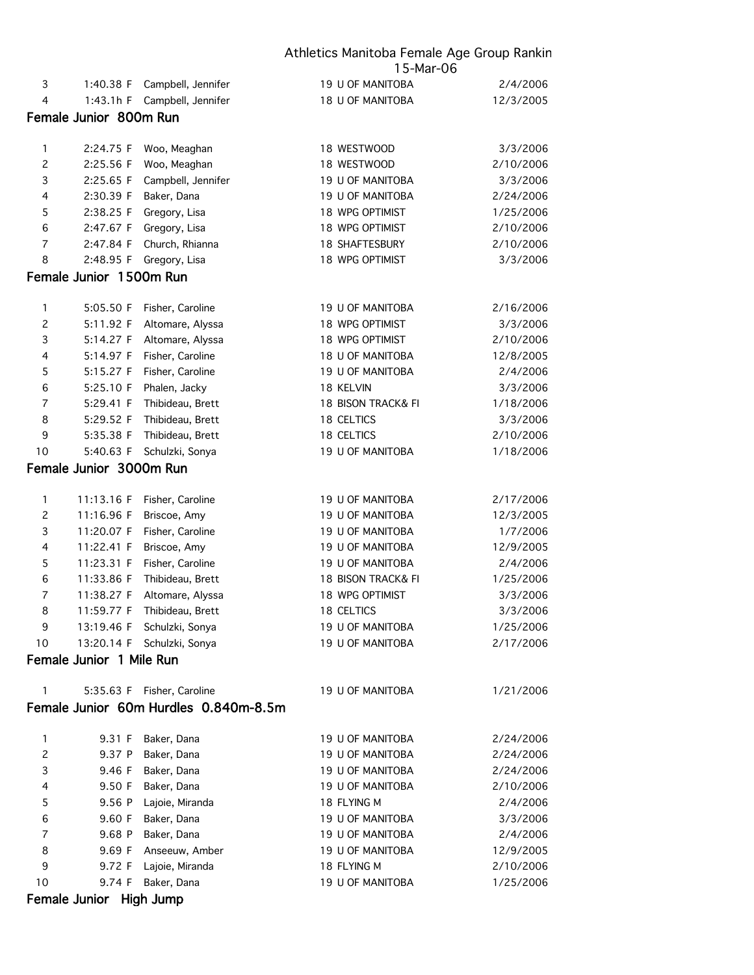|                |                          | Athletics Manitoba Female Age Group Rankir<br>15-Mar-06 |                        |           |  |
|----------------|--------------------------|---------------------------------------------------------|------------------------|-----------|--|
| 3              | 1:40.38 F                | Campbell, Jennifer                                      | 19 U OF MANITOBA       | 2/4/2006  |  |
| $\overline{4}$ | 1:43.1h F                | Campbell, Jennifer                                      | 18 U OF MANITOBA       | 12/3/2005 |  |
|                | Female Junior 800m Run   |                                                         |                        |           |  |
|                |                          |                                                         |                        |           |  |
| 1              | 2:24.75 F                | Woo, Meaghan                                            | 18 WESTWOOD            | 3/3/2006  |  |
| $\mathbf{2}$   | 2:25.56 F                | Woo, Meaghan                                            | 18 WESTWOOD            | 2/10/2006 |  |
| 3              | 2:25.65 F                | Campbell, Jennifer                                      | 19 U OF MANITOBA       | 3/3/2006  |  |
| 4              | 2:30.39 F                | Baker, Dana                                             | 19 U OF MANITOBA       | 2/24/2006 |  |
| 5              | 2:38.25 F                | Gregory, Lisa                                           | 18 WPG OPTIMIST        | 1/25/2006 |  |
| 6              | 2:47.67 F                | Gregory, Lisa                                           | 18 WPG OPTIMIST        | 2/10/2006 |  |
| $\overline{7}$ | 2:47.84 F                | Church, Rhianna                                         | <b>18 SHAFTESBURY</b>  | 2/10/2006 |  |
| 8              | 2:48.95 F                | Gregory, Lisa                                           | 18 WPG OPTIMIST        | 3/3/2006  |  |
|                | Female Junior 1500m Run  |                                                         |                        |           |  |
|                |                          |                                                         |                        |           |  |
| 1              | 5:05.50 F                | Fisher, Caroline                                        | 19 U OF MANITOBA       | 2/16/2006 |  |
| $\mathbf{2}$   | 5:11.92 F                | Altomare, Alyssa                                        | <b>18 WPG OPTIMIST</b> | 3/3/2006  |  |
| 3              | 5:14.27 F                | Altomare, Alyssa                                        | 18 WPG OPTIMIST        | 2/10/2006 |  |
| 4              | 5:14.97 F                | Fisher, Caroline                                        | 18 U OF MANITOBA       | 12/8/2005 |  |
| 5              | 5:15.27 F                | Fisher, Caroline                                        | 19 U OF MANITOBA       | 2/4/2006  |  |
| 6              | 5:25.10 F                | Phalen, Jacky                                           | 18 KELVIN              | 3/3/2006  |  |
| $\overline{7}$ | 5:29.41 F                | Thibideau, Brett                                        | 18 BISON TRACK& FI     | 1/18/2006 |  |
| 8              | 5:29.52 F                | Thibideau, Brett                                        | 18 CELTICS             | 3/3/2006  |  |
| 9              | 5:35.38 F                | Thibideau, Brett                                        | 18 CELTICS             | 2/10/2006 |  |
| 10             | 5:40.63 F                | Schulzki, Sonya                                         | 19 U OF MANITOBA       | 1/18/2006 |  |
|                | Female Junior 3000m Run  |                                                         |                        |           |  |
|                |                          |                                                         |                        |           |  |
| 1              | 11:13.16 F               | Fisher, Caroline                                        | 19 U OF MANITOBA       | 2/17/2006 |  |
| $\mathbf{2}$   | 11:16.96 F               | Briscoe, Amy                                            | 19 U OF MANITOBA       | 12/3/2005 |  |
| 3              | 11:20.07 F               | Fisher, Caroline                                        | 19 U OF MANITOBA       | 1/7/2006  |  |
| 4              | 11:22.41 F               | Briscoe, Amy                                            | 19 U OF MANITOBA       | 12/9/2005 |  |
| 5              | 11:23.31 F               | Fisher, Caroline                                        | 19 U OF MANITOBA       | 2/4/2006  |  |
| 6              | 11:33.86 F               | Thibideau, Brett                                        | 18 BISON TRACK& FI     | 1/25/2006 |  |
| $\overline{7}$ | 11:38.27 F               | Altomare, Alyssa                                        | <b>18 WPG OPTIMIST</b> | 3/3/2006  |  |
| 8              | 11:59.77 F               | Thibideau, Brett                                        | <b>18 CELTICS</b>      | 3/3/2006  |  |
| 9              | 13:19.46 F               | Schulzki, Sonya                                         | 19 U OF MANITOBA       | 1/25/2006 |  |
| 10             | 13:20.14 F               | Schulzki, Sonya                                         | 19 U OF MANITOBA       | 2/17/2006 |  |
|                | Female Junior 1 Mile Run |                                                         |                        |           |  |
| 1              |                          | 5:35.63 F Fisher, Caroline                              | 19 U OF MANITOBA       | 1/21/2006 |  |
|                |                          | Female Junior 60m Hurdles 0.840m-8.5m                   |                        |           |  |
| 1              | 9.31 F                   | Baker, Dana                                             | 19 U OF MANITOBA       | 2/24/2006 |  |
| $\overline{c}$ | 9.37 P                   | Baker, Dana                                             | 19 U OF MANITOBA       | 2/24/2006 |  |
| 3              | 9.46 F                   | Baker, Dana                                             | 19 U OF MANITOBA       | 2/24/2006 |  |
| 4              | 9.50 F                   | Baker, Dana                                             | 19 U OF MANITOBA       | 2/10/2006 |  |
| 5              | 9.56 P                   | Lajoie, Miranda                                         | 18 FLYING M            | 2/4/2006  |  |
| 6              | 9.60 F                   | Baker, Dana                                             | 19 U OF MANITOBA       | 3/3/2006  |  |
| $\overline{7}$ | 9.68 P                   | Baker, Dana                                             | 19 U OF MANITOBA       | 2/4/2006  |  |
| 8              | 9.69 F                   | Anseeuw, Amber                                          | 19 U OF MANITOBA       | 12/9/2005 |  |
| 9              | 9.72 F                   | Lajoie, Miranda                                         | 18 FLYING M            | 2/10/2006 |  |
| 10             | 9.74 F                   | Baker, Dana                                             | 19 U OF MANITOBA       | 1/25/2006 |  |
|                |                          |                                                         |                        |           |  |

Female Junior High Jump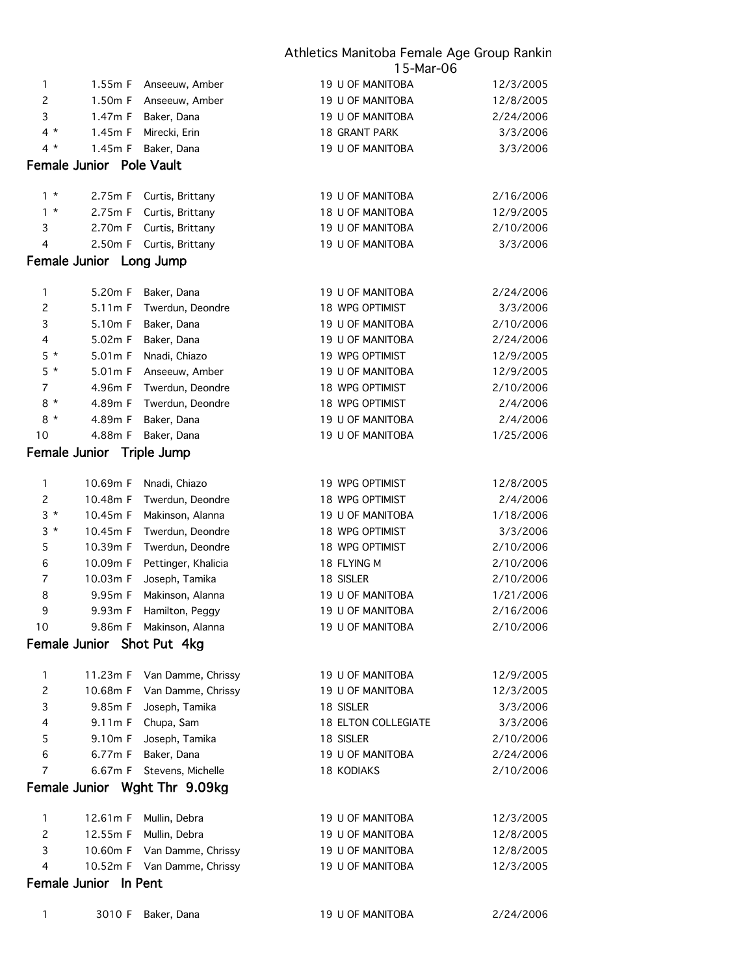|                |                                 |                               | 15-Mar-06           |           |  |
|----------------|---------------------------------|-------------------------------|---------------------|-----------|--|
| 1              | 1.55m F                         | Anseeuw, Amber                | 19 U OF MANITOBA    | 12/3/2005 |  |
| $\mathsf{S}$   | 1.50m F                         | Anseeuw, Amber                | 19 U OF MANITOBA    | 12/8/2005 |  |
| 3              | 1.47m F                         | Baker, Dana                   | 19 U OF MANITOBA    | 2/24/2006 |  |
| $4 *$          | 1.45m F                         | Mirecki, Erin                 | 18 GRANT PARK       | 3/3/2006  |  |
| $4 *$          | 1.45m F                         | Baker, Dana                   | 19 U OF MANITOBA    | 3/3/2006  |  |
|                | <b>Female Junior</b> Pole Vault |                               |                     |           |  |
| $1 *$          | 2.75m F                         | Curtis, Brittany              | 19 U OF MANITOBA    | 2/16/2006 |  |
| $1 *$          | 2.75m F                         | Curtis, Brittany              | 18 U OF MANITOBA    | 12/9/2005 |  |
| 3              | 2.70m F                         | Curtis, Brittany              | 19 U OF MANITOBA    | 2/10/2006 |  |
| 4              | 2.50m F                         | Curtis, Brittany              | 19 U OF MANITOBA    | 3/3/2006  |  |
|                | Female Junior Long Jump         |                               |                     |           |  |
| 1              | 5.20m F                         | Baker, Dana                   | 19 U OF MANITOBA    | 2/24/2006 |  |
| $\overline{c}$ | 5.11m F                         | Twerdun, Deondre              | 18 WPG OPTIMIST     | 3/3/2006  |  |
| 3              | 5.10m F                         | Baker, Dana                   | 19 U OF MANITOBA    | 2/10/2006 |  |
| 4              | 5.02m F                         | Baker, Dana                   | 19 U OF MANITOBA    | 2/24/2006 |  |
| $5*$           | 5.01m F                         | Nnadi, Chiazo                 | 19 WPG OPTIMIST     | 12/9/2005 |  |
| $5*$           | 5.01m F                         | Anseeuw, Amber                | 19 U OF MANITOBA    | 12/9/2005 |  |
| 7              | 4.96m F                         | Twerdun, Deondre              | 18 WPG OPTIMIST     | 2/10/2006 |  |
| $8*$           | 4.89m F                         | Twerdun, Deondre              | 18 WPG OPTIMIST     | 2/4/2006  |  |
| $8*$           | 4.89m F                         | Baker, Dana                   | 19 U OF MANITOBA    | 2/4/2006  |  |
| 10             | 4.88m F                         | Baker, Dana                   | 19 U OF MANITOBA    | 1/25/2006 |  |
|                | Female Junior Triple Jump       |                               |                     |           |  |
| 1              | 10.69m F                        | Nnadi, Chiazo                 | 19 WPG OPTIMIST     | 12/8/2005 |  |
| $\overline{c}$ | 10.48m F                        | Twerdun, Deondre              | 18 WPG OPTIMIST     | 2/4/2006  |  |
| $3 *$          | 10.45m F                        | Makinson, Alanna              | 19 U OF MANITOBA    | 1/18/2006 |  |
| $3*$           | 10.45m F                        | Twerdun, Deondre              | 18 WPG OPTIMIST     | 3/3/2006  |  |
| 5              | 10.39m F                        | Twerdun, Deondre              | 18 WPG OPTIMIST     | 2/10/2006 |  |
| 6              | 10.09m F                        | Pettinger, Khalicia           | 18 FLYING M         | 2/10/2006 |  |
| $\overline{7}$ | 10.03m F                        | Joseph, Tamika                | 18 SISLER           | 2/10/2006 |  |
| 8              | 9.95m F                         | Makinson, Alanna              | 19 U OF MANITOBA    | 1/21/2006 |  |
| 9              |                                 | 9.93m F Hamilton, Peggy       | 19 U OF MANITOBA    | 2/16/2006 |  |
| 10             | 9.86m F                         | Makinson, Alanna              | 19 U OF MANITOBA    | 2/10/2006 |  |
|                | Female Junior Shot Put 4kg      |                               |                     |           |  |
| 1              | 11.23m F                        | Van Damme, Chrissy            | 19 U OF MANITOBA    | 12/9/2005 |  |
| $\mathbf{2}$   | 10.68m F                        | Van Damme, Chrissy            | 19 U OF MANITOBA    | 12/3/2005 |  |
| 3              | 9.85m F                         | Joseph, Tamika                | 18 SISLER           | 3/3/2006  |  |
| 4              | 9.11m F                         | Chupa, Sam                    | 18 ELTON COLLEGIATE | 3/3/2006  |  |
| 5              | 9.10m F                         | Joseph, Tamika                | 18 SISLER           | 2/10/2006 |  |
| 6              | 6.77m F                         | Baker, Dana                   | 19 U OF MANITOBA    | 2/24/2006 |  |
| $\overline{7}$ | 6.67m F                         | Stevens, Michelle             | <b>18 KODIAKS</b>   | 2/10/2006 |  |
|                |                                 | Female Junior Wght Thr 9.09kg |                     |           |  |
| 1              | 12.61m F                        | Mullin, Debra                 | 19 U OF MANITOBA    | 12/3/2005 |  |
| $\overline{c}$ | 12.55m F                        | Mullin, Debra                 | 19 U OF MANITOBA    | 12/8/2005 |  |
| 3              | 10.60m F                        | Van Damme, Chrissy            | 19 U OF MANITOBA    | 12/8/2005 |  |
| 4              |                                 | 10.52m F Van Damme, Chrissy   | 19 U OF MANITOBA    | 12/3/2005 |  |
|                | Female Junior In Pent           |                               |                     |           |  |
| 1              | 3010 F                          | Baker, Dana                   | 19 U OF MANITOBA    | 2/24/2006 |  |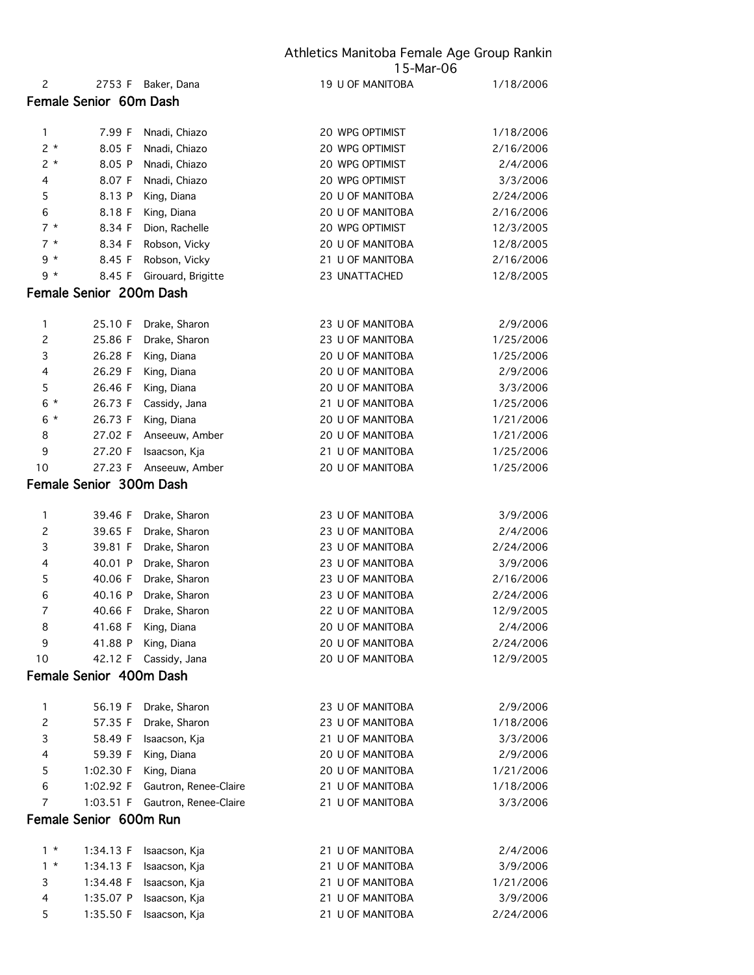|                |                         |                       | 15-Mar-06               |           |
|----------------|-------------------------|-----------------------|-------------------------|-----------|
| $\overline{c}$ | 2753 F                  | Baker, Dana           | 19 U OF MANITOBA        | 1/18/2006 |
|                | Female Senior 60m Dash  |                       |                         |           |
| 1              | 7.99 F                  | Nnadi, Chiazo         | 20 WPG OPTIMIST         | 1/18/2006 |
| $2 *$          | 8.05 F                  | Nnadi, Chiazo         | 20 WPG OPTIMIST         | 2/16/2006 |
| $2*$           | 8.05 P                  | Nnadi, Chiazo         | 20 WPG OPTIMIST         | 2/4/2006  |
| 4              | 8.07 F                  | Nnadi, Chiazo         | 20 WPG OPTIMIST         | 3/3/2006  |
| 5              | 8.13 P                  | King, Diana           | 20 U OF MANITOBA        | 2/24/2006 |
| 6              | 8.18 F                  | King, Diana           | 20 U OF MANITOBA        | 2/16/2006 |
| $7 *$          | 8.34 F                  | Dion, Rachelle        | 20 WPG OPTIMIST         | 12/3/2005 |
| $7 *$          | 8.34 F                  | Robson, Vicky         | 20 U OF MANITOBA        | 12/8/2005 |
| $9 *$          | 8.45 F                  | Robson, Vicky         | 21 U OF MANITOBA        | 2/16/2006 |
| 9 *            | 8.45 F                  | Girouard, Brigitte    | 23 UNATTACHED           | 12/8/2005 |
|                | Female Senior 200m Dash |                       |                         |           |
|                |                         |                       |                         |           |
| 1              | 25.10 F                 | Drake, Sharon         | 23 U OF MANITOBA        | 2/9/2006  |
| $\overline{c}$ | 25.86 F                 | Drake, Sharon         | 23 U OF MANITOBA        | 1/25/2006 |
| 3              | 26.28 F                 | King, Diana           | 20 U OF MANITOBA        | 1/25/2006 |
| 4              | 26.29 F                 | King, Diana           | 20 U OF MANITOBA        | 2/9/2006  |
| 5              | 26.46 F                 | King, Diana           | <b>20 U OF MANITOBA</b> | 3/3/2006  |
| $6*$           | 26.73 F                 | Cassidy, Jana         | 21 U OF MANITOBA        | 1/25/2006 |
| $6*$           | 26.73 F                 | King, Diana           | 20 U OF MANITOBA        | 1/21/2006 |
| 8              | 27.02 F                 | Anseeuw, Amber        | 20 U OF MANITOBA        | 1/21/2006 |
| 9              | 27.20 F                 | Isaacson, Kja         | 21 U OF MANITOBA        | 1/25/2006 |
| 10             | 27.23 F                 | Anseeuw, Amber        | 20 U OF MANITOBA        | 1/25/2006 |
|                | Female Senior 300m Dash |                       |                         |           |
| 1              | 39.46 F                 | Drake, Sharon         | 23 U OF MANITOBA        | 3/9/2006  |
| $\overline{c}$ | 39.65 F                 | Drake, Sharon         | 23 U OF MANITOBA        | 2/4/2006  |
| 3              | 39.81 F                 | Drake, Sharon         | 23 U OF MANITOBA        | 2/24/2006 |
| 4              | 40.01 P                 | Drake, Sharon         | 23 U OF MANITOBA        | 3/9/2006  |
| 5              | 40.06 F                 | Drake, Sharon         | 23 U OF MANITOBA        | 2/16/2006 |
| 6              | 40.16 P                 | Drake, Sharon         | 23 U OF MANITOBA        | 2/24/2006 |
| $\overline{7}$ | 40.66 F                 | Drake, Sharon         | 22 U OF MANITOBA        | 12/9/2005 |
| 8              | 41.68 F                 | King, Diana           | 20 U OF MANITOBA        | 2/4/2006  |
| 9              | 41.88 P                 | King, Diana           | 20 U OF MANITOBA        | 2/24/2006 |
| 10             | 42.12 F                 | Cassidy, Jana         | 20 U OF MANITOBA        | 12/9/2005 |
|                | Female Senior 400m Dash |                       |                         |           |
| 1              | 56.19 F                 | Drake, Sharon         | 23 U OF MANITOBA        | 2/9/2006  |
| $\overline{c}$ | 57.35 F                 | Drake, Sharon         | 23 U OF MANITOBA        | 1/18/2006 |
| 3              | 58.49 F                 | Isaacson, Kja         | 21 U OF MANITOBA        | 3/3/2006  |
| 4              | 59.39 F                 | King, Diana           | 20 U OF MANITOBA        | 2/9/2006  |
| 5              | 1:02.30 F               | King, Diana           | 20 U OF MANITOBA        | 1/21/2006 |
| 6              | 1:02.92 F               | Gautron, Renee-Claire | 21 U OF MANITOBA        | 1/18/2006 |
| $\overline{7}$ | 1:03.51 F               | Gautron, Renee-Claire | 21 U OF MANITOBA        | 3/3/2006  |
|                | Female Senior 600m Run  |                       |                         |           |
|                |                         |                       |                         |           |
| $1 *$          | 1:34.13 F               | Isaacson, Kja         | 21 U OF MANITOBA        | 2/4/2006  |
| $1 *$          | 1:34.13 F               | Isaacson, Kja         | 21 U OF MANITOBA        | 3/9/2006  |
| 3              | 1:34.48 F               | Isaacson, Kja         | 21 U OF MANITOBA        | 1/21/2006 |
| 4              | 1:35.07 P               | Isaacson, Kja         | 21 U OF MANITOBA        | 3/9/2006  |
| 5              | 1:35.50 F               | Isaacson, Kja         | 21 U OF MANITOBA        | 2/24/2006 |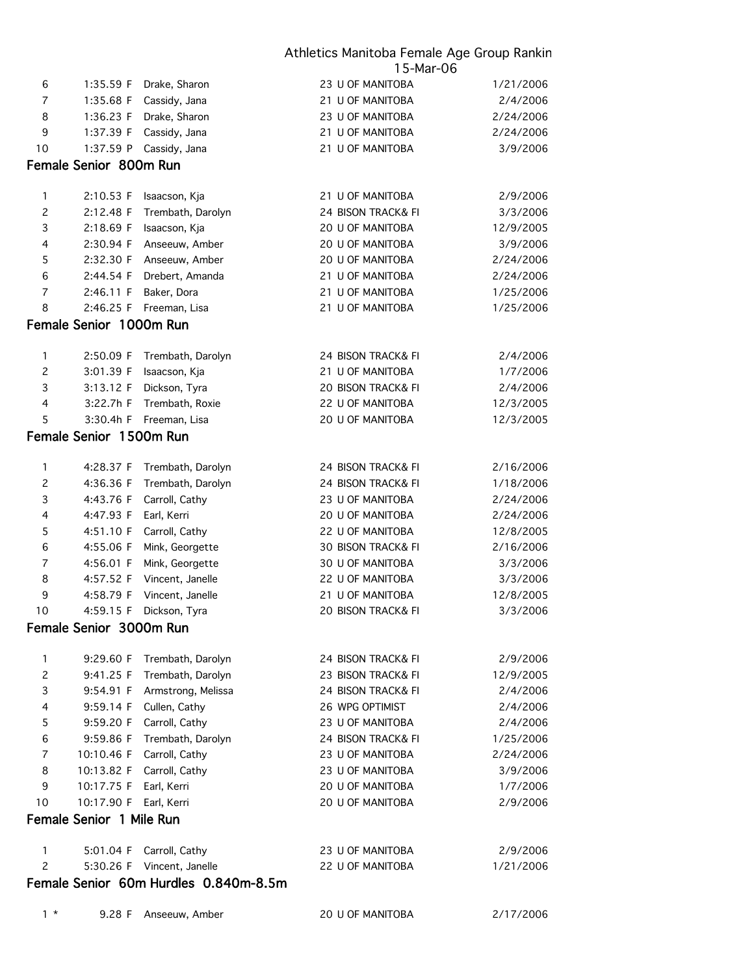|                |                          |                                       | 15-Mar-06                     |           |
|----------------|--------------------------|---------------------------------------|-------------------------------|-----------|
| 6              | 1:35.59 F                | Drake, Sharon                         | 23 U OF MANITOBA              | 1/21/2006 |
| $\overline{7}$ | 1:35.68 F                | Cassidy, Jana                         | 21 U OF MANITOBA              | 2/4/2006  |
| 8              | 1:36.23 F                | Drake, Sharon                         | 23 U OF MANITOBA              | 2/24/2006 |
| 9              | 1:37.39 F                | Cassidy, Jana                         | 21 U OF MANITOBA              | 2/24/2006 |
| 10             | 1:37.59 P                | Cassidy, Jana                         | 21 U OF MANITOBA              | 3/9/2006  |
|                | Female Senior 800m Run   |                                       |                               |           |
| 1              | 2:10.53 F                | Isaacson, Kja                         | 21 U OF MANITOBA              | 2/9/2006  |
| $\mathbf{2}$   | 2:12.48 F                | Trembath, Darolyn                     | 24 BISON TRACK& FI            | 3/3/2006  |
| 3              | 2:18.69 F                | Isaacson, Kja                         | 20 U OF MANITOBA              | 12/9/2005 |
| 4              | 2:30.94 F                | Anseeuw, Amber                        | 20 U OF MANITOBA              | 3/9/2006  |
| 5              | 2:32.30 F                | Anseeuw, Amber                        | 20 U OF MANITOBA              | 2/24/2006 |
| 6              | 2:44.54 F                | Drebert, Amanda                       | 21 U OF MANITOBA              | 2/24/2006 |
| 7              | 2:46.11 F                | Baker, Dora                           | 21 U OF MANITOBA              | 1/25/2006 |
| 8              | 2:46.25 F                | Freeman, Lisa                         | 21 U OF MANITOBA              | 1/25/2006 |
|                | Female Senior 1000m Run  |                                       |                               |           |
| 1              | 2:50.09 F                | Trembath, Darolyn                     | 24 BISON TRACK& FI            | 2/4/2006  |
| $\mathsf{S}$   | 3:01.39 F                | Isaacson, Kja                         | 21 U OF MANITOBA              | 1/7/2006  |
| 3              | 3:13.12 F                | Dickson, Tyra                         | <b>20 BISON TRACK&amp; FI</b> | 2/4/2006  |
| 4              | 3:22.7h F                | Trembath, Roxie                       | 22 U OF MANITOBA              | 12/3/2005 |
| 5              | 3:30.4h F                | Freeman, Lisa                         | 20 U OF MANITOBA              | 12/3/2005 |
|                | Female Senior 1500m Run  |                                       |                               |           |
|                |                          |                                       |                               |           |
| 1              | 4:28.37 F                | Trembath, Darolyn                     | 24 BISON TRACK& FI            | 2/16/2006 |
| $\mathbf{Z}$   | 4:36.36 F                | Trembath, Darolyn                     | 24 BISON TRACK& FI            | 1/18/2006 |
| 3              | 4:43.76 F                | Carroll, Cathy                        | 23 U OF MANITOBA              | 2/24/2006 |
| 4              | 4:47.93 F                | Earl, Kerri                           | 20 U OF MANITOBA              | 2/24/2006 |
| 5              | 4:51.10 F                | Carroll, Cathy                        | 22 U OF MANITOBA              | 12/8/2005 |
| 6              | 4:55.06 F                | Mink, Georgette                       | 30 BISON TRACK& FI            | 2/16/2006 |
| 7              | 4:56.01 F                | Mink, Georgette                       | 30 U OF MANITOBA              | 3/3/2006  |
| 8              | 4:57.52 F                | Vincent, Janelle                      | 22 U OF MANITOBA              | 3/3/2006  |
| 9              | 4:58.79 F                | Vincent, Janelle                      | 21 U OF MANITOBA              | 12/8/2005 |
| 10             | 4:59.15 F                | Dickson, Tyra                         | 20 BISON TRACK& FI            | 3/3/2006  |
|                | Female Senior 3000m Run  |                                       |                               |           |
| 1              | 9:29.60 F                | Trembath, Darolyn                     | 24 BISON TRACK& FI            | 2/9/2006  |
| $\overline{c}$ | 9:41.25 F                | Trembath, Darolyn                     | 23 BISON TRACK& FI            | 12/9/2005 |
| 3              | 9:54.91 F                | Armstrong, Melissa                    | 24 BISON TRACK& FI            | 2/4/2006  |
| 4              | 9:59.14 F                | Cullen, Cathy                         | 26 WPG OPTIMIST               | 2/4/2006  |
| 5              | 9:59.20 F                | Carroll, Cathy                        | 23 U OF MANITOBA              | 2/4/2006  |
| 6              | 9:59.86 F                | Trembath, Darolyn                     | 24 BISON TRACK& FI            | 1/25/2006 |
| 7              | 10:10.46 F               | Carroll, Cathy                        | 23 U OF MANITOBA              | 2/24/2006 |
| 8              | 10:13.82 F               | Carroll, Cathy                        | 23 U OF MANITOBA              | 3/9/2006  |
| 9              | 10:17.75 F               | Earl, Kerri                           | 20 U OF MANITOBA              | 1/7/2006  |
| 10             | 10:17.90 F               | Earl, Kerri                           | 20 U OF MANITOBA              | 2/9/2006  |
|                | Female Senior 1 Mile Run |                                       |                               |           |
| 1              | 5:01.04 F                | Carroll, Cathy                        | 23 U OF MANITOBA              | 2/9/2006  |
| $\overline{c}$ | 5:30.26 F                | Vincent, Janelle                      | 22 U OF MANITOBA              | 1/21/2006 |
|                |                          | Female Senior 60m Hurdles 0.840m-8.5m |                               |           |
| $1 *$          | 9.28 F                   | Anseeuw, Amber                        | 20 U OF MANITOBA              | 2/17/2006 |
|                |                          |                                       |                               |           |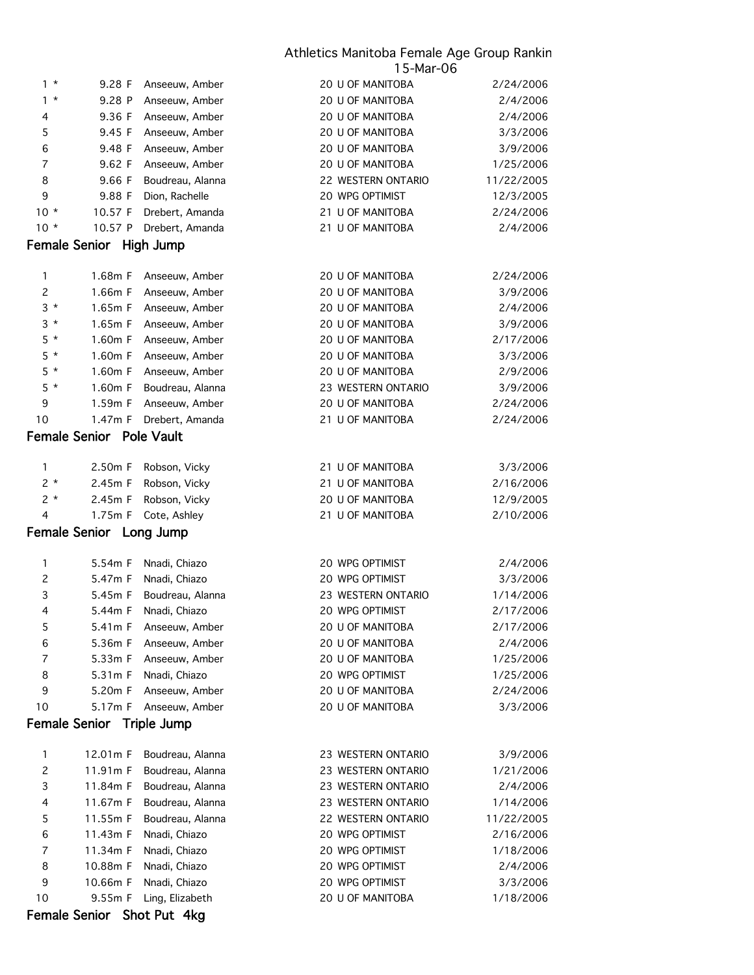| $1 *$                      | 9.28 F                          | Anseeuw, Amber         | 20 U OF MANITOBA        | 2/24/2006  |  |
|----------------------------|---------------------------------|------------------------|-------------------------|------------|--|
| $1 *$                      | 9.28 P                          | Anseeuw, Amber         | 20 U OF MANITOBA        | 2/4/2006   |  |
| 4                          | 9.36 F                          | Anseeuw, Amber         | <b>20 U OF MANITOBA</b> | 2/4/2006   |  |
| 5                          | 9.45 F                          | Anseeuw, Amber         | 20 U OF MANITOBA        | 3/3/2006   |  |
| 6                          | 9.48 F                          | Anseeuw, Amber         | 20 U OF MANITOBA        | 3/9/2006   |  |
| $\overline{7}$             | 9.62 F                          | Anseeuw, Amber         | 20 U OF MANITOBA        | 1/25/2006  |  |
| 8                          | 9.66 F                          | Boudreau, Alanna       | 22 WESTERN ONTARIO      | 11/22/2005 |  |
| 9                          | 9.88 F                          | Dion, Rachelle         | 20 WPG OPTIMIST         | 12/3/2005  |  |
| $10*$                      | 10.57 F                         | Drebert, Amanda        | 21 U OF MANITOBA        | 2/24/2006  |  |
| $10*$                      | 10.57 P                         | Drebert, Amanda        | 21 U OF MANITOBA        | 2/4/2006   |  |
|                            | Female Senior High Jump         |                        |                         |            |  |
|                            |                                 |                        |                         |            |  |
| 1                          | 1.68m F                         | Anseeuw, Amber         | 20 U OF MANITOBA        | 2/24/2006  |  |
| $\overline{c}$             | 1.66m F                         | Anseeuw, Amber         | 20 U OF MANITOBA        | 3/9/2006   |  |
| $3 *$                      | 1.65m F                         | Anseeuw, Amber         | 20 U OF MANITOBA        | 2/4/2006   |  |
| $3*$                       | 1.65m F                         | Anseeuw, Amber         | 20 U OF MANITOBA        | 3/9/2006   |  |
| $5*$                       | 1.60m F                         | Anseeuw, Amber         | 20 U OF MANITOBA        | 2/17/2006  |  |
| $5*$                       | 1.60m F                         | Anseeuw, Amber         | 20 U OF MANITOBA        | 3/3/2006   |  |
| $5*$                       | 1.60m F                         | Anseeuw, Amber         | 20 U OF MANITOBA        | 2/9/2006   |  |
| $5*$                       | 1.60m F                         | Boudreau, Alanna       | 23 WESTERN ONTARIO      | 3/9/2006   |  |
| 9                          | 1.59m F                         | Anseeuw, Amber         | 20 U OF MANITOBA        | 2/24/2006  |  |
| 10                         | 1.47m F                         | Drebert, Amanda        | 21 U OF MANITOBA        | 2/24/2006  |  |
|                            | <b>Female Senior</b> Pole Vault |                        |                         |            |  |
|                            |                                 |                        |                         |            |  |
| 1                          | 2.50m F                         | Robson, Vicky          | 21 U OF MANITOBA        | 3/3/2006   |  |
| $2 *$                      | 2.45m F                         | Robson, Vicky          | 21 U OF MANITOBA        | 2/16/2006  |  |
| $2*$                       | 2.45m F                         | Robson, Vicky          | 20 U OF MANITOBA        | 12/9/2005  |  |
| 4                          | 1.75m F                         | Cote, Ashley           | 21 U OF MANITOBA        | 2/10/2006  |  |
|                            | Female Senior Long Jump         |                        |                         |            |  |
|                            |                                 |                        |                         |            |  |
| 1                          | 5.54m F                         | Nnadi, Chiazo          | 20 WPG OPTIMIST         | 2/4/2006   |  |
| $\overline{c}$             | 5.47m F                         | Nnadi, Chiazo          | 20 WPG OPTIMIST         | 3/3/2006   |  |
| 3                          | 5.45m F                         | Boudreau, Alanna       | 23 WESTERN ONTARIO      | 1/14/2006  |  |
| $\overline{4}$             | 5.44m F                         | Nnadi, Chiazo          | 20 WPG OPTIMIST         | 2/17/2006  |  |
| 5                          | 5.41m F                         | Anseeuw, Amber         | 20 U OF MANITOBA        | 2/17/2006  |  |
| 6                          |                                 | 5.36m F Anseeuw, Amber | 20 U OF MANITOBA        | 2/4/2006   |  |
| 7                          | 5.33m F                         | Anseeuw, Amber         | 20 U OF MANITOBA        | 1/25/2006  |  |
| 8                          | 5.31m F                         | Nnadi, Chiazo          | 20 WPG OPTIMIST         | 1/25/2006  |  |
| 9                          | 5.20m F                         | Anseeuw, Amber         | 20 U OF MANITOBA        | 2/24/2006  |  |
| 10                         | 5.17m F                         | Anseeuw, Amber         | 20 U OF MANITOBA        | 3/3/2006   |  |
|                            | Female Senior Triple Jump       |                        |                         |            |  |
| 1                          | 12.01m F                        | Boudreau, Alanna       | 23 WESTERN ONTARIO      | 3/9/2006   |  |
| $\overline{c}$             | 11.91m F                        | Boudreau, Alanna       | 23 WESTERN ONTARIO      | 1/21/2006  |  |
| 3                          | 11.84m F                        | Boudreau, Alanna       | 23 WESTERN ONTARIO      | 2/4/2006   |  |
| 4                          | 11.67m F                        | Boudreau, Alanna       | 23 WESTERN ONTARIO      | 1/14/2006  |  |
| 5                          | 11.55m F                        | Boudreau, Alanna       | 22 WESTERN ONTARIO      | 11/22/2005 |  |
| 6                          | 11.43m F                        | Nnadi, Chiazo          | 20 WPG OPTIMIST         | 2/16/2006  |  |
| 7                          | 11.34m F                        | Nnadi, Chiazo          | 20 WPG OPTIMIST         | 1/18/2006  |  |
| 8                          | 10.88m F                        | Nnadi, Chiazo          | 20 WPG OPTIMIST         | 2/4/2006   |  |
| 9                          | 10.66m F                        | Nnadi, Chiazo          | 20 WPG OPTIMIST         | 3/3/2006   |  |
| 10                         | 9.55m F                         | Ling, Elizabeth        | 20 U OF MANITOBA        | 1/18/2006  |  |
|                            |                                 |                        |                         |            |  |
| Female Senior Shot Put 4kg |                                 |                        |                         |            |  |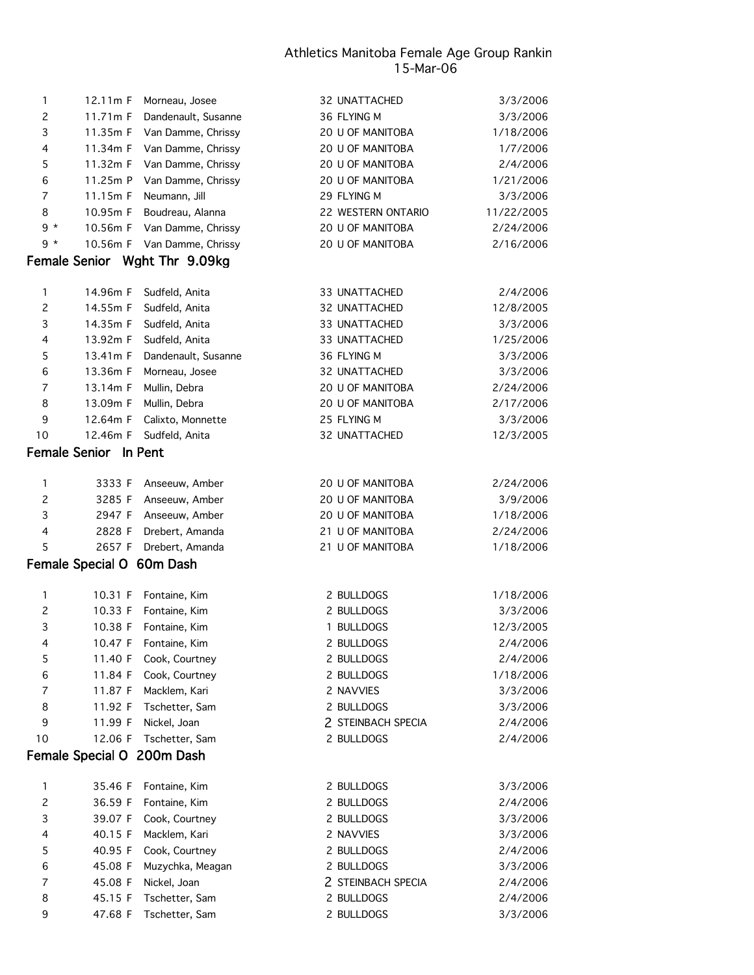| 11.34m F<br>11.32m F | Van Damme, Chrissy<br>Van Damme, Chrissy | 20 U OF MANITOBA                                                                                    | 1/7/2006   |
|----------------------|------------------------------------------|-----------------------------------------------------------------------------------------------------|------------|
|                      |                                          |                                                                                                     |            |
|                      |                                          | 20 U OF MANITOBA                                                                                    | 2/4/2006   |
| 11.25m P             | Van Damme, Chrissy                       | 20 U OF MANITOBA                                                                                    | 1/21/2006  |
| 11.15m F             | Neumann, Jill                            | 29 FLYING M                                                                                         | 3/3/2006   |
| 10.95m F             | Boudreau, Alanna                         | 22 WESTERN ONTARIO                                                                                  | 11/22/2005 |
| 10.56m F             | Van Damme, Chrissy                       | 20 U OF MANITOBA                                                                                    | 2/24/2006  |
| 10.56m F             | Van Damme, Chrissy                       | 20 U OF MANITOBA                                                                                    | 2/16/2006  |
|                      |                                          |                                                                                                     |            |
| 14.96m F             | Sudfeld, Anita                           | 33 UNATTACHED                                                                                       | 2/4/2006   |
| 14.55m F             | Sudfeld, Anita                           | 32 UNATTACHED                                                                                       | 12/8/2005  |
| 14.35m F             | Sudfeld, Anita                           | 33 UNATTACHED                                                                                       | 3/3/2006   |
| 13.92m F             | Sudfeld, Anita                           | 33 UNATTACHED                                                                                       | 1/25/2006  |
| 13.41m F             | Dandenault, Susanne                      | 36 FLYING M                                                                                         | 3/3/2006   |
| 13.36m F             | Morneau, Josee                           | 32 UNATTACHED                                                                                       | 3/3/2006   |
| 13.14m F             | Mullin, Debra                            | 20 U OF MANITOBA                                                                                    | 2/24/2006  |
| 13.09m F             | Mullin, Debra                            | 20 U OF MANITOBA                                                                                    | 2/17/2006  |
| 12.64m F             | Calixto, Monnette                        | 25 FLYING M                                                                                         | 3/3/2006   |
| 12.46m F             | Sudfeld, Anita                           | 32 UNATTACHED                                                                                       | 12/3/2005  |
|                      |                                          |                                                                                                     |            |
| 3333 F               | Anseeuw, Amber                           | 20 U OF MANITOBA                                                                                    | 2/24/2006  |
| 3285 F               | Anseeuw, Amber                           | 20 U OF MANITOBA                                                                                    | 3/9/2006   |
| 2947 F               | Anseeuw, Amber                           | 20 U OF MANITOBA                                                                                    | 1/18/2006  |
| 2828 F               | Drebert, Amanda                          | 21 U OF MANITOBA                                                                                    | 2/24/2006  |
| 2657 F               | Drebert, Amanda                          | 21 U OF MANITOBA                                                                                    | 1/18/2006  |
|                      |                                          |                                                                                                     |            |
| 10.31 F              | Fontaine, Kim                            | 2 BULLDOGS                                                                                          | 1/18/2006  |
| 10.33 F              | Fontaine, Kim                            | 2 BULLDOGS                                                                                          | 3/3/2006   |
| 10.38 F              | Fontaine, Kim                            | 1 BULLDOGS                                                                                          | 12/3/2005  |
| 10.47 F              | Fontaine, Kim                            | 2 BULLDOGS                                                                                          | 2/4/2006   |
| 11.40 F              | Cook, Courtney                           | 2 BULLDOGS                                                                                          | 2/4/2006   |
| 11.84 F              | Cook, Courtney                           | 2 BULLDOGS                                                                                          | 1/18/2006  |
| 11.87 F              | Macklem, Kari                            | 2 NAVVIES                                                                                           | 3/3/2006   |
| 11.92 F              | Tschetter, Sam                           | 2 BULLDOGS                                                                                          | 3/3/2006   |
| 11.99 F              | Nickel, Joan                             | 2 STEINBACH SPECIA                                                                                  | 2/4/2006   |
| 12.06 F              | Tschetter, Sam                           | 2 BULLDOGS                                                                                          | 2/4/2006   |
|                      |                                          |                                                                                                     |            |
| 35.46 F              | Fontaine, Kim                            | 2 BULLDOGS                                                                                          | 3/3/2006   |
| 36.59 F              | Fontaine, Kim                            | 2 BULLDOGS                                                                                          | 2/4/2006   |
| 39.07 F              | Cook, Courtney                           | 2 BULLDOGS                                                                                          | 3/3/2006   |
| 40.15 F              | Macklem, Kari                            | 2 NAVVIES                                                                                           | 3/3/2006   |
| 40.95 F              | Cook, Courtney                           | 2 BULLDOGS                                                                                          | 2/4/2006   |
| 45.08 F              | Muzychka, Meagan                         | 2 BULLDOGS                                                                                          | 3/3/2006   |
| 45.08 F              | Nickel, Joan                             | 2 STEINBACH SPECIA                                                                                  | 2/4/2006   |
| 45.15 F              | Tschetter, Sam                           | 2 BULLDOGS                                                                                          | 2/4/2006   |
| 47.68 F              | Tschetter, Sam                           | 2 BULLDOGS                                                                                          | 3/3/2006   |
|                      | <b>Female Senior</b>                     | Female Senior Wght Thr 9.09kg<br>In Pent<br>Female Special O 60m Dash<br>Female Special O 200m Dash |            |

1 12.11m F Morneau, Josee 32 UNATTACHED 3/3/2006 2 11.71m F Dandenault, Susanne 36 FLYING M 3/3/2006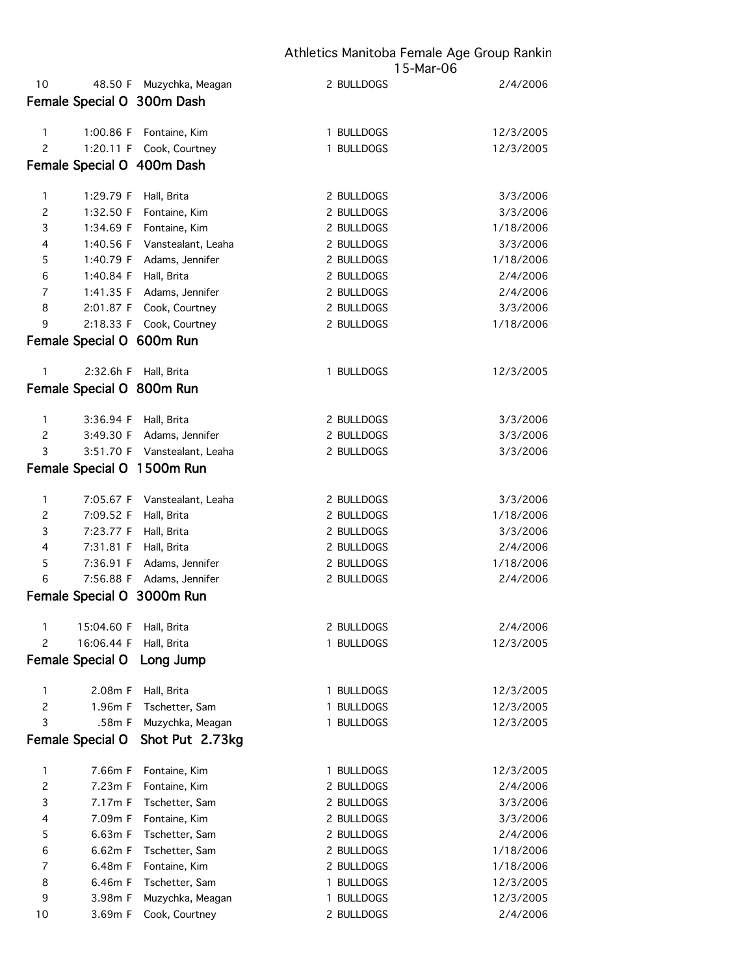| 10                  | 48.50 F                   | Muzychka, Meagan               | 2 BULLDOGS               | 2/4/2006              |
|---------------------|---------------------------|--------------------------------|--------------------------|-----------------------|
|                     |                           | Female Special O 300m Dash     |                          |                       |
|                     |                           |                                |                          |                       |
| 1                   | 1:00.86 F                 | Fontaine, Kim                  | 1 BULLDOGS               | 12/3/2005             |
| $\overline{c}$      | 1:20.11 F                 | Cook, Courtney                 | 1 BULLDOGS               | 12/3/2005             |
|                     |                           | Female Special O 400m Dash     |                          |                       |
| 1                   | 1:29.79 F                 | Hall, Brita                    | 2 BULLDOGS               | 3/3/2006              |
| $\mathbf{2}$        | 1:32.50 F                 | Fontaine, Kim                  | 2 BULLDOGS               | 3/3/2006              |
| 3                   | 1:34.69 F                 | Fontaine, Kim                  | 2 BULLDOGS               | 1/18/2006             |
| 4                   | 1:40.56 F                 | Vanstealant, Leaha             | 2 BULLDOGS               | 3/3/2006              |
| 5                   | 1:40.79 F                 | Adams, Jennifer                | 2 BULLDOGS               | 1/18/2006             |
| 6                   | 1:40.84 F                 | Hall, Brita                    | 2 BULLDOGS               | 2/4/2006              |
| 7                   | 1:41.35 F                 | Adams, Jennifer                | 2 BULLDOGS               | 2/4/2006              |
| 8                   | 2:01.87 F                 | Cook, Courtney                 | 2 BULLDOGS               | 3/3/2006              |
| 9                   | 2:18.33 F                 | Cook, Courtney                 | 2 BULLDOGS               | 1/18/2006             |
|                     | Female Special O 600m Run |                                |                          |                       |
| 1                   | 2:32.6h F                 | Hall, Brita                    | 1 BULLDOGS               | 12/3/2005             |
|                     | Female Special O 800m Run |                                |                          |                       |
|                     |                           |                                |                          |                       |
| 1                   | 3:36.94 F                 | Hall, Brita                    | 2 BULLDOGS               | 3/3/2006              |
| $\mathbf{2}$        | 3:49.30 F                 | Adams, Jennifer                | 2 BULLDOGS               | 3/3/2006              |
| 3                   | 3:51.70 F                 | Vanstealant, Leaha             | 2 BULLDOGS               | 3/3/2006              |
|                     |                           | Female Special O 1500m Run     |                          |                       |
| 1                   | 7:05.67 F                 | Vanstealant, Leaha             | 2 BULLDOGS               | 3/3/2006              |
| $\mathsf{S}$        | 7:09.52 F                 | Hall, Brita                    | 2 BULLDOGS               | 1/18/2006             |
| 3                   | 7:23.77 F                 | Hall, Brita                    | 2 BULLDOGS               | 3/3/2006              |
| 4                   | 7:31.81 F                 | Hall, Brita                    | 2 BULLDOGS               | 2/4/2006              |
| 5                   | 7:36.91 F                 | Adams, Jennifer                | 2 BULLDOGS               | 1/18/2006             |
| 6                   | 7:56.88 F                 | Adams, Jennifer                | 2 BULLDOGS               | 2/4/2006              |
|                     |                           | Female Special O 3000m Run     |                          |                       |
|                     |                           |                                |                          |                       |
|                     | 15:04.60 F                | Hall, Brita                    | 2 BULLDOGS               | 2/4/2006              |
| 2                   | 16:06.44 F                | Hall, Brita                    | 1 BULLDOGS               | 12/3/2005             |
|                     | Female Special O          | Long Jump                      |                          |                       |
| 1                   | 2.08m F                   | Hall, Brita                    | 1 BULLDOGS               | 12/3/2005             |
| $\overline{c}$      | 1.96m F                   | Tschetter, Sam                 | 1 BULLDOGS               | 12/3/2005             |
| 3                   | .58m F                    | Muzychka, Meagan               | 1 BULLDOGS               | 12/3/2005             |
|                     | Female Special O          | Shot Put 2.73kg                |                          |                       |
|                     |                           |                                |                          |                       |
| 1<br>$\overline{c}$ | 7.66m F<br>7.23m F        | Fontaine, Kim<br>Fontaine, Kim | 1 BULLDOGS<br>2 BULLDOGS | 12/3/2005<br>2/4/2006 |
| 3                   | 7.17m F                   | Tschetter, Sam                 | 2 BULLDOGS               | 3/3/2006              |
| 4                   | 7.09m F                   | Fontaine, Kim                  | 2 BULLDOGS               | 3/3/2006              |
| 5                   | 6.63m F                   | Tschetter, Sam                 | 2 BULLDOGS               | 2/4/2006              |
| 6                   | 6.62m F                   | Tschetter, Sam                 | 2 BULLDOGS               | 1/18/2006             |
| 7                   | 6.48m F                   | Fontaine, Kim                  | 2 BULLDOGS               | 1/18/2006             |
| 8                   | 6.46m F                   | Tschetter, Sam                 | 1 BULLDOGS               | 12/3/2005             |
| 9                   | 3.98m F                   | Muzychka, Meagan               | 1 BULLDOGS               | 12/3/2005             |
| 10                  | 3.69m F                   | Cook, Courtney                 | 2 BULLDOGS               | 2/4/2006              |
|                     |                           |                                |                          |                       |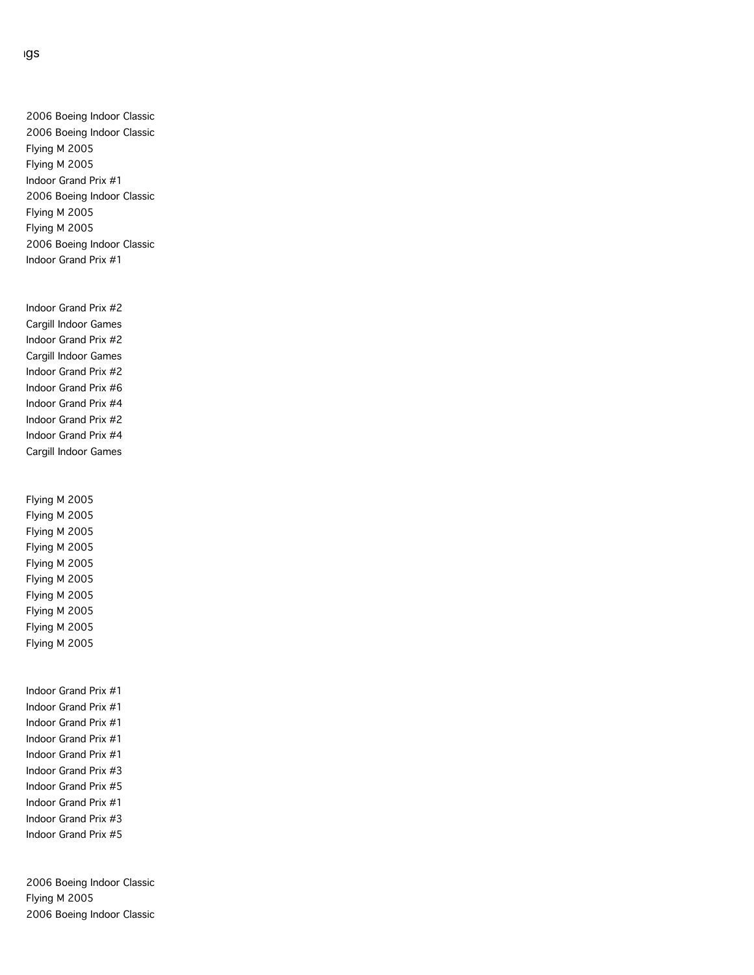2006 Boeing Indoor Classic 2006 Boeing Indoor Classic Flying M 2005 Flying M 2005 Indoor Grand Prix #1 2006 Boeing Indoor Classic Flying M 2005 Flying M 2005 2006 Boeing Indoor Classic Indoor Grand Prix #1

Indoor Grand Prix #2 Cargill Indoor Games Indoor Grand Prix #2 Cargill Indoor Games Indoor Grand Prix #2 Indoor Grand Prix #6 Indoor Grand Prix #4 Indoor Grand Prix #2 Indoor Grand Prix #4 Cargill Indoor Games

Flying M 2005 Flying M 2005 Flying M 2005 Flying M 2005 Flying M 2005 Flying M 2005 Flying M 2005 Flying M 2005 Flying M 2005 Flying M 2005

Indoor Grand Prix #1 Indoor Grand Prix #1 Indoor Grand Prix #1 Indoor Grand Prix #1 Indoor Grand Prix #1 Indoor Grand Prix #3 Indoor Grand Prix #5 Indoor Grand Prix #1 Indoor Grand Prix #3 Indoor Grand Prix #5

2006 Boeing Indoor Classic Flying M 2005 2006 Boeing Indoor Classic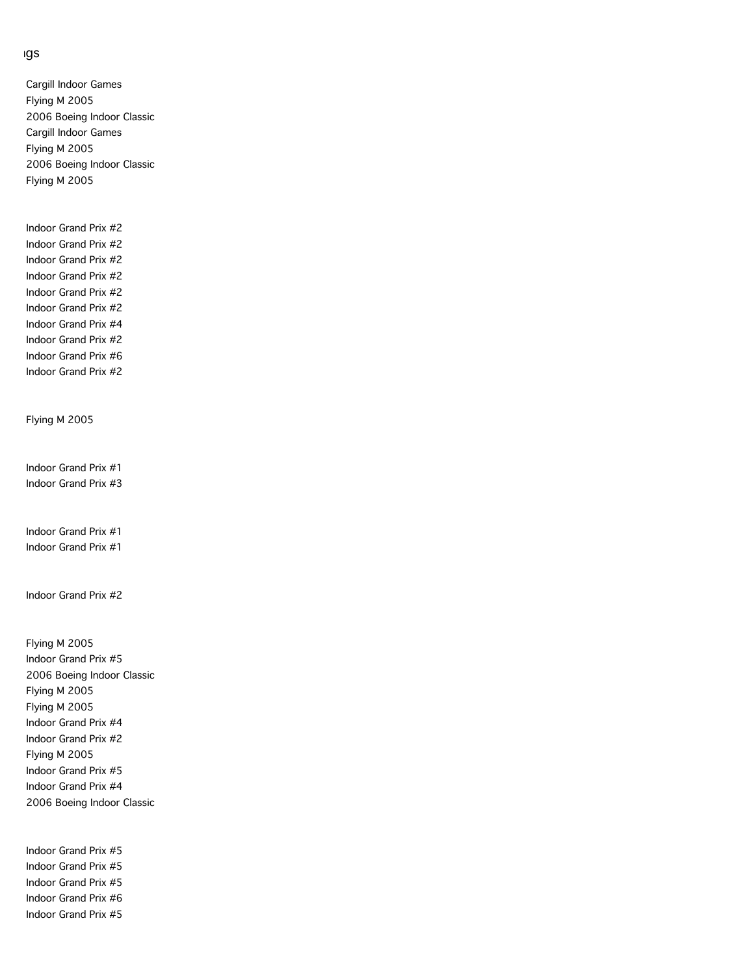Cargill Indoor Games Flying M 2005 2006 Boeing Indoor Classic Cargill Indoor Games Flying M 2005 2006 Boeing Indoor Classic Flying M 2005

Indoor Grand Prix #2 Indoor Grand Prix #2 Indoor Grand Prix #2 Indoor Grand Prix #2 Indoor Grand Prix #2 Indoor Grand Prix #2 Indoor Grand Prix #4 Indoor Grand Prix #2 Indoor Grand Prix #6 Indoor Grand Prix #2

Flying M 2005

Indoor Grand Prix #1 Indoor Grand Prix #3

Indoor Grand Prix #1 Indoor Grand Prix #1

Indoor Grand Prix #2

Flying M 2005 Indoor Grand Prix #5 2006 Boeing Indoor Classic Flying M 2005 Flying M 2005 Indoor Grand Prix #4 Indoor Grand Prix #2 Flying M 2005 Indoor Grand Prix #5 Indoor Grand Prix #4 2006 Boeing Indoor Classic

Indoor Grand Prix #5 Indoor Grand Prix #5 Indoor Grand Prix #5 Indoor Grand Prix #6 Indoor Grand Prix #5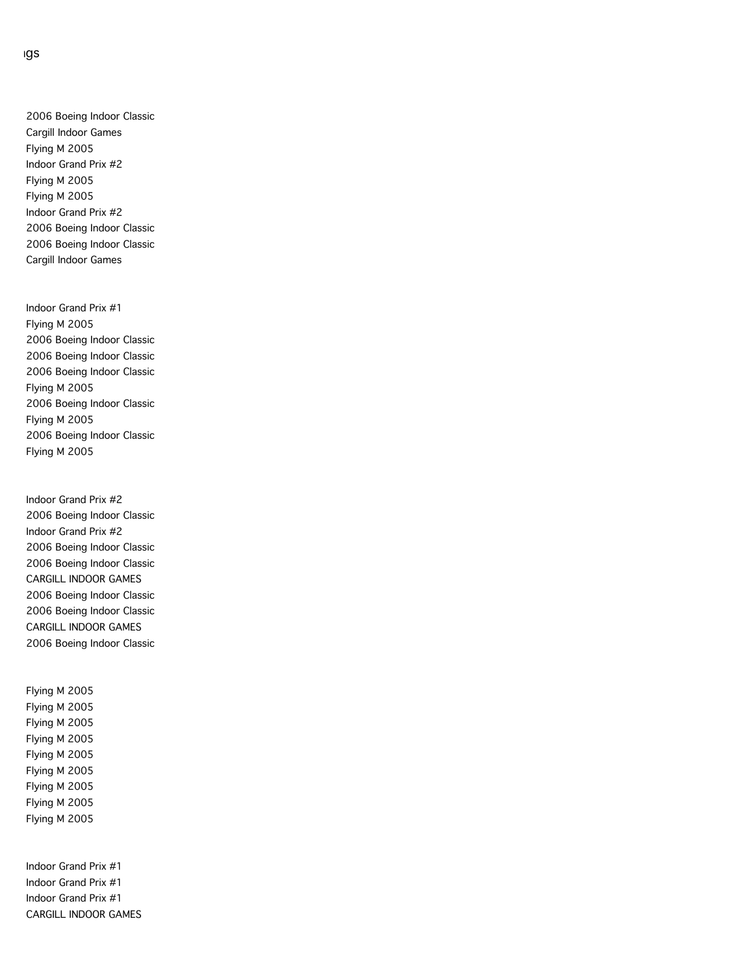2006 Boeing Indoor Classic Cargill Indoor Games Flying M 2005 Indoor Grand Prix #2 Flying M 2005 Flying M 2005 Indoor Grand Prix #2 2006 Boeing Indoor Classic 2006 Boeing Indoor Classic Cargill Indoor Games

Indoor Grand Prix #1 Flying M 2005 2006 Boeing Indoor Classic 2006 Boeing Indoor Classic 2006 Boeing Indoor Classic Flying M 2005 2006 Boeing Indoor Classic Flying M 2005 2006 Boeing Indoor Classic Flying M 2005

Indoor Grand Prix #2 2006 Boeing Indoor Classic Indoor Grand Prix #2 2006 Boeing Indoor Classic 2006 Boeing Indoor Classic CARGILL INDOOR GAMES 2006 Boeing Indoor Classic 2006 Boeing Indoor Classic CARGILL INDOOR GAMES 2006 Boeing Indoor Classic

Flying M 2005 Flying M 2005 Flying M 2005 Flying M 2005 Flying M 2005 Flying M 2005 Flying M 2005 Flying M 2005 Flying M 2005

Indoor Grand Prix #1 Indoor Grand Prix #1 Indoor Grand Prix #1 CARGILL INDOOR GAMES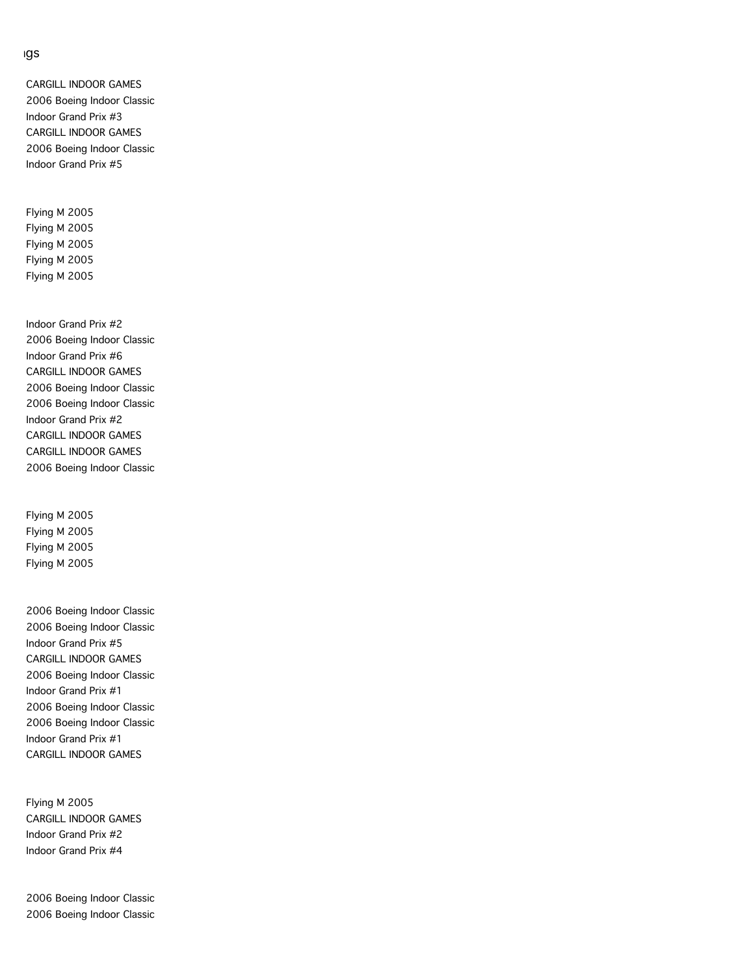CARGILL INDOOR GAMES 2006 Boeing Indoor Classic Indoor Grand Prix #3 CARGILL INDOOR GAMES 2006 Boeing Indoor Classic Indoor Grand Prix #5

Flying M 2005 Flying M 2005 Flying M 2005 Flying M 2005 Flying M 2005

Indoor Grand Prix #2 2006 Boeing Indoor Classic Indoor Grand Prix #6 CARGILL INDOOR GAMES 2006 Boeing Indoor Classic 2006 Boeing Indoor Classic Indoor Grand Prix #2 CARGILL INDOOR GAMES CARGILL INDOOR GAMES 2006 Boeing Indoor Classic

Flying M 2005 Flying M 2005 Flying M 2005 Flying M 2005

2006 Boeing Indoor Classic 2006 Boeing Indoor Classic Indoor Grand Prix #5 CARGILL INDOOR GAMES 2006 Boeing Indoor Classic Indoor Grand Prix #1 2006 Boeing Indoor Classic 2006 Boeing Indoor Classic Indoor Grand Prix #1 CARGILL INDOOR GAMES

Flying M 2005 CARGILL INDOOR GAMES Indoor Grand Prix #2 Indoor Grand Prix #4

2006 Boeing Indoor Classic 2006 Boeing Indoor Classic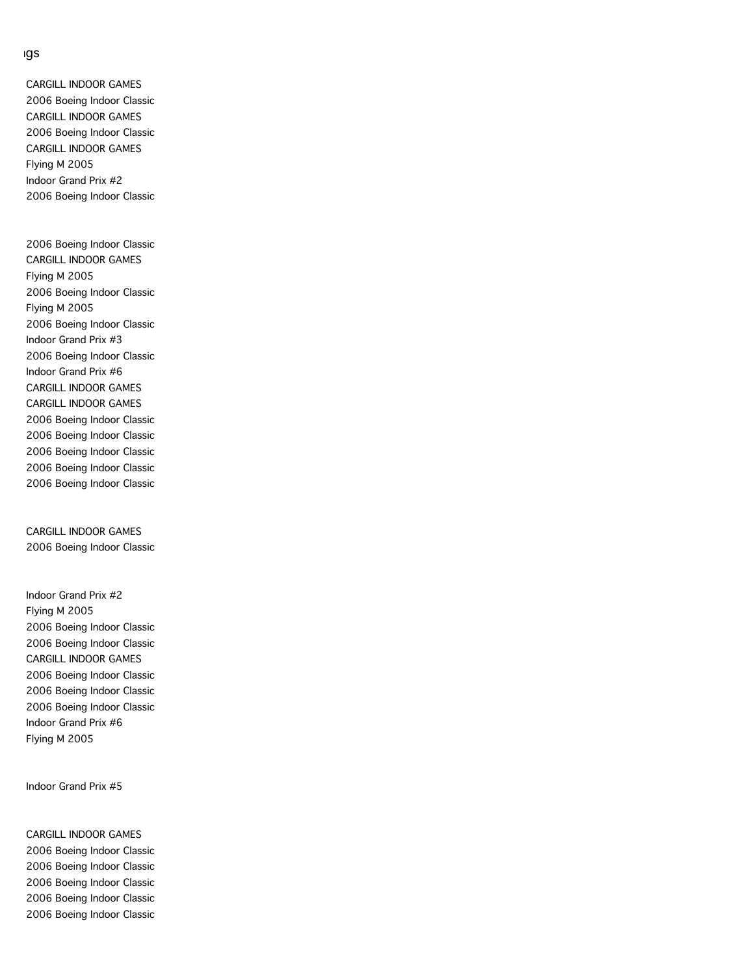CARGILL INDOOR GAMES 2006 Boeing Indoor Classic CARGILL INDOOR GAMES 2006 Boeing Indoor Classic CARGILL INDOOR GAMES Flying M 2005 Indoor Grand Prix #2 2006 Boeing Indoor Classic

2006 Boeing Indoor Classic CARGILL INDOOR GAMES Flying M 2005 2006 Boeing Indoor Classic Flying M 2005 2006 Boeing Indoor Classic Indoor Grand Prix #3 2006 Boeing Indoor Classic Indoor Grand Prix #6 CARGILL INDOOR GAMES CARGILL INDOOR GAMES 2006 Boeing Indoor Classic 2006 Boeing Indoor Classic 2006 Boeing Indoor Classic 2006 Boeing Indoor Classic 2006 Boeing Indoor Classic

CARGILL INDOOR GAMES 2006 Boeing Indoor Classic

Indoor Grand Prix #2 Flying M 2005 2006 Boeing Indoor Classic 2006 Boeing Indoor Classic CARGILL INDOOR GAMES 2006 Boeing Indoor Classic 2006 Boeing Indoor Classic 2006 Boeing Indoor Classic Indoor Grand Prix #6 Flying M 2005

Indoor Grand Prix #5

CARGILL INDOOR GAMES 2006 Boeing Indoor Classic 2006 Boeing Indoor Classic 2006 Boeing Indoor Classic 2006 Boeing Indoor Classic 2006 Boeing Indoor Classic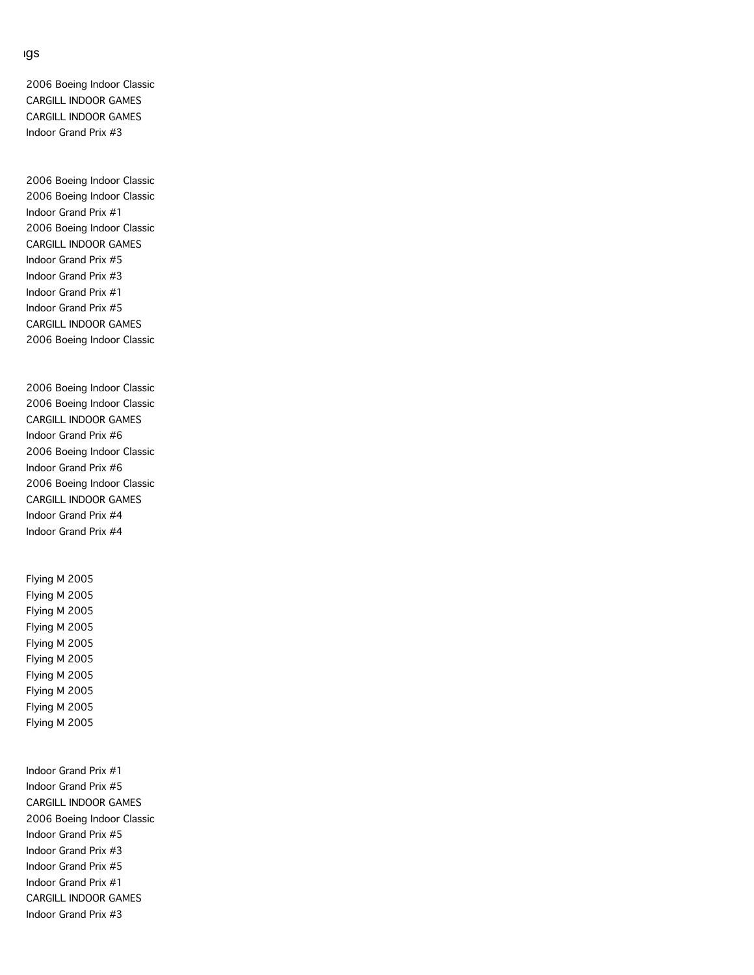2006 Boeing Indoor Classic CARGILL INDOOR GAMES CARGILL INDOOR GAMES Indoor Grand Prix #3

2006 Boeing Indoor Classic 2006 Boeing Indoor Classic Indoor Grand Prix #1 2006 Boeing Indoor Classic CARGILL INDOOR GAMES Indoor Grand Prix #5 Indoor Grand Prix #3 Indoor Grand Prix #1 Indoor Grand Prix #5 CARGILL INDOOR GAMES 2006 Boeing Indoor Classic

2006 Boeing Indoor Classic 2006 Boeing Indoor Classic CARGILL INDOOR GAMES Indoor Grand Prix #6 2006 Boeing Indoor Classic Indoor Grand Prix #6 2006 Boeing Indoor Classic CARGILL INDOOR GAMES Indoor Grand Prix #4 Indoor Grand Prix #4

Flying M 2005 Flying M 2005 Flying M 2005 Flying M 2005 Flying M 2005 Flying M 2005 Flying M 2005 Flying M 2005 Flying M 2005 Flying M 2005

Indoor Grand Prix #1 Indoor Grand Prix #5 CARGILL INDOOR GAMES 2006 Boeing Indoor Classic Indoor Grand Prix #5 Indoor Grand Prix #3 Indoor Grand Prix #5 Indoor Grand Prix #1 CARGILL INDOOR GAMES Indoor Grand Prix #3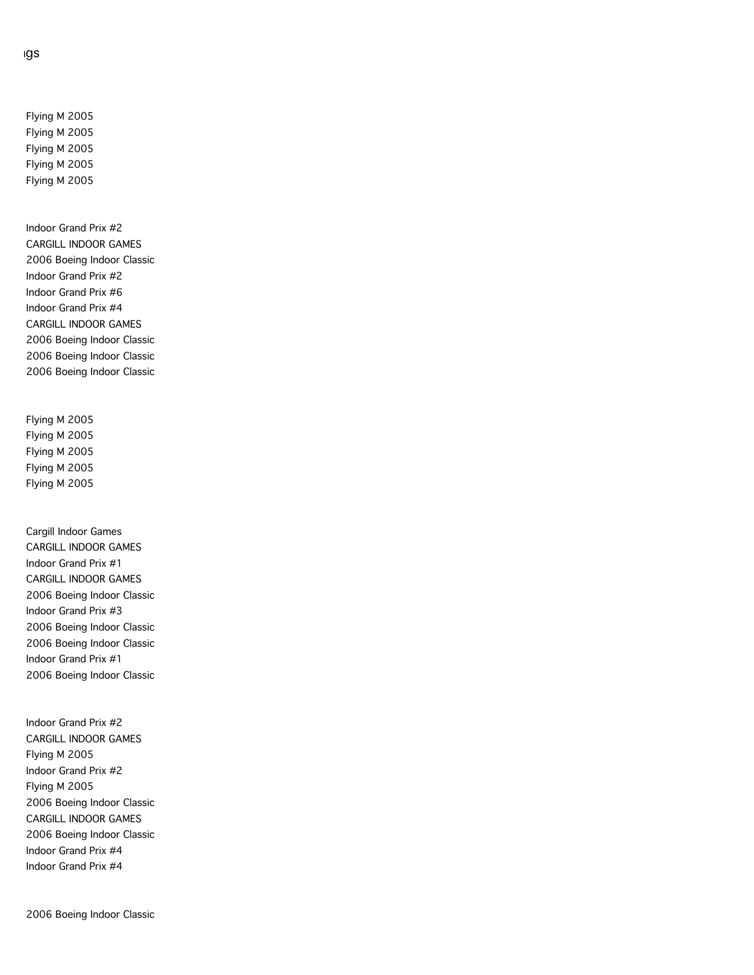Flying M 2005 Flying M 2005 Flying M 2005 Flying M 2005 Flying M 2005

Indoor Grand Prix #2 CARGILL INDOOR GAMES 2006 Boeing Indoor Classic Indoor Grand Prix #2 Indoor Grand Prix #6 Indoor Grand Prix #4 CARGILL INDOOR GAMES 2006 Boeing Indoor Classic 2006 Boeing Indoor Classic 2006 Boeing Indoor Classic

Flying M 2005 Flying M 2005 Flying M 2005 Flying M 2005 Flying M 2005

Cargill Indoor Games CARGILL INDOOR GAMES Indoor Grand Prix #1 CARGILL INDOOR GAMES 2006 Boeing Indoor Classic Indoor Grand Prix #3 2006 Boeing Indoor Classic 2006 Boeing Indoor Classic Indoor Grand Prix #1 2006 Boeing Indoor Classic

Indoor Grand Prix #2 CARGILL INDOOR GAMES Flying M 2005 Indoor Grand Prix #2 Flying M 2005 2006 Boeing Indoor Classic CARGILL INDOOR GAMES 2006 Boeing Indoor Classic Indoor Grand Prix #4 Indoor Grand Prix #4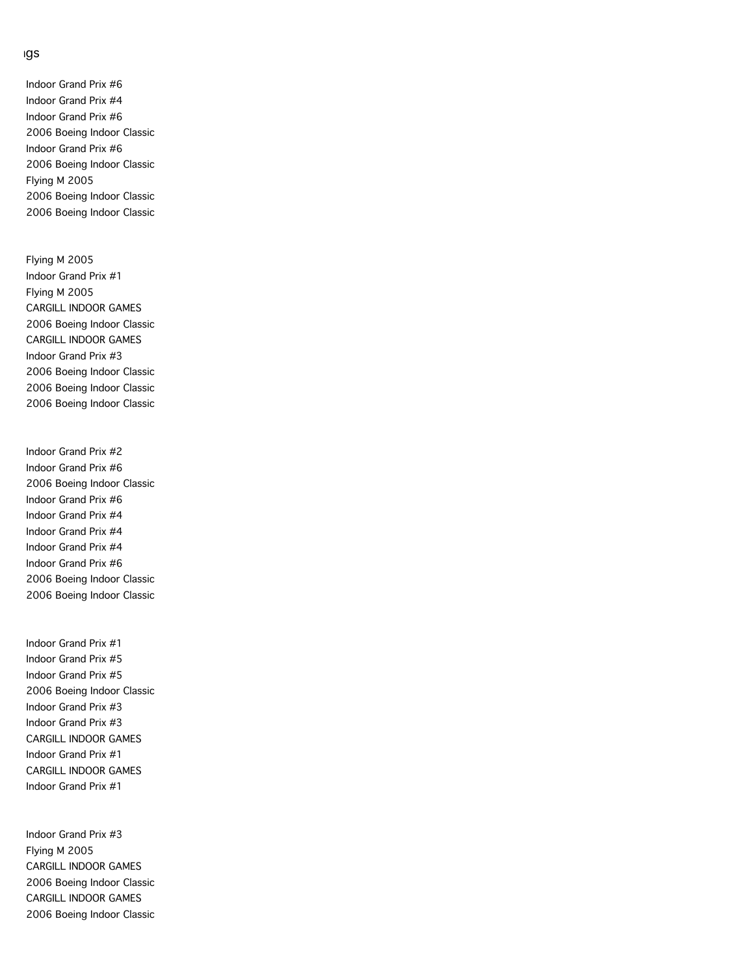Indoor Grand Prix #6 Indoor Grand Prix #4 Indoor Grand Prix #6 2006 Boeing Indoor Classic Indoor Grand Prix #6 2006 Boeing Indoor Classic Flying M 2005 2006 Boeing Indoor Classic 2006 Boeing Indoor Classic

Flying M 2005 Indoor Grand Prix #1 Flying M 2005 CARGILL INDOOR GAMES 2006 Boeing Indoor Classic CARGILL INDOOR GAMES Indoor Grand Prix #3 2006 Boeing Indoor Classic 2006 Boeing Indoor Classic 2006 Boeing Indoor Classic

Indoor Grand Prix #2 Indoor Grand Prix #6 2006 Boeing Indoor Classic Indoor Grand Prix #6 Indoor Grand Prix #4 Indoor Grand Prix #4 Indoor Grand Prix #4 Indoor Grand Prix #6 2006 Boeing Indoor Classic 2006 Boeing Indoor Classic

Indoor Grand Prix #1 Indoor Grand Prix #5 Indoor Grand Prix #5 2006 Boeing Indoor Classic Indoor Grand Prix #3 Indoor Grand Prix #3 CARGILL INDOOR GAMES Indoor Grand Prix #1 CARGILL INDOOR GAMES Indoor Grand Prix #1

Indoor Grand Prix #3 Flying M 2005 CARGILL INDOOR GAMES 2006 Boeing Indoor Classic CARGILL INDOOR GAMES 2006 Boeing Indoor Classic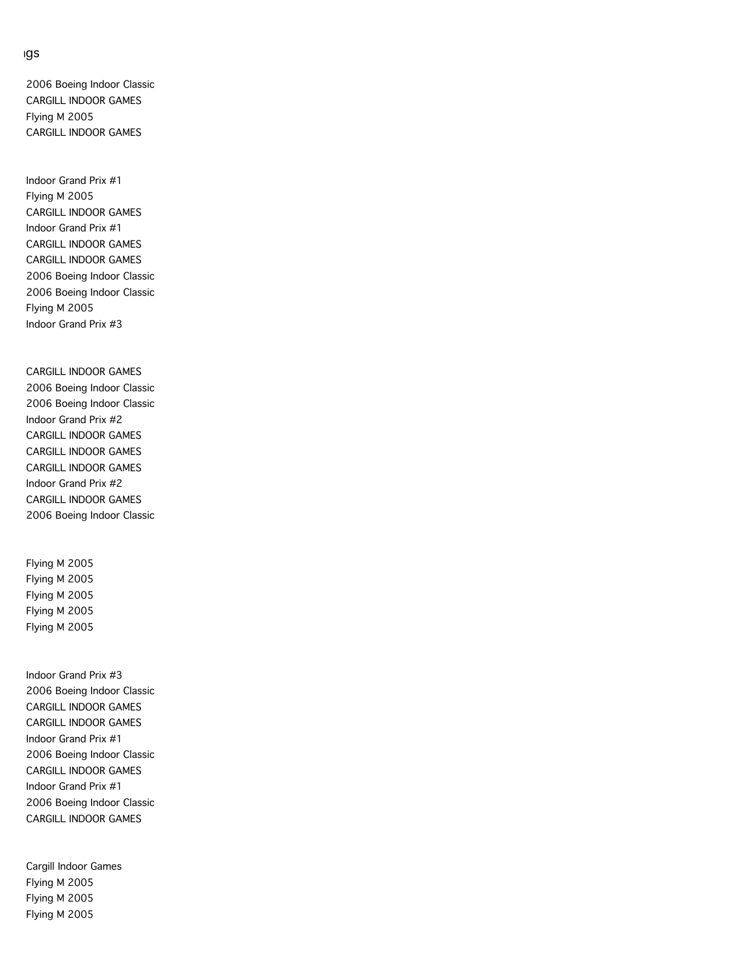2006 Boeing Indoor Classic CARGILL INDOOR GAMES Flying M 2005 CARGILL INDOOR GAMES

Indoor Grand Prix #1 Flying M 2005 CARGILL INDOOR GAMES Indoor Grand Prix #1 CARGILL INDOOR GAMES CARGILL INDOOR GAMES 2006 Boeing Indoor Classic 2006 Boeing Indoor Classic Flying M 2005 Indoor Grand Prix #3

CARGILL INDOOR GAMES 2006 Boeing Indoor Classic 2006 Boeing Indoor Classic Indoor Grand Prix #2 CARGILL INDOOR GAMES CARGILL INDOOR GAMES CARGILL INDOOR GAMES Indoor Grand Prix #2 CARGILL INDOOR GAMES 2006 Boeing Indoor Classic

Flying M 2005 Flying M 2005 Flying M 2005 Flying M 2005 Flying M 2005

Indoor Grand Prix #3 2006 Boeing Indoor Classic CARGILL INDOOR GAMES CARGILL INDOOR GAMES Indoor Grand Prix #1 2006 Boeing Indoor Classic CARGILL INDOOR GAMES Indoor Grand Prix #1 2006 Boeing Indoor Classic CARGILL INDOOR GAMES

Cargill Indoor Games Flying M 2005 Flying M 2005 Flying M 2005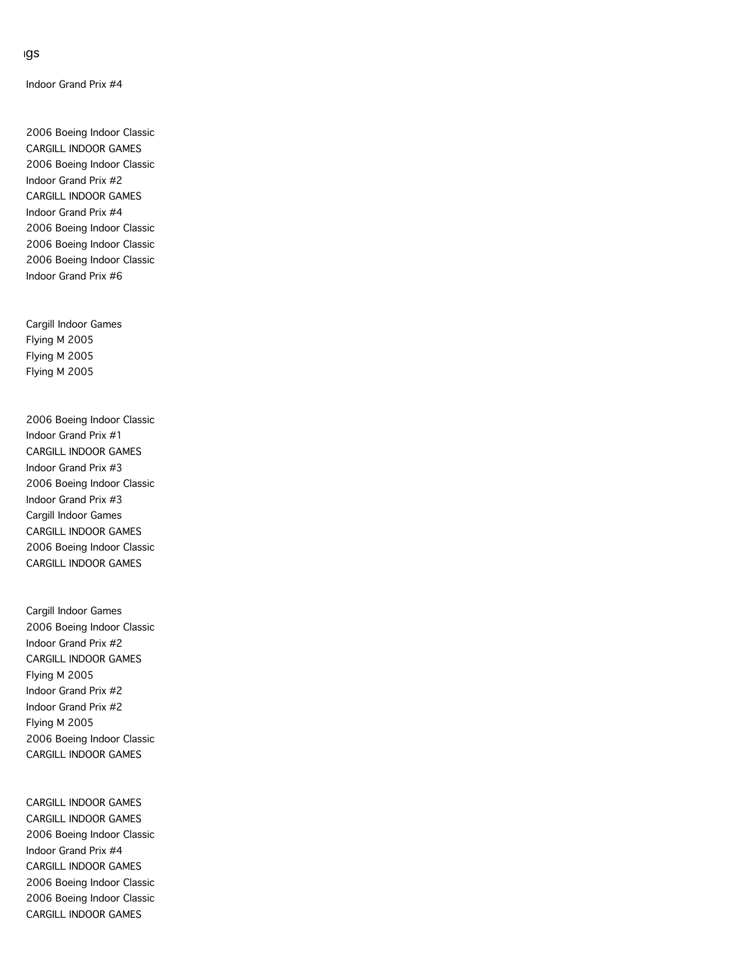Indoor Grand Prix #4

2006 Boeing Indoor Classic CARGILL INDOOR GAMES 2006 Boeing Indoor Classic Indoor Grand Prix #2 CARGILL INDOOR GAMES Indoor Grand Prix #4 2006 Boeing Indoor Classic 2006 Boeing Indoor Classic 2006 Boeing Indoor Classic Indoor Grand Prix #6

Cargill Indoor Games Flying M 2005 Flying M 2005 Flying M 2005

2006 Boeing Indoor Classic Indoor Grand Prix #1 CARGILL INDOOR GAMES Indoor Grand Prix #3 2006 Boeing Indoor Classic Indoor Grand Prix #3 Cargill Indoor Games CARGILL INDOOR GAMES 2006 Boeing Indoor Classic CARGILL INDOOR GAMES

Cargill Indoor Games 2006 Boeing Indoor Classic Indoor Grand Prix #2 CARGILL INDOOR GAMES Flying M 2005 Indoor Grand Prix #2 Indoor Grand Prix #2 Flying M 2005 2006 Boeing Indoor Classic CARGILL INDOOR GAMES

CARGILL INDOOR GAMES CARGILL INDOOR GAMES 2006 Boeing Indoor Classic Indoor Grand Prix #4 CARGILL INDOOR GAMES 2006 Boeing Indoor Classic 2006 Boeing Indoor Classic CARGILL INDOOR GAMES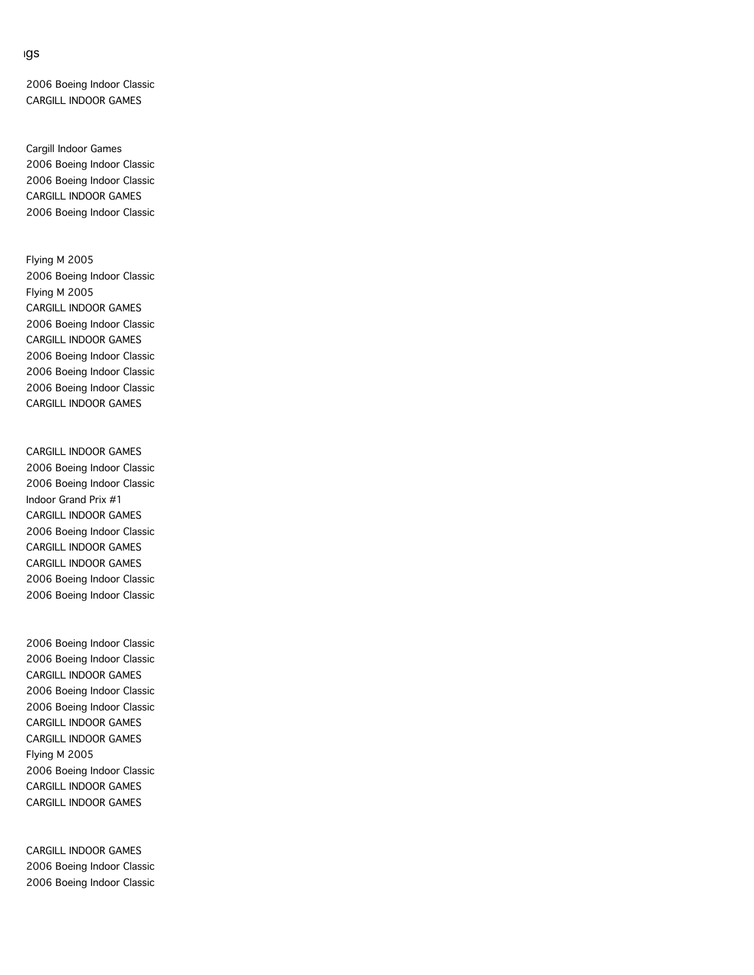2006 Boeing Indoor Classic CARGILL INDOOR GAMES

Cargill Indoor Games 2006 Boeing Indoor Classic 2006 Boeing Indoor Classic CARGILL INDOOR GAMES 2006 Boeing Indoor Classic

Flying M 2005 2006 Boeing Indoor Classic Flying M 2005 CARGILL INDOOR GAMES 2006 Boeing Indoor Classic CARGILL INDOOR GAMES 2006 Boeing Indoor Classic 2006 Boeing Indoor Classic 2006 Boeing Indoor Classic CARGILL INDOOR GAMES

CARGILL INDOOR GAMES 2006 Boeing Indoor Classic 2006 Boeing Indoor Classic Indoor Grand Prix #1 CARGILL INDOOR GAMES 2006 Boeing Indoor Classic CARGILL INDOOR GAMES CARGILL INDOOR GAMES 2006 Boeing Indoor Classic 2006 Boeing Indoor Classic

2006 Boeing Indoor Classic 2006 Boeing Indoor Classic CARGILL INDOOR GAMES 2006 Boeing Indoor Classic 2006 Boeing Indoor Classic CARGILL INDOOR GAMES CARGILL INDOOR GAMES Flying M 2005 2006 Boeing Indoor Classic CARGILL INDOOR GAMES CARGILL INDOOR GAMES

CARGILL INDOOR GAMES 2006 Boeing Indoor Classic 2006 Boeing Indoor Classic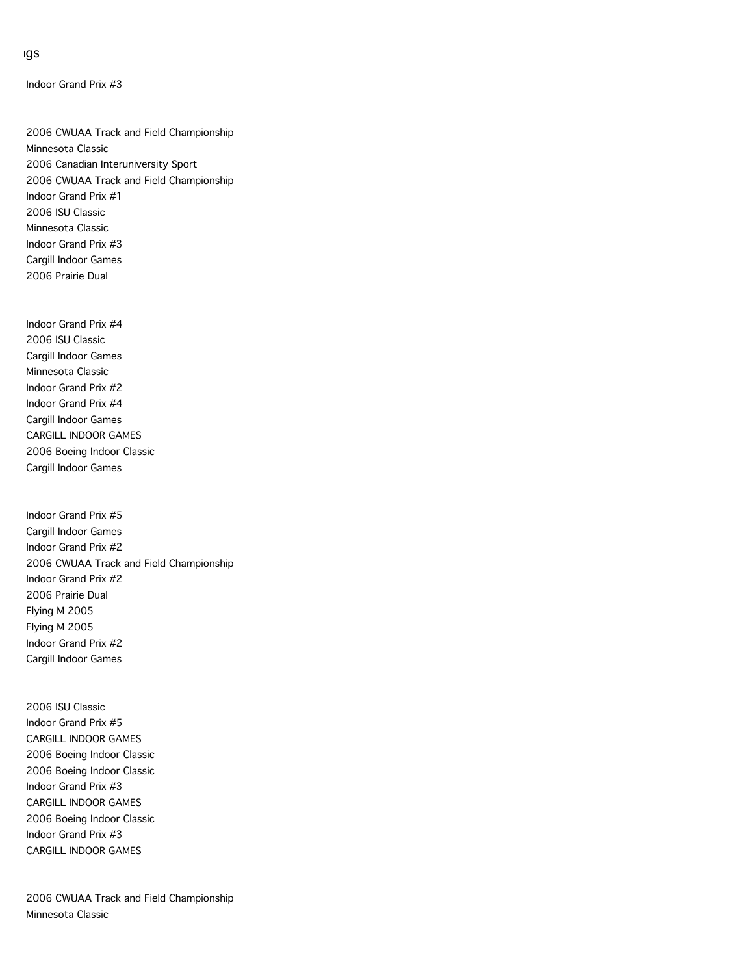Indoor Grand Prix #3

2006 CWUAA Track and Field Championship Minnesota Classic 2006 Canadian Interuniversity Sport 2006 CWUAA Track and Field Championship Indoor Grand Prix #1 2006 ISU Classic Minnesota Classic Indoor Grand Prix #3 Cargill Indoor Games 2006 Prairie Dual

Indoor Grand Prix #4 2006 ISU Classic Cargill Indoor Games Minnesota Classic Indoor Grand Prix #2 Indoor Grand Prix #4 Cargill Indoor Games CARGILL INDOOR GAMES 2006 Boeing Indoor Classic Cargill Indoor Games

Indoor Grand Prix #5 Cargill Indoor Games Indoor Grand Prix #2 2006 CWUAA Track and Field Championship Indoor Grand Prix #2 2006 Prairie Dual Flying M 2005 Flying M 2005 Indoor Grand Prix #2 Cargill Indoor Games

2006 ISU Classic Indoor Grand Prix #5 CARGILL INDOOR GAMES 2006 Boeing Indoor Classic 2006 Boeing Indoor Classic Indoor Grand Prix #3 CARGILL INDOOR GAMES 2006 Boeing Indoor Classic Indoor Grand Prix #3 CARGILL INDOOR GAMES

2006 CWUAA Track and Field Championship Minnesota Classic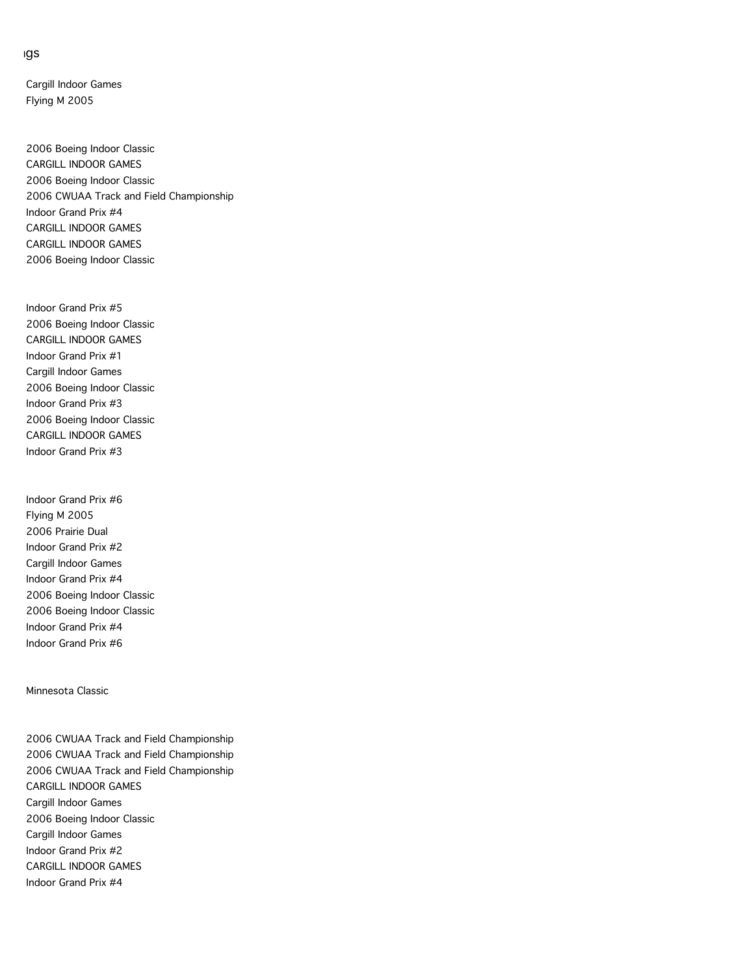Cargill Indoor Games Flying M 2005

2006 Boeing Indoor Classic CARGILL INDOOR GAMES 2006 Boeing Indoor Classic 2006 CWUAA Track and Field Championship Indoor Grand Prix #4 CARGILL INDOOR GAMES CARGILL INDOOR GAMES 2006 Boeing Indoor Classic

Indoor Grand Prix #5 2006 Boeing Indoor Classic CARGILL INDOOR GAMES Indoor Grand Prix #1 Cargill Indoor Games 2006 Boeing Indoor Classic Indoor Grand Prix #3 2006 Boeing Indoor Classic CARGILL INDOOR GAMES Indoor Grand Prix #3

Indoor Grand Prix #6 Flying M 2005 2006 Prairie Dual Indoor Grand Prix #2 Cargill Indoor Games Indoor Grand Prix #4 2006 Boeing Indoor Classic 2006 Boeing Indoor Classic Indoor Grand Prix #4 Indoor Grand Prix #6

Minnesota Classic

2006 CWUAA Track and Field Championship 2006 CWUAA Track and Field Championship 2006 CWUAA Track and Field Championship CARGILL INDOOR GAMES Cargill Indoor Games 2006 Boeing Indoor Classic Cargill Indoor Games Indoor Grand Prix #2 CARGILL INDOOR GAMES Indoor Grand Prix #4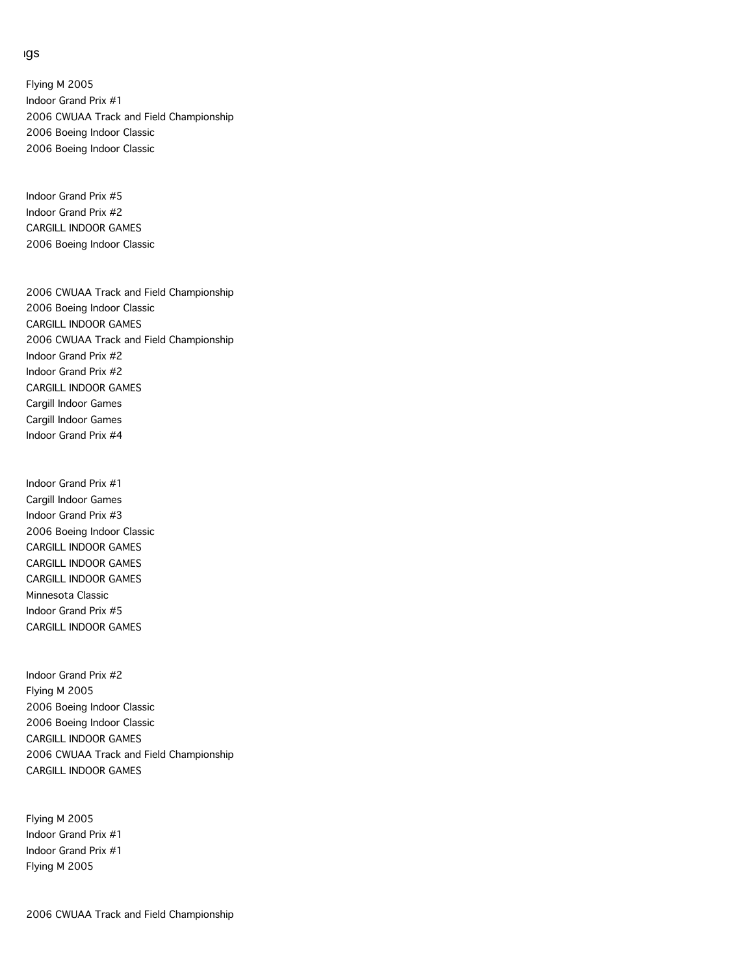Flying M 2005 Indoor Grand Prix #1 2006 CWUAA Track and Field Championship 2006 Boeing Indoor Classic 2006 Boeing Indoor Classic

Indoor Grand Prix #5 Indoor Grand Prix #2 CARGILL INDOOR GAMES 2006 Boeing Indoor Classic

2006 CWUAA Track and Field Championship 2006 Boeing Indoor Classic CARGILL INDOOR GAMES 2006 CWUAA Track and Field Championship Indoor Grand Prix #2 Indoor Grand Prix #2 CARGILL INDOOR GAMES Cargill Indoor Games Cargill Indoor Games Indoor Grand Prix #4

Indoor Grand Prix #1 Cargill Indoor Games Indoor Grand Prix #3 2006 Boeing Indoor Classic CARGILL INDOOR GAMES CARGILL INDOOR GAMES CARGILL INDOOR GAMES Minnesota Classic Indoor Grand Prix #5 CARGILL INDOOR GAMES

Indoor Grand Prix #2 Flying M 2005 2006 Boeing Indoor Classic 2006 Boeing Indoor Classic CARGILL INDOOR GAMES 2006 CWUAA Track and Field Championship CARGILL INDOOR GAMES

Flying M 2005 Indoor Grand Prix #1 Indoor Grand Prix #1 Flying M 2005

2006 CWUAA Track and Field Championship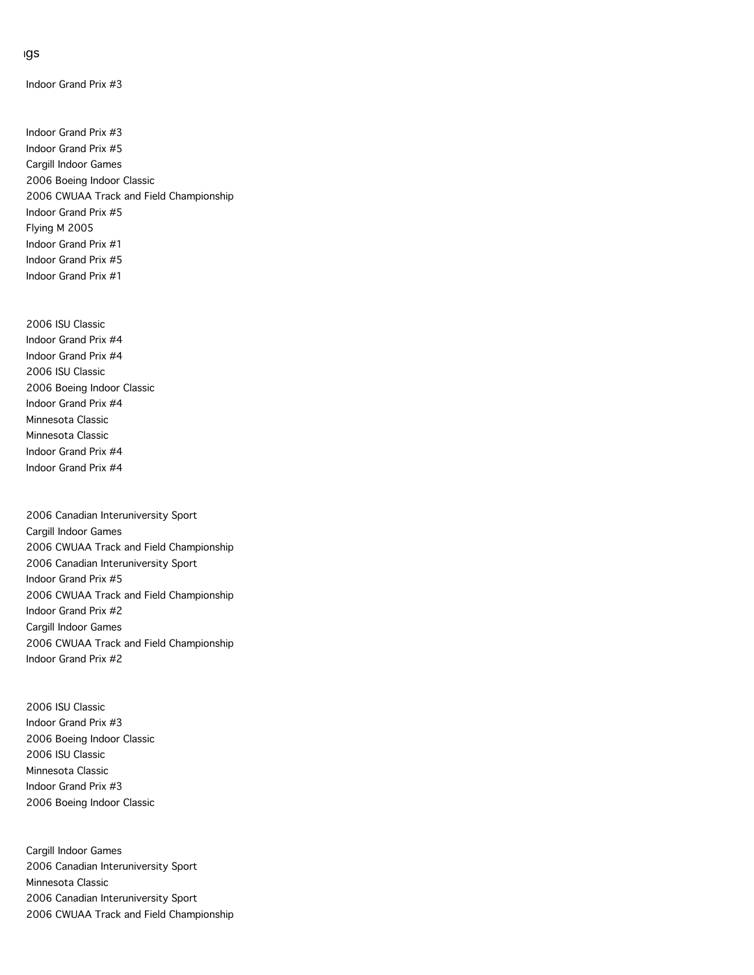Indoor Grand Prix #3

Indoor Grand Prix #3 Indoor Grand Prix #5 Cargill Indoor Games 2006 Boeing Indoor Classic 2006 CWUAA Track and Field Championship Indoor Grand Prix #5 Flying M 2005 Indoor Grand Prix #1 Indoor Grand Prix #5 Indoor Grand Prix #1

2006 ISU Classic Indoor Grand Prix #4 Indoor Grand Prix #4 2006 ISU Classic 2006 Boeing Indoor Classic Indoor Grand Prix #4 Minnesota Classic Minnesota Classic Indoor Grand Prix #4 Indoor Grand Prix #4

2006 Canadian Interuniversity Sport Cargill Indoor Games 2006 CWUAA Track and Field Championship 2006 Canadian Interuniversity Sport Indoor Grand Prix #5 2006 CWUAA Track and Field Championship Indoor Grand Prix #2 Cargill Indoor Games 2006 CWUAA Track and Field Championship Indoor Grand Prix #2

2006 ISU Classic Indoor Grand Prix #3 2006 Boeing Indoor Classic 2006 ISU Classic Minnesota Classic Indoor Grand Prix #3 2006 Boeing Indoor Classic

Cargill Indoor Games 2006 Canadian Interuniversity Sport Minnesota Classic 2006 Canadian Interuniversity Sport 2006 CWUAA Track and Field Championship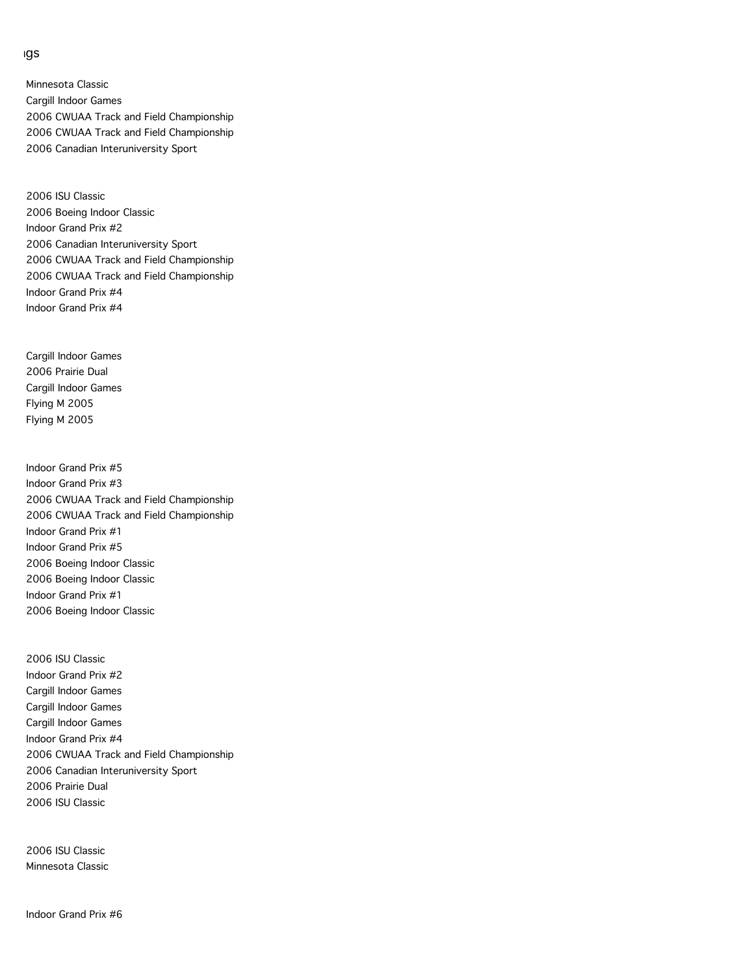Minnesota Classic Cargill Indoor Games 2006 CWUAA Track and Field Championship 2006 CWUAA Track and Field Championship 2006 Canadian Interuniversity Sport

2006 ISU Classic 2006 Boeing Indoor Classic Indoor Grand Prix #2 2006 Canadian Interuniversity Sport 2006 CWUAA Track and Field Championship 2006 CWUAA Track and Field Championship Indoor Grand Prix #4 Indoor Grand Prix #4

Cargill Indoor Games 2006 Prairie Dual Cargill Indoor Games Flying M 2005 Flying M 2005

Indoor Grand Prix #5 Indoor Grand Prix #3 2006 CWUAA Track and Field Championship 2006 CWUAA Track and Field Championship Indoor Grand Prix #1 Indoor Grand Prix #5 2006 Boeing Indoor Classic 2006 Boeing Indoor Classic Indoor Grand Prix #1 2006 Boeing Indoor Classic

2006 ISU Classic Indoor Grand Prix #2 Cargill Indoor Games Cargill Indoor Games Cargill Indoor Games Indoor Grand Prix #4 2006 CWUAA Track and Field Championship 2006 Canadian Interuniversity Sport 2006 Prairie Dual 2006 ISU Classic

2006 ISU Classic Minnesota Classic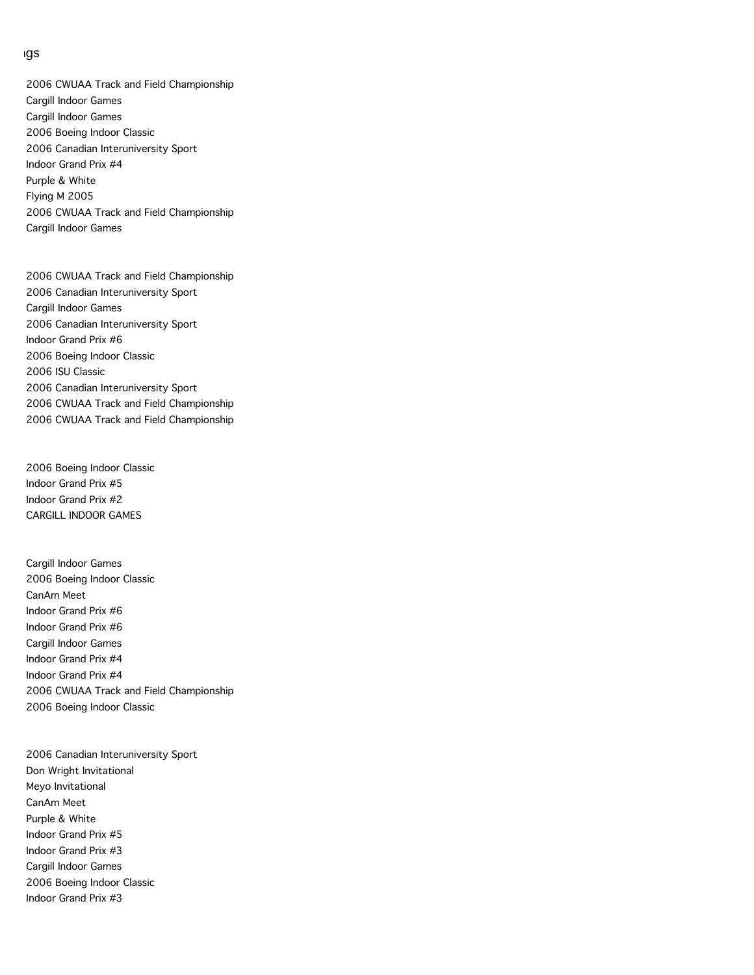2006 CWUAA Track and Field Championship Cargill Indoor Games Cargill Indoor Games 2006 Boeing Indoor Classic 2006 Canadian Interuniversity Sport Indoor Grand Prix #4 Purple & White Flying M 2005 2006 CWUAA Track and Field Championship Cargill Indoor Games

2006 CWUAA Track and Field Championship 2006 Canadian Interuniversity Sport Cargill Indoor Games 2006 Canadian Interuniversity Sport Indoor Grand Prix #6 2006 Boeing Indoor Classic 2006 ISU Classic 2006 Canadian Interuniversity Sport 2006 CWUAA Track and Field Championship 2006 CWUAA Track and Field Championship

2006 Boeing Indoor Classic Indoor Grand Prix #5 Indoor Grand Prix #2 CARGILL INDOOR GAMES

Cargill Indoor Games 2006 Boeing Indoor Classic CanAm Meet Indoor Grand Prix #6 Indoor Grand Prix #6 Cargill Indoor Games Indoor Grand Prix #4 Indoor Grand Prix #4 2006 CWUAA Track and Field Championship 2006 Boeing Indoor Classic

2006 Canadian Interuniversity Sport Don Wright Invitational Meyo Invitational CanAm Meet Purple & White Indoor Grand Prix #5 Indoor Grand Prix #3 Cargill Indoor Games 2006 Boeing Indoor Classic Indoor Grand Prix #3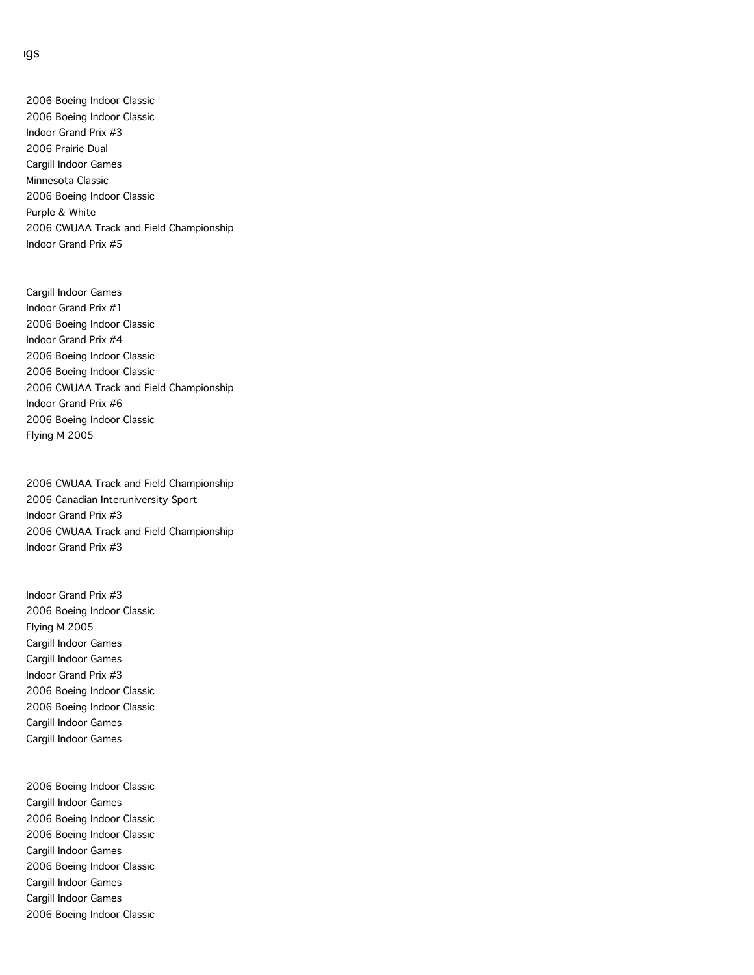2006 Boeing Indoor Classic 2006 Boeing Indoor Classic Indoor Grand Prix #3 2006 Prairie Dual Cargill Indoor Games Minnesota Classic 2006 Boeing Indoor Classic Purple & White 2006 CWUAA Track and Field Championship Indoor Grand Prix #5

Cargill Indoor Games Indoor Grand Prix #1 2006 Boeing Indoor Classic Indoor Grand Prix #4 2006 Boeing Indoor Classic 2006 Boeing Indoor Classic 2006 CWUAA Track and Field Championship Indoor Grand Prix #6 2006 Boeing Indoor Classic Flying M 2005

2006 CWUAA Track and Field Championship 2006 Canadian Interuniversity Sport Indoor Grand Prix #3 2006 CWUAA Track and Field Championship Indoor Grand Prix #3

Indoor Grand Prix #3 2006 Boeing Indoor Classic Flying M 2005 Cargill Indoor Games Cargill Indoor Games Indoor Grand Prix #3 2006 Boeing Indoor Classic 2006 Boeing Indoor Classic Cargill Indoor Games Cargill Indoor Games

2006 Boeing Indoor Classic Cargill Indoor Games 2006 Boeing Indoor Classic 2006 Boeing Indoor Classic Cargill Indoor Games 2006 Boeing Indoor Classic Cargill Indoor Games Cargill Indoor Games 2006 Boeing Indoor Classic